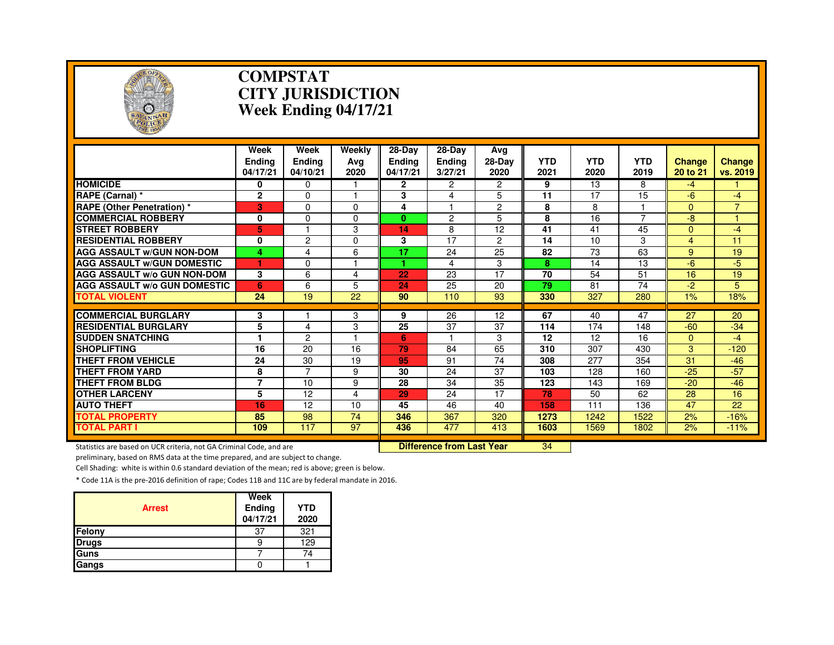

#### **COMPSTAT CITY JURISDICTIONWeek Ending 04/17/21**

|                                                                     | Week<br><b>Endina</b><br>04/17/21 | Week<br><b>Ending</b><br>04/10/21 | <b>Weekly</b><br>Avg<br>2020 | $28 - Day$<br>Endina<br>04/17/21 | $28 - Day$<br><b>Ending</b><br>3/27/21 | Ava<br>28-Day<br>2020 | <b>YTD</b><br>2021 | <b>YTD</b><br>2020 | <b>YTD</b><br>2019 | <b>Change</b><br>20 to 21 | <b>Change</b><br>vs. 2019 |
|---------------------------------------------------------------------|-----------------------------------|-----------------------------------|------------------------------|----------------------------------|----------------------------------------|-----------------------|--------------------|--------------------|--------------------|---------------------------|---------------------------|
| <b>HOMICIDE</b>                                                     | 0                                 | 0                                 |                              | 2                                | 2                                      | $\overline{2}$        | 9                  | 13                 | 8                  | $-4$                      |                           |
| RAPE (Carnal) *                                                     | $\mathbf 2$                       | 0                                 |                              | 3                                | 4                                      | 5                     | $\overline{11}$    | 17                 | $\overline{15}$    | $-6$                      | $-4$                      |
| <b>RAPE (Other Penetration) *</b>                                   | 3                                 | 0                                 | $\Omega$                     | 4                                |                                        | $\overline{2}$        | 8                  | 8                  |                    | $\Omega$                  | $\overline{7}$            |
| <b>COMMERCIAL ROBBERY</b>                                           | 0                                 | 0                                 | $\Omega$                     | $\mathbf{0}$                     | 2                                      | 5                     | 8                  | 16                 |                    | $-8$                      |                           |
| <b>STREET ROBBERY</b>                                               | 5                                 |                                   | 3                            | 14                               | 8                                      | 12                    | 41                 | 41                 | 45                 | $\overline{0}$            | $-4$                      |
| <b>RESIDENTIAL ROBBERY</b>                                          | 0                                 | $\overline{c}$                    | $\Omega$                     | 3                                | 17                                     | $\overline{2}$        | 14                 | 10                 | 3                  | 4                         | 11                        |
| <b>AGG ASSAULT w/GUN NON-DOM</b>                                    | 4                                 | 4                                 | 6                            | 17                               | 24                                     | 25                    | 82                 | 73                 | 63                 | 9                         | 19                        |
| <b>AGG ASSAULT W/GUN DOMESTIC</b>                                   | 1                                 | 0                                 |                              | и                                | 4                                      | 3                     | 8                  | 14                 | 13                 | $-6$                      | $-5$                      |
| <b>AGG ASSAULT W/o GUN NON-DOM</b>                                  | 3                                 | 6                                 | 4                            | 22                               | 23                                     | $\overline{17}$       | $\overline{70}$    | 54                 | 51                 | 16                        | 19                        |
| <b>AGG ASSAULT w/o GUN DOMESTIC</b>                                 | 6                                 | 6                                 | 5                            | 24                               | 25                                     | 20                    | 79                 | 81                 | 74                 | $-2$                      | 5                         |
| <b>TOTAL VIOLENT</b>                                                | 24                                | 19                                | 22                           | 90                               | 110                                    | 93                    | 330                | 327                | 280                | 1%                        | 18%                       |
| <b>COMMERCIAL BURGLARY</b>                                          | 3                                 |                                   | 3                            | 9                                | 26                                     | 12                    | 67                 | 40                 | 47                 | 27                        | 20                        |
| <b>RESIDENTIAL BURGLARY</b>                                         | 5                                 | 4                                 | 3                            | 25                               | 37                                     | 37                    | 114                | 174                | 148                | $-60$                     | $-34$                     |
| <b>SUDDEN SNATCHING</b>                                             | 1                                 | $\overline{c}$                    |                              | 6                                |                                        | 3                     | 12                 | 12                 | 16                 | $\overline{0}$            | $-4$                      |
| <b>SHOPLIFTING</b>                                                  | 16                                | 20                                | 16                           | 79                               | 84                                     | 65                    | 310                | 307                | 430                | 3                         | $-120$                    |
| <b>THEFT FROM VEHICLE</b>                                           | 24                                | 30                                | 19                           | 95                               | 91                                     | 74                    | 308                | 277                | 354                | 31                        | $-46$                     |
| <b>THEFT FROM YARD</b>                                              | 8                                 | $\overline{7}$                    | 9                            | 30                               | $\overline{24}$                        | $\overline{37}$       | 103                | 128                | 160                | $-25$                     | $-57$                     |
| THEFT FROM BLDG                                                     | 7                                 | 10                                | 9                            | 28                               | 34                                     | 35                    | 123                | 143                | 169                | $-20$                     | $-46$                     |
| <b>OTHER LARCENY</b>                                                | 5                                 | 12                                | 4                            | 29                               | 24                                     | 17                    | 78                 | 50                 | 62                 | 28                        | 16                        |
| <b>AUTO THEFT</b>                                                   | 16                                | 12                                | 10                           | 45                               | 46                                     | 40                    | 158                | 111                | 136                | 47                        | 22                        |
| <b>TOTAL PROPERTY</b>                                               | 85                                | 98                                | 74                           | 346                              | 367                                    | 320                   | 1273               | 1242               | 1522               | 2%                        | $-16%$                    |
| <b>TOTAL PART I</b>                                                 | 109                               | 117                               | 97                           | 436                              | 477                                    | 413                   | 1603               | 1569               | 1802               | 2%                        | $-11%$                    |
| Statistics are based on UCR criteria, not GA Criminal Code, and are |                                   |                                   |                              |                                  | <b>Difference from Last Year</b>       |                       | 34                 |                    |                    |                           |                           |

preliminary, based on RMS data at the time prepared, and are subject to change.

Cell Shading: white is within 0.6 standard deviation of the mean; red is above; green is below.

| <b>Arrest</b> | Week<br>Ending<br>04/17/21 | <b>YTD</b><br>2020 |
|---------------|----------------------------|--------------------|
| Felony        | 37                         | 321                |
| <b>Drugs</b>  |                            | 129                |
| Guns          |                            | 74                 |
| Gangs         |                            |                    |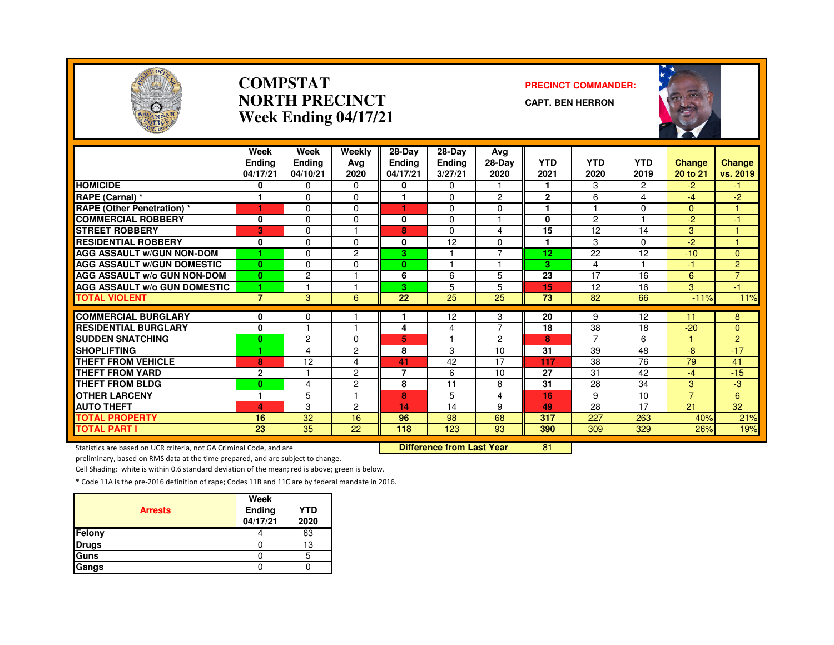

#### **COMPSTATNORTH PRECINCTWeek Ending 04/17/21**

#### **PRECINCT COMMANDER:**

**CAPT. BEN HERRON**



|                                     | Week<br><b>Endina</b><br>04/17/21 | Week<br><b>Ending</b><br>04/10/21 | Weekly<br>Avg<br>2020 | $28-Day$<br><b>Ending</b><br>04/17/21 | 28-Day<br><b>Ending</b><br>3/27/21 | Avg<br>$28-Dav$<br>2020 | <b>YTD</b><br>2021 | <b>YTD</b><br>2020 | <b>YTD</b><br>2019 | <b>Change</b><br>20 to 21 | <b>Change</b><br>vs. 2019 |
|-------------------------------------|-----------------------------------|-----------------------------------|-----------------------|---------------------------------------|------------------------------------|-------------------------|--------------------|--------------------|--------------------|---------------------------|---------------------------|
| <b>HOMICIDE</b>                     | 0                                 | $\Omega$                          | $\Omega$              | 0                                     | $\Omega$                           |                         |                    | 3                  | $\overline{2}$     | $-2$                      | -1                        |
| RAPE (Carnal) *                     | 1                                 | $\Omega$                          | $\Omega$              |                                       | $\Omega$                           | $\overline{2}$          | $\overline{2}$     | 6                  | 4                  | $-4$                      | $-2$                      |
| RAPE (Other Penetration) *          | 4                                 | $\Omega$                          | $\Omega$              | ٠                                     | $\Omega$                           | $\Omega$                | 1                  |                    | $\Omega$           | $\Omega$                  | 4                         |
| <b>COMMERCIAL ROBBERY</b>           | 0                                 | $\Omega$                          | 0                     | 0                                     | $\mathbf{0}$                       |                         | 0                  | $\overline{2}$     |                    | $-2$                      | 4                         |
| <b>STREET ROBBERY</b>               | 3                                 | $\Omega$                          |                       | 8                                     | $\Omega$                           | 4                       | 15                 | 12                 | 14                 | 3                         | н                         |
| <b>RESIDENTIAL ROBBERY</b>          | 0                                 | $\Omega$                          | 0                     | 0                                     | 12                                 | $\Omega$                |                    | 3                  | $\Omega$           | $-2$                      |                           |
| <b>AGG ASSAULT w/GUN NON-DOM</b>    | 1                                 | $\Omega$                          | 2                     | 3                                     |                                    | $\overline{7}$          | 12                 | 22                 | 12                 | $-10$                     | $\mathbf{0}$              |
| <b>AGG ASSAULT W/GUN DOMESTIC</b>   | $\mathbf{0}$                      | $\Omega$                          | $\Omega$              | $\bf{0}$                              |                                    |                         | 3                  | 4                  |                    | $-1$                      | $\overline{2}$            |
| <b>AGG ASSAULT W/o GUN NON-DOM</b>  | $\bf{0}$                          | $\overline{c}$                    |                       | 6                                     | 6                                  | 5                       | 23                 | 17                 | 16                 | 6                         | $\overline{7}$            |
| <b>AGG ASSAULT W/o GUN DOMESTIC</b> | 1                                 |                                   |                       | 3                                     | 5                                  | 5                       | 15                 | 12                 | 16                 | 3                         | -1                        |
| <b>TOTAL VIOLENT</b>                | $\overline{7}$                    | 3                                 | 6                     | 22                                    | 25                                 | 25                      | 73                 | 82                 | 66                 | $-11%$                    | 11%                       |
| <b>COMMERCIAL BURGLARY</b>          | 0                                 | $\mathbf 0$                       |                       |                                       | 12                                 | 3                       | 20                 | 9                  | 12                 | 11                        | 8                         |
| <b>RESIDENTIAL BURGLARY</b>         | $\bf{0}$                          |                                   |                       | 4                                     | 4                                  | $\overline{7}$          | 18                 | 38                 | 18                 | $-20$                     | $\Omega$                  |
| <b>SUDDEN SNATCHING</b>             | $\bf{0}$                          | 2                                 | 0                     | 5                                     |                                    | 2                       | 8                  | $\overline{7}$     | 6                  | 1.                        | $\overline{2}$            |
| <b>SHOPLIFTING</b>                  |                                   | 4                                 | 2                     | 8                                     | 3                                  | 10                      | 31                 | 39                 | 48                 | -8                        | $-17$                     |
| <b>THEFT FROM VEHICLE</b>           | 8                                 | 12                                | 4                     | 41                                    | 42                                 | 17                      | 117                | 38                 | 76                 | 79                        | 41                        |
| THEFT FROM YARD                     | $\mathbf 2$                       |                                   | 2                     | $\overline{7}$                        | 6                                  | 10                      | 27                 | 31                 | 42                 | $-4$                      | $-15$                     |
| <b>THEFT FROM BLDG</b>              | $\bf{0}$                          | 4                                 | $\overline{c}$        | 8                                     | 11                                 | 8                       | 31                 | 28                 | 34                 | 3                         | $-3$                      |
| <b>OTHER LARCENY</b>                | 1                                 | 5                                 |                       | 8                                     | 5                                  | 4                       | 16                 | 9                  | 10                 | $\overline{7}$            | 6                         |
| <b>AUTO THEFT</b>                   | 4                                 | 3                                 | 2                     | 14                                    | 14                                 | 9                       | 49                 | 28                 | 17                 | 21                        | 32                        |
| <b>TOTAL PROPERTY</b>               | 16                                | 32                                | 16                    | 96                                    | 98                                 | 68                      | 317                | 227                | 263                | 40%                       | 21%                       |
| <b>TOTAL PART I</b>                 | $\overline{23}$                   | $\overline{35}$                   | $\overline{22}$       | 118                                   | 123                                | 93                      | 390                | 309                | 329                | 26%                       | 19%                       |

Statistics are based on UCR criteria, not GA Criminal Code, and are **Difference from Last Year** 

<sup>81</sup>

preliminary, based on RMS data at the time prepared, and are subject to change.

Cell Shading: white is within 0.6 standard deviation of the mean; red is above; green is below.

| <b>Arrests</b> | Week<br>Ending<br>04/17/21 | <b>YTD</b><br>2020 |
|----------------|----------------------------|--------------------|
| Felony         |                            | 63                 |
| <b>Drugs</b>   |                            | 13                 |
| Guns           |                            | 5                  |
| Gangs          |                            |                    |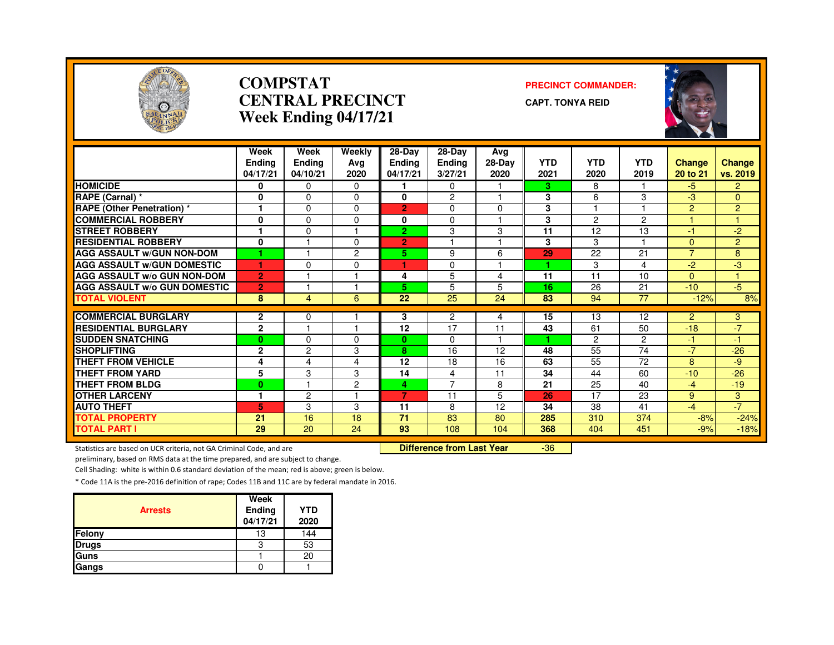

#### **COMPSTATCENTRAL PRECINCTWeek Ending 04/17/21**

#### **PRECINCT COMMANDER:**

**CAPT. TONYA REID**



|                                                           | Week           | Week           | Weekly         | 28-Day         | $28-Dav$             | Avg      |            |                      |                      |                |                |
|-----------------------------------------------------------|----------------|----------------|----------------|----------------|----------------------|----------|------------|----------------------|----------------------|----------------|----------------|
|                                                           | <b>Ending</b>  | <b>Ending</b>  | Avg            | <b>Ending</b>  | <b>Ending</b>        | 28-Day   | <b>YTD</b> | <b>YTD</b>           | <b>YTD</b>           | <b>Change</b>  | <b>Change</b>  |
|                                                           | 04/17/21       | 04/10/21       | 2020           | 04/17/21       | 3/27/21              | 2020     | 2021       | 2020                 | 2019                 | 20 to 21       | vs. 2019       |
| <b>HOMICIDE</b>                                           | 0              | $\Omega$       | $\Omega$       | 1.             | $\Omega$             |          | 3          | 8                    |                      | $-5$           | $\overline{2}$ |
| RAPE (Carnal) *                                           | 0              | $\Omega$       | $\Omega$       | 0              | $\overline{c}$       |          | 3          | 6                    | 3                    | -3             | $\mathbf{0}$   |
| <b>RAPE (Other Penetration) *</b>                         | 1              | $\Omega$       | $\Omega$       | $\overline{2}$ | $\Omega$             | $\Omega$ | 3          |                      |                      | $\overline{2}$ | $\overline{2}$ |
| <b>COMMERCIAL ROBBERY</b>                                 | 0              | $\Omega$       | $\Omega$       | 0              | $\Omega$             |          | 3          | $\overline{c}$       | $\overline{2}$       |                |                |
| <b>STREET ROBBERY</b>                                     | 1              | $\Omega$       |                | $\overline{2}$ | 3                    | 3        | 11         | 12                   | 13                   | $-1$           | $-2$           |
| <b>RESIDENTIAL ROBBERY</b>                                | 0              |                | $\Omega$       | $\overline{2}$ | ٠                    | н        | 3          | 3                    |                      | $\mathbf{0}$   | $\overline{2}$ |
| <b>AGG ASSAULT W/GUN NON-DOM</b>                          |                | и              | $\overline{2}$ | 5.             | 9                    | 6        | 29         | 22                   | 21                   | $\overline{7}$ | 8              |
| <b>AGG ASSAULT w/GUN DOMESTIC</b>                         | 1              | $\Omega$       | $\Omega$       | 1.             | $\Omega$             |          |            | 3                    | 4                    | $-2$           | -3             |
| <b>AGG ASSAULT W/o GUN NON-DOM</b>                        | $\overline{2}$ |                |                | 4              | 5                    | 4        | 11         | 11                   | 10                   | $\mathbf{0}$   |                |
| <b>AGG ASSAULT W/o GUN DOMESTIC</b>                       | 2              |                |                | 5.             | 5                    | 5        | 16         | 26                   | 21                   | $-10$          | $-5$           |
| <b>TOTAL VIOLENT</b>                                      | 8              | 4              | 6              | 22             | 25                   | 24       | 83         | 94                   | 77                   | $-12%$         | 8%             |
|                                                           |                |                |                |                |                      |          |            |                      |                      |                |                |
| <b>COMMERCIAL BURGLARY</b><br><b>RESIDENTIAL BURGLARY</b> | $\mathbf{2}$   | $\Omega$       |                | 3<br>12        | $\overline{2}$<br>17 | 4        | 15         | 13                   | 12                   | 2              | 3<br>$-7$      |
|                                                           | $\overline{2}$ |                |                |                |                      | 11       | 43         | 61                   | 50                   | $-18$          |                |
| <b>SUDDEN SNATCHING</b>                                   | $\bf{0}$       | $\Omega$       | $\Omega$<br>3  | $\mathbf{0}$   | $\Omega$<br>16       | 12       | 48         | $\overline{c}$<br>55 | $\overline{c}$<br>74 | $-1$           | $-1$           |
| <b>SHOPLIFTING</b>                                        | $\overline{2}$ | 2              |                | 8              |                      |          |            |                      |                      | $-77$          | $-26$          |
| <b>THEFT FROM VEHICLE</b>                                 | 4              | 4              | 4              | 12<br>14       | 18                   | 16       | 63<br>34   | 55                   | 72<br>60             | 8<br>$-10$     | -9<br>$-26$    |
| <b>THEFT FROM YARD</b>                                    | 5              | 3              | 3              |                | 4<br>$\overline{7}$  | 11       |            | 44                   |                      |                |                |
| <b>THEFT FROM BLDG</b>                                    | $\bf{0}$       |                | $\overline{2}$ | 4              |                      | 8        | 21         | 25                   | 40                   | $-4$           | $-19$          |
| <b>OTHER LARCENY</b>                                      | 1              | $\overline{2}$ |                | 7              | 11                   | 5        | 26         | 17                   | 23                   | 9              | 3              |
| <b>AUTO THEFT</b>                                         | 5              | 3              | 3              | 11             | 8                    | 12       | 34         | 38                   | 41                   | $-4$           | $-7$           |
| <b>TOTAL PROPERTY</b>                                     | 21             | 16             | 18             | 71             | 83                   | 80       | 285        | 310                  | 374                  | $-8%$          | $-24%$         |
| <b>TOTAL PART I</b>                                       | 29             | 20             | 24             | 93             | 108                  | 104      | 368        | 404                  | 451                  | $-9%$          | $-18%$         |

Statistics are based on UCR criteria, not GA Criminal Code, and are **Difference from Last Year** 

-36

preliminary, based on RMS data at the time prepared, and are subject to change.

Cell Shading: white is within 0.6 standard deviation of the mean; red is above; green is below.

| <b>Arrests</b> | Week<br>Ending<br>04/17/21 | <b>YTD</b><br>2020 |
|----------------|----------------------------|--------------------|
| Felony         | 13                         | 144                |
| <b>Drugs</b>   | З                          | 53                 |
| Guns           |                            | 20                 |
| Gangs          |                            |                    |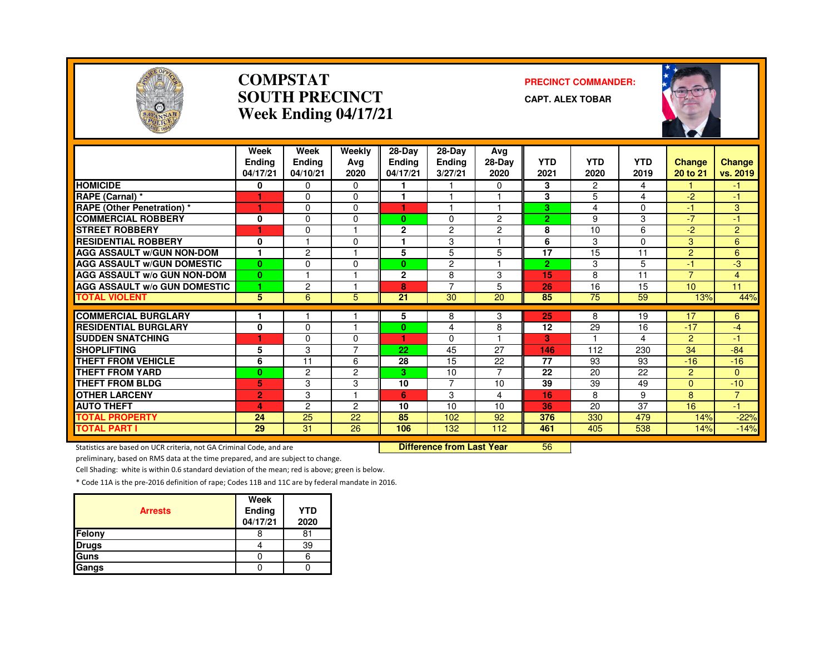

#### **COMPSTATSOUTH PRECINCTWeek Ending 04/17/21**

#### **PRECINCT COMMANDER:**

**CAPT. ALEX TOBAR**



|                                     | Week<br><b>Endina</b><br>04/17/21 | Week<br><b>Ending</b><br>04/10/21 | Weekly<br>Ava<br>2020 | $28-Dav$<br><b>Ending</b><br>04/17/21 | $28$ -Day<br><b>Ending</b><br>3/27/21 | Avg<br>28-Day<br>2020 | <b>YTD</b><br>2021 | <b>YTD</b><br>2020 | <b>YTD</b><br>2019 | <b>Change</b><br>20 to 21 | Change<br>vs. 2019   |
|-------------------------------------|-----------------------------------|-----------------------------------|-----------------------|---------------------------------------|---------------------------------------|-----------------------|--------------------|--------------------|--------------------|---------------------------|----------------------|
| <b>HOMICIDE</b>                     | 0                                 | $\Omega$                          | 0                     |                                       |                                       | $\Omega$              | 3                  | $\overline{2}$     | 4                  |                           | $\blacktriangleleft$ |
| RAPE (Carnal) *                     |                                   | $\Omega$                          | $\Omega$              |                                       |                                       |                       | 3                  | 5                  | 4                  | $-2$                      | $-1$                 |
| <b>RAPE (Other Penetration)</b> *   | 1                                 | $\Omega$                          | 0                     | и                                     |                                       |                       | з                  | 4                  | 0                  | $-1$                      | 3                    |
| <b>COMMERCIAL ROBBERY</b>           | 0                                 | $\Omega$                          | 0                     | $\mathbf{0}$                          | 0                                     | 2                     | $\overline{2}$     | 9                  | 3                  | $-7$                      | -1                   |
| <b>STREET ROBBERY</b>               | 1                                 | $\Omega$                          |                       | $\mathbf{2}$                          | 2                                     | 2                     | 8                  | 10                 | 6                  | $-2$                      | $\overline{2}$       |
| <b>RESIDENTIAL ROBBERY</b>          | 0                                 |                                   | $\Omega$              |                                       | 3                                     |                       | 6                  | 3                  | $\Omega$           | 3                         | 6                    |
| <b>AGG ASSAULT W/GUN NON-DOM</b>    |                                   | $\overline{c}$                    |                       | 5                                     | 5                                     | 5                     | 17                 | 15                 | 11                 | $\overline{2}$            | 6                    |
| <b>AGG ASSAULT W/GUN DOMESTIC</b>   | $\bf{0}$                          | $\Omega$                          | $\Omega$              | $\bf{0}$                              | 2                                     |                       | $\overline{2}$     | 3                  | 5                  | $-1$                      | -3                   |
| <b>AGG ASSAULT w/o GUN NON-DOM</b>  | $\bf{0}$                          |                                   |                       | $\mathbf{2}$                          | 8                                     | 3                     | 15                 | 8                  | 11                 | $\overline{7}$            | 4                    |
| <b>AGG ASSAULT w/o GUN DOMESTIC</b> | и                                 | $\overline{c}$                    |                       | 8                                     | $\overline{7}$                        | 5                     | 26                 | 16                 | 15                 | 10                        | 11                   |
| <b>TOTAL VIOLENT</b>                | 5                                 | 6                                 | 5                     | 21                                    | 30                                    | 20                    | 85                 | 75                 | 59                 | 13%                       | 44%                  |
| <b>COMMERCIAL BURGLARY</b>          |                                   |                                   |                       | 5                                     | 8                                     | 3                     | 25                 | 8                  | 19                 | 17                        | 6                    |
| <b>RESIDENTIAL BURGLARY</b>         | $\mathbf{0}$                      | $\Omega$                          |                       | 0                                     | 4                                     | 8                     | 12                 | 29                 | 16                 | $-17$                     | $-4$                 |
| <b>SUDDEN SNATCHING</b>             | 1                                 | 0                                 | 0                     | ٠                                     | $\Omega$                              |                       | 3                  |                    | 4                  | $\overline{2}$            | -1                   |
| <b>SHOPLIFTING</b>                  | 5                                 | 3                                 | 7                     | 22                                    | 45                                    | 27                    | 146                | 112                | 230                | 34                        | $-84$                |
| <b>THEFT FROM VEHICLE</b>           | 6                                 | 11                                | 6                     | 28                                    | 15                                    | 22                    | 77                 | 93                 | 93                 | $-16$                     | $-16$                |
| <b>THEFT FROM YARD</b>              | $\bf{0}$                          | $\overline{c}$                    | 2                     | 3                                     | 10                                    | $\overline{7}$        | 22                 | 20                 | 22                 | $\overline{2}$            | $\Omega$             |
| <b>THEFT FROM BLDG</b>              | 5                                 | 3                                 | 3                     | 10                                    | $\overline{7}$                        | 10                    | 39                 | 39                 | 49                 | $\Omega$                  | $-10$                |
| <b>OTHER LARCENY</b>                | $\overline{2}$                    | 3                                 |                       | 6                                     | 3                                     | 4                     | 16                 | 8                  | 9                  | 8                         | $\overline{7}$       |
| <b>AUTO THEFT</b>                   | 4                                 | $\overline{c}$                    | $\overline{c}$        | 10                                    | 10                                    | 10                    | 36                 | 20                 | 37                 | 16                        | $-1$                 |
| <b>TOTAL PROPERTY</b>               | 24                                | 25                                | 22                    | 85                                    | 102                                   | 92                    | 376                | 330                | 479                | 14%                       | $-22%$               |
| <b>TOTAL PART I</b>                 | 29                                | 31                                | 26                    | 106                                   | 132                                   | 112                   | 461                | 405                | 538                | 14%                       | $-14%$               |

Statistics are based on UCR criteria, not GA Criminal Code, and are **Difference from Last Year** 

<sup>56</sup>

preliminary, based on RMS data at the time prepared, and are subject to change.

Cell Shading: white is within 0.6 standard deviation of the mean; red is above; green is below.

| <b>Arrests</b> | Week<br>Ending<br>04/17/21 | <b>YTD</b><br>2020 |
|----------------|----------------------------|--------------------|
| Felony         |                            | 81                 |
| <b>Drugs</b>   |                            | 39                 |
| Guns           |                            |                    |
| Gangs          |                            |                    |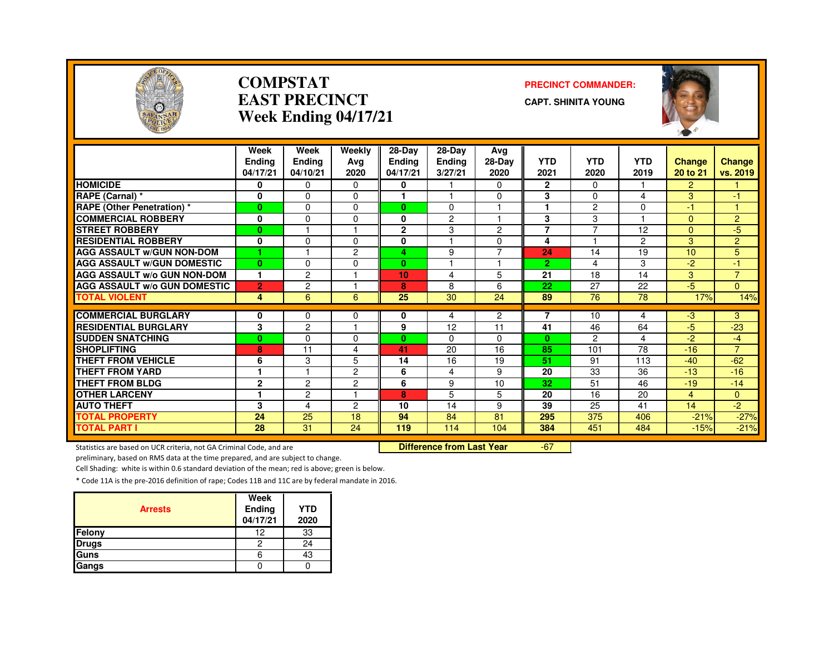

#### **COMPSTATEAST PRECINCTWeek Ending 04/17/21**

#### **PRECINCT COMMANDER:**

**CAPT. SHINITA YOUNG**



|                                     | Week           | Week           | Weekly         | $28-Dav$     | 28-Day         | Avg            |                |                |                |          |                |
|-------------------------------------|----------------|----------------|----------------|--------------|----------------|----------------|----------------|----------------|----------------|----------|----------------|
|                                     | <b>Endina</b>  | <b>Ending</b>  | Avg            | Ending       | <b>Ending</b>  | $28-Dav$       | <b>YTD</b>     | <b>YTD</b>     | <b>YTD</b>     | Change   | <b>Change</b>  |
|                                     | 04/17/21       | 04/10/21       | 2020           | 04/17/21     | 3/27/21        | 2020           | 2021           | 2020           | 2019           | 20 to 21 | vs. 2019       |
| <b>HOMICIDE</b>                     | 0              | $\Omega$       | $\Omega$       | 0            |                | $\Omega$       | $\mathbf{2}$   | $\Omega$       |                | 2        |                |
| RAPE (Carnal) *                     | 0              | 0              | $\Omega$       |              |                | 0              | 3              | $\Omega$       | 4              | 3        | -1             |
| <b>RAPE (Other Penetration) *</b>   | $\mathbf{0}$   | $\Omega$       | $\Omega$       | $\mathbf{0}$ | $\Omega$       | 4              | 1              | $\overline{c}$ | 0              | $-1$     | м              |
| <b>COMMERCIAL ROBBERY</b>           | 0              | 0              | $\Omega$       | 0            | $\overline{c}$ |                | 3              | 3              |                | $\Omega$ | $\overline{2}$ |
| <b>STREET ROBBERY</b>               | 0              |                |                | $\mathbf{2}$ | 3              | $\overline{c}$ | $\overline{7}$ |                | 12             | $\Omega$ | $-5$           |
| <b>RESIDENTIAL ROBBERY</b>          | $\bf{0}$       | 0              | $\Omega$       | 0            |                | 0              | 4              |                | $\overline{2}$ | 3        | $\overline{2}$ |
| <b>AGG ASSAULT W/GUN NON-DOM</b>    |                |                | $\overline{c}$ | 4            | 9              | $\overline{7}$ | 24             | 14             | 19             | 10       | 5              |
| <b>AGG ASSAULT W/GUN DOMESTIC</b>   | 0              | 0              | $\Omega$       | $\bf{0}$     |                | и              | $\overline{2}$ | 4              | 3              | $-2$     | $-1$           |
| AGG ASSAULT w/o GUN NON-DOM         | 1              | $\overline{c}$ |                | 10           | 4              | 5              | 21             | 18             | 14             | 3        | $\overline{7}$ |
| <b>AGG ASSAULT W/o GUN DOMESTIC</b> | $\overline{2}$ | $\overline{c}$ |                | 8            | 8              | 6              | 22             | 27             | 22             | -5       | $\Omega$       |
| <b>TOTAL VIOLENT</b>                | 4              | 6              | 6              | 25           | 30             | 24             | 89             | 76             | 78             | 17%      | 14%            |
| <b>COMMERCIAL BURGLARY</b>          | 0              | 0              |                | 0            |                | $\overline{2}$ | $\overline{7}$ | 10             | 4              | $-3$     | 3              |
| <b>RESIDENTIAL BURGLARY</b>         | 3              | $\overline{c}$ | 0              | 9            | 4<br>12        | 11             | 41             | 46             | 64             | $-5$     | $-23$          |
| <b>SUDDEN SNATCHING</b>             | 0              | 0              | $\Omega$       | $\mathbf{0}$ | $\Omega$       | $\Omega$       | $\mathbf{0}$   | 2              | 4              | $-2$     | $-4$           |
| <b>SHOPLIFTING</b>                  | 8              | 11             | 4              | 41           | 20             | 16             | 85             | 101            | 78             | $-16$    | $\overline{7}$ |
| <b>THEFT FROM VEHICLE</b>           |                | 3              | 5              | 14           | 16             | 19             | 51             | 91             | 113            | $-40$    | $-62$          |
| <b>THEFT FROM YARD</b>              | 6<br>1         |                | $\overline{c}$ | 6            |                |                | 20             | 33             | 36             | $-13$    | $-16$          |
|                                     |                |                |                |              | 4              | 9              |                |                |                |          |                |
| <b>THEFT FROM BLDG</b>              | $\mathbf{2}$   | 2              | $\overline{c}$ | 6            | 9              | 10             | 32             | 51             | 46             | $-19$    | $-14$          |
| <b>OTHER LARCENY</b>                | 1              | $\overline{c}$ |                | 8            | 5              | 5              | 20             | 16             | 20             | 4        | $\Omega$       |
| <b>AUTO THEFT</b>                   | 3              | 4              | $\overline{2}$ | 10           | 14             | 9              | 39             | 25             | 41             | 14       | $-2$           |
| <b>TOTAL PROPERTY</b>               | 24             | 25             | 18             | 94           | 84             | 81             | 295            | 375            | 406            | $-21%$   | $-27%$         |
| <b>TOTAL PART I</b>                 | 28             | 31             | 24             | 119          | 114            | 104            | 384            | 451            | 484            | $-15%$   | $-21%$         |

Statistics are based on UCR criteria, not GA Criminal Code, and are **Difference from Last Year** 

-67

preliminary, based on RMS data at the time prepared, and are subject to change.

Cell Shading: white is within 0.6 standard deviation of the mean; red is above; green is below.

| <b>Arrests</b> | Week<br>Ending<br>04/17/21 | <b>YTD</b><br>2020 |
|----------------|----------------------------|--------------------|
| Felony         | 12                         | 33                 |
| <b>Drugs</b>   | 2                          | 24                 |
| Guns           | 6                          | 43                 |
| Gangs          |                            |                    |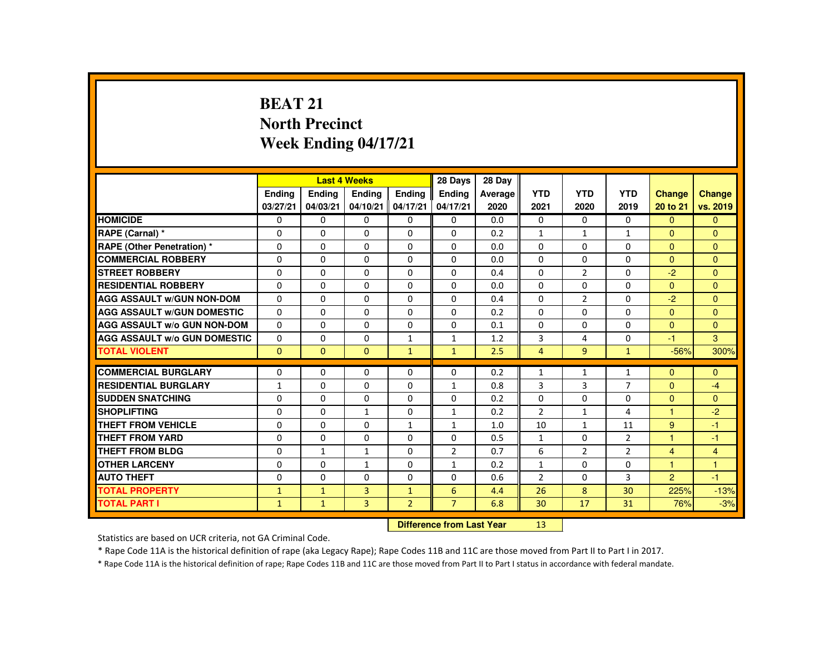# **BEAT 21 North PrecinctWeek Ending 04/17/21**

|                                     |               |                           | <b>Last 4 Weeks</b> |                 | 28 Days        | 28 Day  |                |                |                |                      |                |
|-------------------------------------|---------------|---------------------------|---------------------|-----------------|----------------|---------|----------------|----------------|----------------|----------------------|----------------|
|                                     | <b>Endina</b> | <b>Ending</b>             | <b>Endina</b>       | <b>Endina</b>   | <b>Endina</b>  | Average | <b>YTD</b>     | <b>YTD</b>     | <b>YTD</b>     | <b>Change</b>        | <b>Change</b>  |
|                                     | 03/27/21      | 04/03/21                  | 04/10/21            | 04/17/21        | 04/17/21       | 2020    | 2021           | 2020           | 2019           | 20 to 21             | vs. 2019       |
| <b>HOMICIDE</b>                     | $\mathbf{0}$  | $\Omega$                  | $\Omega$            | $\Omega$        | $\Omega$       | 0.0     | $\mathbf{0}$   | $\Omega$       | $\Omega$       | $\Omega$             | $\Omega$       |
| RAPE (Carnal) *                     | 0             | $\Omega$                  | $\Omega$            | $\Omega$        | $\Omega$       | 0.2     | $\mathbf{1}$   | $\mathbf{1}$   | $\mathbf{1}$   | $\Omega$             | $\Omega$       |
| <b>RAPE (Other Penetration) *</b>   | $\Omega$      | $\Omega$                  | $\Omega$            | $\Omega$        | $\Omega$       | 0.0     | $\Omega$       | $\Omega$       | $\Omega$       | $\Omega$             | $\Omega$       |
| <b>COMMERCIAL ROBBERY</b>           | $\Omega$      | $\Omega$                  | $\Omega$            | $\Omega$        | $\Omega$       | 0.0     | $\Omega$       | $\Omega$       | $\Omega$       | $\Omega$             | $\Omega$       |
| <b>STREET ROBBERY</b>               | $\Omega$      | $\Omega$                  | $\Omega$            | $\Omega$        | $\Omega$       | 0.4     | $\Omega$       | $\overline{2}$ | $\Omega$       | $-2$                 | $\Omega$       |
| <b>RESIDENTIAL ROBBERY</b>          | 0             | $\mathbf{0}$              | 0                   | 0               | $\mathbf{0}$   | 0.0     | $\Omega$       | 0              | 0              | $\Omega$             | $\Omega$       |
| <b>AGG ASSAULT w/GUN NON-DOM</b>    | $\Omega$      | $\Omega$                  | $\Omega$            | $\Omega$        | $\Omega$       | 0.4     | $\Omega$       | $\overline{2}$ | $\Omega$       | $-2$                 | $\Omega$       |
| <b>AGG ASSAULT W/GUN DOMESTIC</b>   | $\Omega$      | $\Omega$                  | $\Omega$            | $\Omega$        | $\Omega$       | 0.2     | $\Omega$       | $\Omega$       | $\Omega$       | $\Omega$             | $\Omega$       |
| <b>AGG ASSAULT W/o GUN NON-DOM</b>  | $\Omega$      | $\Omega$                  | $\Omega$            | $\Omega$        | $\Omega$       | 0.1     | $\Omega$       | $\Omega$       | $\Omega$       | $\Omega$             | $\Omega$       |
| <b>AGG ASSAULT W/o GUN DOMESTIC</b> | $\mathbf{0}$  | $\Omega$                  | 0                   | $\mathbf{1}$    | $\mathbf{1}$   | 1.2     | 3              | 4              | 0              | $-1$                 | 3              |
| <b>TOTAL VIOLENT</b>                | $\mathbf{0}$  | $\mathbf{0}$              | $\mathbf{0}$        | $\mathbf{1}$    | $\mathbf{1}$   | 2.5     | $\overline{4}$ | 9              | $\mathbf{1}$   | $-56%$               | 300%           |
| <b>COMMERCIAL BURGLARY</b>          | $\Omega$      | $\Omega$                  | $\Omega$            | $\Omega$        | $\Omega$       | 0.2     | $\mathbf{1}$   | $\mathbf{1}$   | $\mathbf{1}$   | $\Omega$             | $\Omega$       |
| <b>RESIDENTIAL BURGLARY</b>         | $\mathbf{1}$  | $\Omega$                  | $\Omega$            | $\Omega$        | 1              | 0.8     | 3              | 3              | $\overline{7}$ | $\Omega$             | $-4$           |
| <b>SUDDEN SNATCHING</b>             | 0             | $\mathbf{0}$              | $\Omega$            | 0               | $\mathbf{0}$   | 0.2     | $\Omega$       | $\Omega$       | 0              | $\Omega$             | $\Omega$       |
| <b>SHOPLIFTING</b>                  | $\Omega$      | $\Omega$                  | $\mathbf{1}$        | $\Omega$        | $\mathbf{1}$   | 0.2     | $\overline{2}$ | $\mathbf{1}$   | 4              | $\blacktriangleleft$ | $-2$           |
| <b>THEFT FROM VEHICLE</b>           | $\Omega$      | $\Omega$                  | $\Omega$            | $\mathbf{1}$    | $\mathbf{1}$   | 1.0     | 10             | $\mathbf{1}$   | 11             | 9                    | $-1$           |
| <b>THEFT FROM YARD</b>              | $\Omega$      | $\Omega$                  | $\Omega$            | $\Omega$        | $\Omega$       | 0.5     | $\mathbf{1}$   | $\Omega$       | $\overline{2}$ | 1                    | $-1$           |
| <b>THEFT FROM BLDG</b>              | $\Omega$      | $\mathbf{1}$              | $\mathbf{1}$        | $\Omega$        | $\overline{2}$ | 0.7     | 6              | $\overline{2}$ | $\overline{2}$ | $\overline{4}$       | $\overline{4}$ |
| <b>OTHER LARCENY</b>                | 0             | $\mathbf{0}$              | $\mathbf{1}$        | 0               | $\mathbf{1}$   | 0.2     | $\mathbf{1}$   | $\Omega$       | 0              | $\overline{1}$       | $\overline{1}$ |
| <b>AUTO THEFT</b>                   | $\Omega$      | $\Omega$                  | $\Omega$            | $\Omega$        | $\Omega$       | 0.6     | $\overline{2}$ | $\Omega$       | 3              | $\overline{2}$       | $-1$           |
| <b>TOTAL PROPERTY</b>               | $\mathbf{1}$  | $\mathbf{1}$              | $\overline{3}$      | $\mathbf{1}$    | 6              | 4.4     | 26             | 8              | 30             | 225%                 | $-13%$         |
| <b>TOTAL PART I</b>                 | $\mathbf{1}$  | $\mathbf{1}$              | $\overline{3}$      | $\overline{2}$  | $\overline{7}$ | 6.8     | 30             | 17             | 31             | 76%                  | $-3%$          |
|                                     |               | Difference from Last Vear |                     | 12 <sub>1</sub> |                |         |                |                |                |                      |                |

 **Difference from Last Year**r 13

Statistics are based on UCR criteria, not GA Criminal Code.

\* Rape Code 11A is the historical definition of rape (aka Legacy Rape); Rape Codes 11B and 11C are those moved from Part II to Part I in 2017.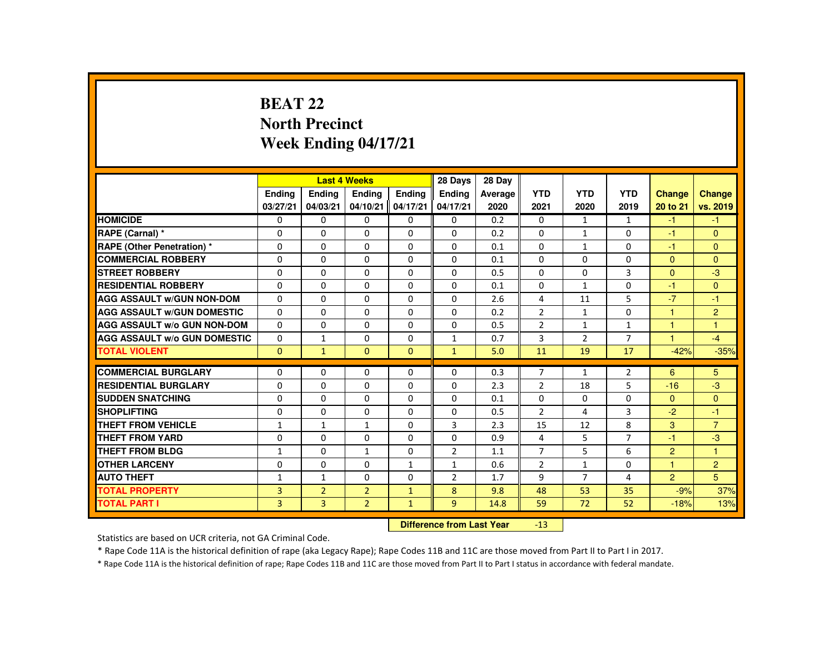# **BEAT 22 North PrecinctWeek Ending 04/17/21**

|                                     |                           |                | <b>Last 4 Weeks</b> |               | 28 Days        | 28 Day  |                |                |                |                |                |
|-------------------------------------|---------------------------|----------------|---------------------|---------------|----------------|---------|----------------|----------------|----------------|----------------|----------------|
|                                     | <b>Endina</b>             | <b>Endina</b>  | <b>Endina</b>       | <b>Endina</b> | <b>Endina</b>  | Average | <b>YTD</b>     | <b>YTD</b>     | <b>YTD</b>     | <b>Change</b>  | Change         |
|                                     | 03/27/21                  | 04/03/21       | 04/10/21            | 04/17/21      | 04/17/21       | 2020    | 2021           | 2020           | 2019           | 20 to 21       | vs. 2019       |
| <b>HOMICIDE</b>                     | $\mathbf{0}$              | $\mathbf{0}$   | 0                   | 0             | 0              | 0.2     | 0              | $\mathbf{1}$   | $\mathbf{1}$   | $-1$           | $-1$           |
| RAPE (Carnal) *                     | $\Omega$                  | $\Omega$       | $\Omega$            | $\Omega$      | $\Omega$       | 0.2     | $\Omega$       | $\mathbf{1}$   | $\Omega$       | $-1$           | $\Omega$       |
| <b>RAPE (Other Penetration) *</b>   | 0                         | $\mathbf{0}$   | $\Omega$            | 0             | 0              | 0.1     | 0              | $\mathbf{1}$   | 0              | $-1$           | $\mathbf{0}$   |
| <b>COMMERCIAL ROBBERY</b>           | $\Omega$                  | $\Omega$       | $\Omega$            | $\Omega$      | $\Omega$       | 0.1     | $\Omega$       | $\Omega$       | $\Omega$       | $\mathbf{0}$   | $\Omega$       |
| <b>STREET ROBBERY</b>               | $\Omega$                  | $\Omega$       | $\Omega$            | $\Omega$      | $\Omega$       | 0.5     | $\Omega$       | $\Omega$       | $\overline{3}$ | $\Omega$       | $-3$           |
| <b>RESIDENTIAL ROBBERY</b>          | $\Omega$                  | $\Omega$       | $\Omega$            | $\Omega$      | $\Omega$       | 0.1     | $\Omega$       | $\mathbf{1}$   | $\Omega$       | $-1$           | $\Omega$       |
| <b>AGG ASSAULT W/GUN NON-DOM</b>    | $\Omega$                  | $\Omega$       | $\Omega$            | $\Omega$      | $\Omega$       | 2.6     | 4              | 11             | 5              | $-7$           | $-1$           |
| <b>AGG ASSAULT W/GUN DOMESTIC</b>   | $\Omega$                  | $\Omega$       | $\Omega$            | $\Omega$      | $\Omega$       | 0.2     | $\overline{2}$ | $\mathbf{1}$   | $\Omega$       | $\mathbf{1}$   | $\overline{c}$ |
| <b>AGG ASSAULT W/o GUN NON-DOM</b>  | $\Omega$                  | $\Omega$       | $\Omega$            | $\Omega$      | $\Omega$       | 0.5     | $\overline{2}$ | $\mathbf{1}$   | $\mathbf{1}$   | $\mathbf{1}$   | $\mathbf{1}$   |
| <b>AGG ASSAULT W/o GUN DOMESTIC</b> | $\mathbf{0}$              | 1              | 0                   | 0             | $\mathbf{1}$   | 0.7     | 3              | $\overline{2}$ | $\overline{7}$ | $\overline{1}$ | $-4$           |
| <b>TOTAL VIOLENT</b>                | $\Omega$                  | $\mathbf{1}$   | $\Omega$            | $\Omega$      | $\mathbf{1}$   | 5.0     | 11             | 19             | 17             | $-42%$         | $-35%$         |
| <b>COMMERCIAL BURGLARY</b>          | $\Omega$                  | $\Omega$       | $\Omega$            | $\Omega$      | $\Omega$       | 0.3     | $\overline{7}$ | $\mathbf{1}$   | $\overline{2}$ | 6              | 5              |
| <b>RESIDENTIAL BURGLARY</b>         | $\Omega$                  | $\Omega$       | $\Omega$            | $\Omega$      | $\Omega$       | 2.3     | $\overline{2}$ | 18             | 5              | $-16$          | $-3$           |
| <b>SUDDEN SNATCHING</b>             | $\Omega$                  | $\Omega$       | $\Omega$            | $\Omega$      | $\Omega$       | 0.1     | $\Omega$       | $\Omega$       | $\Omega$       | $\mathbf{0}$   | $\Omega$       |
| <b>SHOPLIFTING</b>                  | 0                         | $\Omega$       | $\Omega$            | $\Omega$      | $\Omega$       | 0.5     | $\overline{2}$ | 4              | 3              | $-2$           | $-1$           |
| THEFT FROM VEHICLE                  | $\mathbf{1}$              | $\mathbf{1}$   | $\mathbf{1}$        | $\Omega$      | $\overline{3}$ | 2.3     | 15             | 12             | 8              | 3              | $\overline{7}$ |
| <b>THEFT FROM YARD</b>              | $\Omega$                  | $\Omega$       | $\Omega$            | $\Omega$      | $\Omega$       | 0.9     | 4              | 5              | $\overline{7}$ | $-1$           | $-3$           |
| <b>THEFT FROM BLDG</b>              | 1                         | $\Omega$       | $\mathbf{1}$        | $\Omega$      | $\overline{2}$ | 1.1     | $\overline{7}$ | 5              | 6              | $\overline{2}$ | 1              |
| <b>OTHER LARCENY</b>                | $\Omega$                  | $\Omega$       | $\Omega$            | $\mathbf{1}$  | $\mathbf{1}$   | 0.6     | $\overline{2}$ | $\mathbf{1}$   | $\Omega$       | $\mathbf{1}$   | $\overline{2}$ |
| <b>AUTO THEFT</b>                   | $\mathbf{1}$              | $\mathbf{1}$   | $\Omega$            | $\Omega$      | $\overline{2}$ | 1.7     | 9              | $\overline{7}$ | 4              | $\overline{2}$ | 5              |
| <b>TOTAL PROPERTY</b>               | $\overline{3}$            | $\overline{2}$ | $\overline{2}$      | $\mathbf{1}$  | 8              | 9.8     | 48             | 53             | 35             | $-9%$          | 37%            |
| <b>TOTAL PART I</b>                 | 3                         | 3              | $\overline{2}$      | $\mathbf{1}$  | 9              | 14.8    | 59             | 72             | 52             | $-18%$         | 13%            |
|                                     | Difference from Lost Voor |                |                     |               |                |         |                |                |                |                |                |

 **Difference from Last Year**-13

Statistics are based on UCR criteria, not GA Criminal Code.

\* Rape Code 11A is the historical definition of rape (aka Legacy Rape); Rape Codes 11B and 11C are those moved from Part II to Part I in 2017.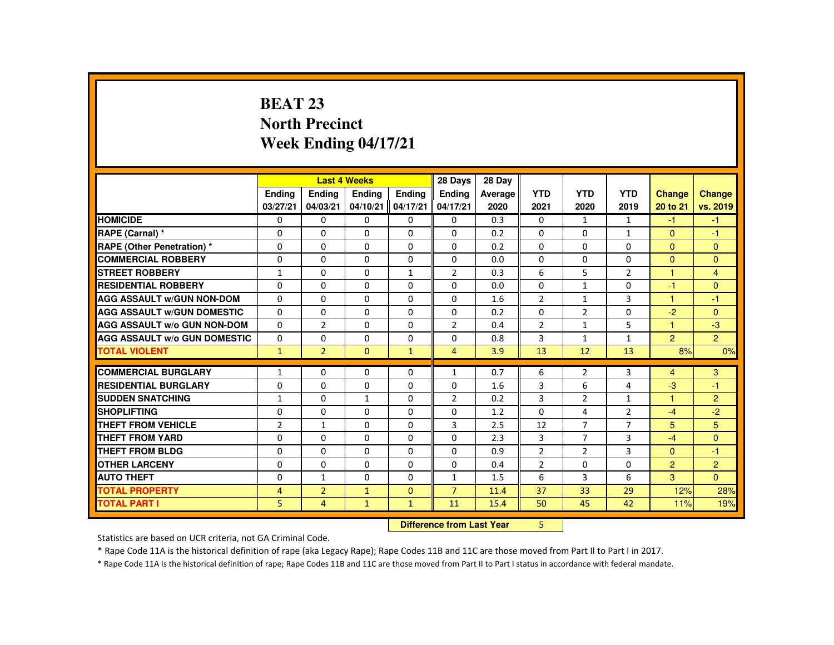# **BEAT 23 North PrecinctWeek Ending 04/17/21**

|                                     |                |                | <b>Last 4 Weeks</b> |               | 28 Days                   | 28 Day  |                |                |                |                |                |
|-------------------------------------|----------------|----------------|---------------------|---------------|---------------------------|---------|----------------|----------------|----------------|----------------|----------------|
|                                     | <b>Endina</b>  | <b>Endina</b>  | <b>Endina</b>       | <b>Endina</b> | <b>Endina</b>             | Average | <b>YTD</b>     | <b>YTD</b>     | <b>YTD</b>     | <b>Change</b>  | Change         |
|                                     | 03/27/21       | 04/03/21       | 04/10/21            | 04/17/21      | 04/17/21                  | 2020    | 2021           | 2020           | 2019           | 20 to 21       | vs. 2019       |
| <b>HOMICIDE</b>                     | $\mathbf{0}$   | $\mathbf{0}$   | 0                   | 0             | 0                         | 0.3     | 0              | $\mathbf{1}$   | $\mathbf{1}$   | $-1$           | $-1$           |
| RAPE (Carnal) *                     | $\Omega$       | $\Omega$       | $\Omega$            | $\Omega$      | $\Omega$                  | 0.2     | $\Omega$       | $\Omega$       | $\mathbf{1}$   | $\Omega$       | $-1$           |
| <b>RAPE (Other Penetration) *</b>   | 0              | $\mathbf{0}$   | $\Omega$            | 0             | 0                         | 0.2     | 0              | 0              | 0              | $\mathbf{0}$   | $\mathbf{0}$   |
| <b>COMMERCIAL ROBBERY</b>           | $\Omega$       | $\Omega$       | $\Omega$            | $\Omega$      | $\Omega$                  | 0.0     | $\Omega$       | $\Omega$       | $\Omega$       | $\Omega$       | $\Omega$       |
| <b>STREET ROBBERY</b>               | $\mathbf{1}$   | $\Omega$       | $\Omega$            | $\mathbf{1}$  | $\overline{2}$            | 0.3     | 6              | 5              | $\overline{2}$ | $\mathbf{1}$   | $\overline{4}$ |
| <b>RESIDENTIAL ROBBERY</b>          | $\Omega$       | $\Omega$       | $\Omega$            | $\Omega$      | $\Omega$                  | 0.0     | $\Omega$       | $\mathbf{1}$   | $\Omega$       | $-1$           | $\Omega$       |
| <b>AGG ASSAULT W/GUN NON-DOM</b>    | $\Omega$       | $\Omega$       | $\Omega$            | $\Omega$      | $\Omega$                  | 1.6     | $\overline{2}$ | $\mathbf{1}$   | 3              | $\mathbf{1}$   | $-1$           |
| <b>AGG ASSAULT W/GUN DOMESTIC</b>   | $\Omega$       | $\Omega$       | $\Omega$            | $\Omega$      | $\Omega$                  | 0.2     | 0              | $\overline{2}$ | $\Omega$       | $-2$           | $\mathbf{0}$   |
| <b>AGG ASSAULT W/o GUN NON-DOM</b>  | $\Omega$       | $\overline{2}$ | $\Omega$            | $\Omega$      | $\overline{2}$            | 0.4     | $\overline{2}$ | $\mathbf{1}$   | 5              | $\mathbf{1}$   | $-3$           |
| <b>AGG ASSAULT W/o GUN DOMESTIC</b> | $\mathbf{0}$   | 0              | 0                   | 0             | 0                         | 0.8     | 3              | $\mathbf{1}$   | $\mathbf{1}$   | $\overline{2}$ | $\overline{2}$ |
| <b>TOTAL VIOLENT</b>                | $\mathbf{1}$   | $\overline{2}$ | $\Omega$            | $\mathbf{1}$  | $\overline{4}$            | 3.9     | 13             | 12             | 13             | 8%             | 0%             |
| <b>COMMERCIAL BURGLARY</b>          | $\mathbf{1}$   | $\Omega$       | $\Omega$            | $\Omega$      | $\mathbf{1}$              | 0.7     | 6              | $\overline{2}$ | 3              | $\overline{4}$ | 3              |
| <b>RESIDENTIAL BURGLARY</b>         | $\Omega$       | $\Omega$       | $\Omega$            | $\Omega$      | $\Omega$                  | 1.6     | 3              | 6              | 4              | $-3$           | -1             |
| <b>SUDDEN SNATCHING</b>             | $\mathbf{1}$   | $\Omega$       | $\mathbf{1}$        | $\Omega$      | $\overline{2}$            | 0.2     | 3              | $\overline{2}$ | $\mathbf{1}$   | $\mathbf{1}$   | $\overline{2}$ |
| <b>SHOPLIFTING</b>                  | 0              | $\Omega$       | $\Omega$            | $\Omega$      | $\Omega$                  | 1.2     | $\Omega$       | 4              | $\overline{2}$ | $-4$           | $-2$           |
| THEFT FROM VEHICLE                  | $\overline{2}$ | $\mathbf{1}$   | $\Omega$            | $\Omega$      | $\overline{3}$            | 2.5     | 12             | $\overline{7}$ | $\overline{7}$ | 5              | 5              |
| <b>THEFT FROM YARD</b>              | $\Omega$       | $\Omega$       | $\Omega$            | $\Omega$      | $\Omega$                  | 2.3     | 3              | $\overline{7}$ | 3              | $-4$           | $\Omega$       |
| THEFT FROM BLDG                     | 0              | $\Omega$       | $\Omega$            | $\Omega$      | $\Omega$                  | 0.9     | $\overline{2}$ | 2              | 3              | $\Omega$       | $-1$           |
| <b>OTHER LARCENY</b>                | $\Omega$       | $\Omega$       | $\Omega$            | $\Omega$      | $\Omega$                  | 0.4     | $\overline{2}$ | $\Omega$       | $\Omega$       | $\overline{2}$ | $\overline{2}$ |
| <b>AUTO THEFT</b>                   | $\Omega$       | $\mathbf{1}$   | $\Omega$            | $\Omega$      | $\mathbf{1}$              | 1.5     | 6              | 3              | 6              | 3              | $\overline{0}$ |
| <b>TOTAL PROPERTY</b>               | $\overline{4}$ | $\overline{2}$ | $\mathbf{1}$        | $\Omega$      | $\overline{7}$            | 11.4    | 37             | 33             | 29             | 12%            | 28%            |
| <b>TOTAL PART I</b>                 | 5              | $\overline{4}$ | $\mathbf{1}$        | $\mathbf{1}$  | 11                        | 15.4    | 50             | 45             | 42             | 11%            | 19%            |
|                                     |                |                |                     |               | Difference from Loot Voor |         | E.             |                |                |                |                |

 **Difference from Last Year**r 5

Statistics are based on UCR criteria, not GA Criminal Code.

\* Rape Code 11A is the historical definition of rape (aka Legacy Rape); Rape Codes 11B and 11C are those moved from Part II to Part I in 2017.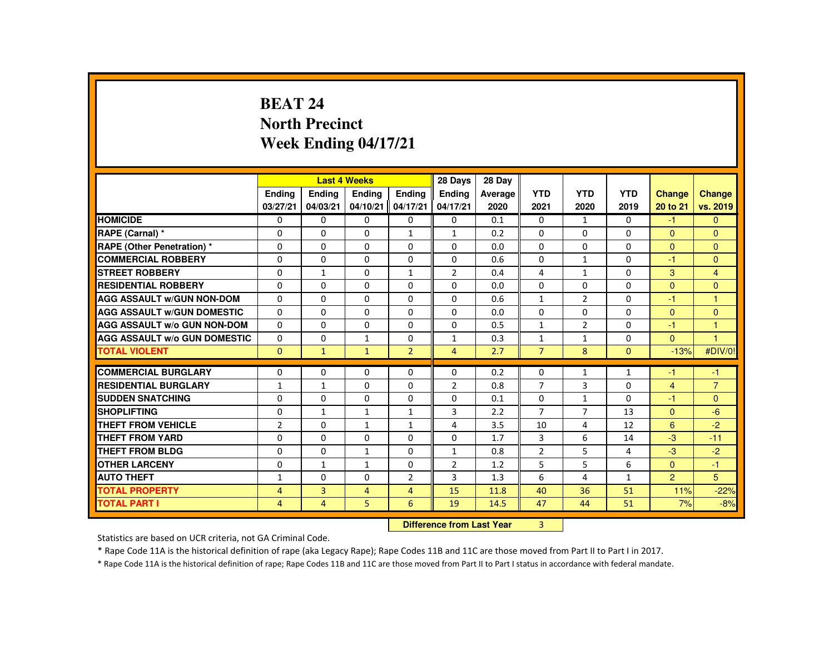# **BEAT 24 North PrecinctWeek Ending 04/17/21**

|                                     |                |                | <b>Last 4 Weeks</b>              |                | 28 Days        | 28 Day  |                |                |              |                |                |
|-------------------------------------|----------------|----------------|----------------------------------|----------------|----------------|---------|----------------|----------------|--------------|----------------|----------------|
|                                     | Ending         | Ending         | Ending                           | <b>Endina</b>  | <b>Endina</b>  | Average | <b>YTD</b>     | <b>YTD</b>     | <b>YTD</b>   | <b>Change</b>  | Change         |
|                                     | 03/27/21       | 04/03/21       | 04/10/21                         | 04/17/21       | 04/17/21       | 2020    | 2021           | 2020           | 2019         | 20 to 21       | vs. 2019       |
| <b>HOMICIDE</b>                     | 0              | $\Omega$       | $\mathbf{0}$                     | $\Omega$       | 0              | 0.1     | 0              | $\mathbf{1}$   | 0            | $-1$           | $\mathbf{0}$   |
| RAPE (Carnal) *                     | $\mathbf{0}$   | $\Omega$       | $\Omega$                         | $\mathbf{1}$   | $\mathbf{1}$   | 0.2     | $\Omega$       | $\Omega$       | $\Omega$     | $\mathbf{0}$   | $\Omega$       |
| <b>RAPE (Other Penetration) *</b>   | $\mathbf{0}$   | $\Omega$       | $\Omega$                         | $\Omega$       | $\Omega$       | 0.0     | $\Omega$       | $\Omega$       | $\Omega$     | $\Omega$       | $\Omega$       |
| <b>COMMERCIAL ROBBERY</b>           | $\mathbf{0}$   | $\Omega$       | $\Omega$                         | $\Omega$       | $\Omega$       | 0.6     | $\Omega$       | $\mathbf{1}$   | $\Omega$     | $-1$           | $\Omega$       |
| <b>STREET ROBBERY</b>               | $\mathbf 0$    | $\mathbf{1}$   | $\Omega$                         | $\mathbf{1}$   | $\overline{2}$ | 0.4     | 4              | $\mathbf{1}$   | $\Omega$     | 3              | $\overline{4}$ |
| <b>RESIDENTIAL ROBBERY</b>          | $\Omega$       | $\Omega$       | $\Omega$                         | $\Omega$       | $\Omega$       | 0.0     | $\Omega$       | $\Omega$       | $\Omega$     | $\Omega$       | $\Omega$       |
| <b>AGG ASSAULT w/GUN NON-DOM</b>    | $\Omega$       | $\Omega$       | $\Omega$                         | $\Omega$       | $\Omega$       | 0.6     | $\mathbf{1}$   | $\overline{2}$ | $\Omega$     | $-1$           | $\overline{1}$ |
| <b>AGG ASSAULT W/GUN DOMESTIC</b>   | $\Omega$       | $\Omega$       | $\Omega$                         | $\Omega$       | $\Omega$       | 0.0     | $\Omega$       | $\Omega$       | $\Omega$     | $\Omega$       | $\mathbf{0}$   |
| <b>AGG ASSAULT W/o GUN NON-DOM</b>  | $\Omega$       | $\Omega$       | $\Omega$                         | 0              | $\Omega$       | 0.5     | $\mathbf{1}$   | $\overline{2}$ | $\Omega$     | -1             | $\mathbf{1}$   |
| <b>AGG ASSAULT W/o GUN DOMESTIC</b> | $\Omega$       | $\Omega$       | $\mathbf{1}$                     | $\Omega$       | $\mathbf{1}$   | 0.3     | $\mathbf{1}$   | $\mathbf{1}$   | $\Omega$     | $\Omega$       | $\overline{1}$ |
| <b>TOTAL VIOLENT</b>                | $\Omega$       | $\mathbf{1}$   | $\mathbf{1}$                     | $\overline{2}$ | $\overline{4}$ | 2.7     | $\overline{7}$ | 8              | $\Omega$     | $-13%$         | #DIV/0!        |
| <b>COMMERCIAL BURGLARY</b>          | $\mathbf{0}$   | $\Omega$       | $\mathbf{0}$                     | $\Omega$       | 0              | 0.2     | 0              | 1              | $\mathbf{1}$ | -1             | $-1$           |
| <b>RESIDENTIAL BURGLARY</b>         | $\mathbf{1}$   | $\mathbf{1}$   | $\Omega$                         | $\Omega$       | $\overline{2}$ | 0.8     | $\overline{7}$ | 3              | $\Omega$     | $\overline{4}$ | $\overline{7}$ |
| <b>SUDDEN SNATCHING</b>             | $\Omega$       | $\Omega$       | $\Omega$                         | $\Omega$       | $\Omega$       | 0.1     | $\Omega$       | $\mathbf{1}$   | $\Omega$     | $-1$           | $\Omega$       |
| <b>SHOPLIFTING</b>                  | 0              | $\mathbf{1}$   | 1                                | $\mathbf{1}$   | 3              | 2.2     | $\overline{7}$ | $\overline{7}$ | 13           | $\overline{0}$ | $-6$           |
| <b>THEFT FROM VEHICLE</b>           | $\overline{2}$ | $\Omega$       | $\mathbf{1}$                     | $\mathbf{1}$   | 4              | 3.5     | 10             | 4              | 12           | 6              | $-2$           |
| <b>THEFT FROM YARD</b>              | $\mathbf{0}$   | $\Omega$       | $\Omega$                         | $\Omega$       | $\Omega$       | 1.7     | 3              | 6              | 14           | $-3$           | $-11$          |
| <b>THEFT FROM BLDG</b>              | $\mathbf{0}$   | $\Omega$       | $\mathbf{1}$                     | $\Omega$       | $\mathbf{1}$   | 0.8     | $\overline{2}$ | 5              | 4            | $-3$           | $-2$           |
| <b>OTHER LARCENY</b>                | $\mathbf{0}$   | $\mathbf{1}$   | $\mathbf{1}$                     | 0              | $\overline{2}$ | 1.2     | 5              | 5              | 6            | $\mathbf{0}$   | $-1$           |
| <b>AUTO THEFT</b>                   | 1              | $\Omega$       | $\Omega$                         | $\overline{2}$ | 3              | 1.3     | 6              | 4              | $\mathbf{1}$ | $\overline{2}$ | 5 <sup>5</sup> |
| <b>TOTAL PROPERTY</b>               | $\overline{4}$ | $\overline{3}$ | $\overline{4}$                   | $\overline{4}$ | 15             | 11.8    | 40             | 36             | 51           | 11%            | $-22%$         |
| <b>TOTAL PART I</b>                 | $\overline{4}$ | $\overline{4}$ | 5                                | 6              | 19             | 14.5    | 47             | 44             | 51           | 7%             | $-8%$          |
|                                     |                |                |                                  |                |                |         |                |                |              |                |                |
|                                     |                |                | <b>Difference from Last Year</b> |                | 3              |         |                |                |              |                |                |

 **Difference from Last Year**

Statistics are based on UCR criteria, not GA Criminal Code.

\* Rape Code 11A is the historical definition of rape (aka Legacy Rape); Rape Codes 11B and 11C are those moved from Part II to Part I in 2017.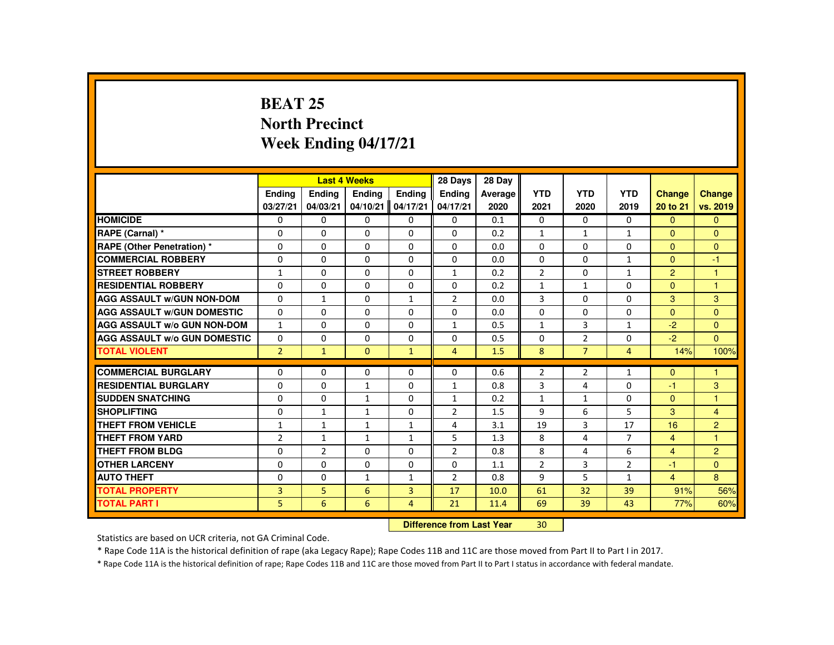# **BEAT 25 North PrecinctWeek Ending 04/17/21**

|                                     |                |                                | <b>Last 4 Weeks</b> |                | 28 Days        | 28 Day  |                |                |                |                      |                |
|-------------------------------------|----------------|--------------------------------|---------------------|----------------|----------------|---------|----------------|----------------|----------------|----------------------|----------------|
|                                     | Ending         | Ending                         | Ending              | <b>Endina</b>  | <b>Endina</b>  | Average | <b>YTD</b>     | <b>YTD</b>     | <b>YTD</b>     | <b>Change</b>        | Change         |
|                                     | 03/27/21       | 04/03/21                       | 04/10/21            | 04/17/21       | 04/17/21       | 2020    | 2021           | 2020           | 2019           | 20 to 21             | vs. 2019       |
| <b>HOMICIDE</b>                     | $\Omega$       | $\Omega$                       | $\Omega$            | $\Omega$       | 0              | 0.1     | 0              | $\Omega$       | 0              | $\Omega$             | $\mathbf{0}$   |
| RAPE (Carnal) *                     | $\Omega$       | $\Omega$                       | $\Omega$            | $\Omega$       | $\Omega$       | 0.2     | $\mathbf{1}$   | $\mathbf{1}$   | $\mathbf{1}$   | $\mathbf{0}$         | $\Omega$       |
| RAPE (Other Penetration) *          | 0              | $\Omega$                       | $\Omega$            | $\Omega$       | 0              | 0.0     | 0              | $\Omega$       | $\Omega$       | $\Omega$             | $\mathbf{0}$   |
| <b>COMMERCIAL ROBBERY</b>           | $\Omega$       | $\Omega$                       | $\Omega$            | $\Omega$       | $\Omega$       | 0.0     | $\Omega$       | $\Omega$       | $\mathbf{1}$   | $\Omega$             | $-1$           |
| <b>STREET ROBBERY</b>               | $\mathbf{1}$   | $\Omega$                       | $\Omega$            | $\Omega$       | $\mathbf{1}$   | 0.2     | $\overline{2}$ | $\Omega$       | $\mathbf{1}$   | $\overline{2}$       | $\mathbf{1}$   |
| <b>RESIDENTIAL ROBBERY</b>          | $\mathbf{0}$   | $\Omega$                       | $\mathbf{0}$        | $\mathbf{0}$   | 0              | 0.2     | $\mathbf{1}$   | 1              | 0              | $\mathbf{0}$         | $\overline{1}$ |
| <b>AGG ASSAULT W/GUN NON-DOM</b>    | $\Omega$       | $\mathbf{1}$                   | $\Omega$            | $\mathbf{1}$   | $\overline{2}$ | 0.0     | 3              | $\Omega$       | $\Omega$       | 3                    | 3              |
| <b>AGG ASSAULT W/GUN DOMESTIC</b>   | $\Omega$       | $\Omega$                       | $\Omega$            | $\Omega$       | $\Omega$       | 0.0     | $\Omega$       | $\Omega$       | $\Omega$       | $\Omega$             | $\overline{0}$ |
| <b>AGG ASSAULT W/o GUN NON-DOM</b>  | $\mathbf{1}$   | $\Omega$                       | $\Omega$            | $\Omega$       | $\mathbf{1}$   | 0.5     | $\mathbf{1}$   | $\overline{3}$ | $\mathbf{1}$   | $-2$                 | $\Omega$       |
| <b>AGG ASSAULT W/o GUN DOMESTIC</b> | $\Omega$       | $\Omega$                       | $\Omega$            | $\Omega$       | $\Omega$       | 0.5     | $\Omega$       | $\overline{2}$ | $\Omega$       | $-2$                 | $\Omega$       |
| <b>TOTAL VIOLENT</b>                | $\overline{2}$ | $\mathbf{1}$                   | $\Omega$            | $\mathbf{1}$   | $\overline{4}$ | 1.5     | 8              | $\overline{7}$ | $\overline{4}$ | 14%                  | 100%           |
| <b>COMMERCIAL BURGLARY</b>          | $\Omega$       | $\Omega$                       | $\Omega$            | $\Omega$       | $\Omega$       | 0.6     | $\overline{2}$ | $\overline{2}$ | $\mathbf{1}$   | $\Omega$             | $\overline{1}$ |
| <b>RESIDENTIAL BURGLARY</b>         | $\Omega$       | $\Omega$                       | $\mathbf{1}$        | $\Omega$       | $\mathbf{1}$   | 0.8     | 3              | 4              | 0              | -1                   | 3              |
| <b>SUDDEN SNATCHING</b>             | $\mathbf{0}$   | $\Omega$                       | $\mathbf{1}$        | $\Omega$       | $\mathbf{1}$   | 0.2     | $\mathbf{1}$   | $\mathbf{1}$   | $\Omega$       | $\mathbf{0}$         | 1              |
| <b>SHOPLIFTING</b>                  | $\Omega$       | $\mathbf{1}$                   | $\mathbf{1}$        | $\Omega$       | $\overline{2}$ | 1.5     | 9              | 6              | 5              | 3                    | $\overline{4}$ |
| <b>THEFT FROM VEHICLE</b>           | $\mathbf{1}$   | $\mathbf{1}$                   | $\mathbf{1}$        | $\mathbf{1}$   | 4              | 3.1     | 19             | $\overline{3}$ | 17             | 16                   | $\overline{2}$ |
| <b>THEFT FROM YARD</b>              | $\overline{2}$ |                                | $\mathbf{1}$        | $\mathbf{1}$   | 5              | 1.3     | 8              | 4              | $\overline{7}$ | $\overline{4}$       | $\mathbf{1}$   |
| <b>THEFT FROM BLDG</b>              | $\mathbf{0}$   | $\mathbf{1}$<br>$\overline{2}$ | $\Omega$            | $\Omega$       | $\overline{2}$ | 0.8     | 8              | 4              | 6              |                      | $\overline{2}$ |
| <b>OTHER LARCENY</b>                | $\Omega$       | $\Omega$                       | $\Omega$            | $\Omega$       | $\Omega$       |         | $\overline{2}$ | $\overline{3}$ | $\overline{2}$ | $\overline{4}$<br>-1 | $\Omega$       |
|                                     |                |                                |                     |                |                | 1.1     |                |                |                |                      |                |
| <b>AUTO THEFT</b>                   | $\mathbf{0}$   | $\Omega$                       | $\mathbf{1}$        | $\mathbf{1}$   | $\overline{2}$ | 0.8     | 9              | 5              | $\mathbf{1}$   | $\overline{4}$       | 8              |
| <b>TOTAL PROPERTY</b>               | $\overline{3}$ | 5                              | 6                   | $\overline{3}$ | 17             | 10.0    | 61             | 32             | 39             | 91%                  | 56%            |
| <b>TOTAL PART I</b>                 | 5.             | 6                              | 6                   | 4              | 21             | 11.4    | 69             | 39             | 43             | 77%                  | 60%            |
|                                     |                | Difference from Leat Vaca      |                     | $20^{\circ}$   |                |         |                |                |                |                      |                |

 **Difference from Last Year**<sup>30</sup>

Statistics are based on UCR criteria, not GA Criminal Code.

\* Rape Code 11A is the historical definition of rape (aka Legacy Rape); Rape Codes 11B and 11C are those moved from Part II to Part I in 2017.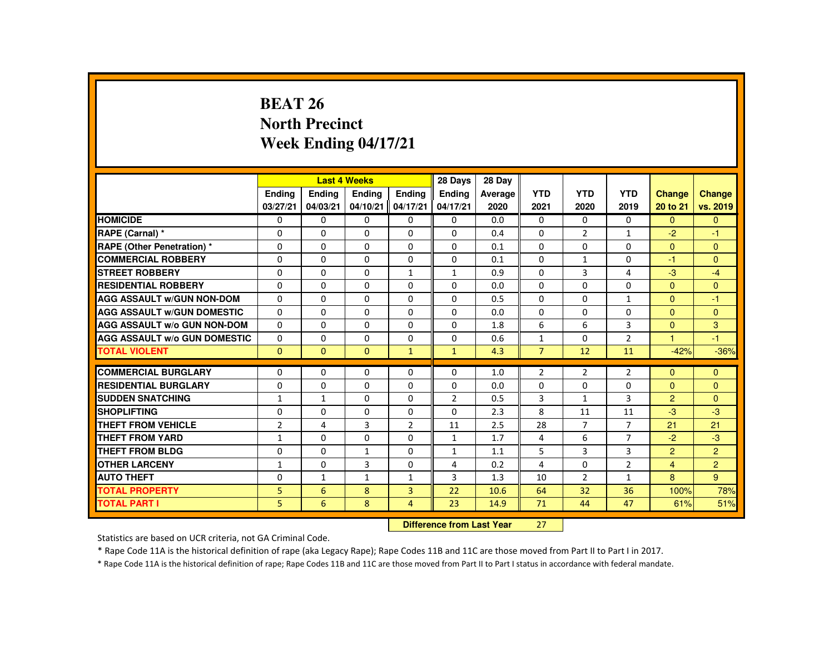# **BEAT 26 North PrecinctWeek Ending 04/17/21**

|                                     |                |              | <b>Last 4 Weeks</b> |                | 28 Days        | 28 Day                     |                |                |                |                |                |
|-------------------------------------|----------------|--------------|---------------------|----------------|----------------|----------------------------|----------------|----------------|----------------|----------------|----------------|
|                                     | Ending         | Ending       | Ending              | <b>Endina</b>  | <b>Endina</b>  | Average                    | <b>YTD</b>     | <b>YTD</b>     | <b>YTD</b>     | <b>Change</b>  | Change         |
|                                     | 03/27/21       | 04/03/21     | 04/10/21            | 04/17/21       | 04/17/21       | 2020                       | 2021           | 2020           | 2019           | 20 to 21       | vs. 2019       |
| <b>HOMICIDE</b>                     | 0              | $\Omega$     | $\Omega$            | $\Omega$       | 0              | 0.0                        | 0              | $\Omega$       | $\Omega$       | $\Omega$       | $\mathbf{0}$   |
| RAPE (Carnal) *                     | $\Omega$       | $\Omega$     | $\Omega$            | $\Omega$       | $\Omega$       | 0.4                        | $\Omega$       | $\overline{2}$ | $\mathbf{1}$   | $-2$           | $-1$           |
| <b>RAPE (Other Penetration) *</b>   | $\Omega$       | $\Omega$     | $\Omega$            | $\Omega$       | $\Omega$       | 0.1                        | $\Omega$       | $\Omega$       | $\Omega$       | $\Omega$       | $\mathbf{0}$   |
| <b>COMMERCIAL ROBBERY</b>           | $\Omega$       | $\Omega$     | $\Omega$            | $\Omega$       | $\Omega$       | 0.1                        | $\Omega$       | $\mathbf{1}$   | $\Omega$       | $-1$           | $\Omega$       |
| <b>STREET ROBBERY</b>               | $\Omega$       | $\Omega$     | $\Omega$            | $\mathbf{1}$   | $\mathbf{1}$   | 0.9                        | $\Omega$       | $\mathbf{3}$   | 4              | $-3$           | $-4$           |
| <b>RESIDENTIAL ROBBERY</b>          | $\mathbf{0}$   | $\Omega$     | $\mathbf{0}$        | 0              | 0              | 0.0                        | 0              | 0              | 0              | $\Omega$       | $\mathbf{0}$   |
| <b>AGG ASSAULT W/GUN NON-DOM</b>    | $\Omega$       | $\Omega$     | $\Omega$            | $\Omega$       | 0              | 0.5                        | $\Omega$       | $\Omega$       | $\mathbf{1}$   | $\mathbf{0}$   | $-1$           |
| <b>AGG ASSAULT W/GUN DOMESTIC</b>   | $\Omega$       | $\Omega$     | $\Omega$            | $\Omega$       | $\Omega$       | 0.0                        | $\Omega$       | $\Omega$       | $\Omega$       | $\Omega$       | $\overline{0}$ |
| <b>AGG ASSAULT W/o GUN NON-DOM</b>  | $\Omega$       | $\Omega$     | $\Omega$            | $\Omega$       | $\Omega$       | 1.8                        | 6              | 6              | $\overline{3}$ | $\Omega$       | 3              |
| <b>AGG ASSAULT W/o GUN DOMESTIC</b> | 0              | $\Omega$     | $\Omega$            | $\Omega$       | $\Omega$       | 0.6                        | $\mathbf{1}$   | $\Omega$       | $\overline{2}$ | $\overline{1}$ | $-1$           |
| <b>TOTAL VIOLENT</b>                | $\Omega$       | $\mathbf{0}$ | $\Omega$            | $\mathbf{1}$   | $\mathbf{1}$   | 4.3                        | $\overline{7}$ | 12             | 11             | $-42%$         | $-36%$         |
| <b>COMMERCIAL BURGLARY</b>          | $\Omega$       | $\Omega$     | $\Omega$            | $\Omega$       | $\Omega$       | 1.0                        | $\overline{2}$ | $\overline{2}$ | $\overline{2}$ | $\Omega$       | $\Omega$       |
| <b>RESIDENTIAL BURGLARY</b>         | 0              | $\Omega$     | $\Omega$            | $\Omega$       | $\Omega$       | 0.0                        | 0              | 0              | 0              | $\mathbf{0}$   | $\mathbf{0}$   |
| <b>SUDDEN SNATCHING</b>             | $\mathbf{1}$   | $\mathbf{1}$ | $\Omega$            | $\Omega$       | $\overline{2}$ | 0.5                        | 3              | $\mathbf{1}$   | 3              | $\overline{2}$ | $\Omega$       |
| <b>SHOPLIFTING</b>                  | $\Omega$       | $\Omega$     | $\Omega$            | $\Omega$       | $\Omega$       | 2.3                        | 8              | 11             | 11             | $-3$           | $-3$           |
| <b>THEFT FROM VEHICLE</b>           | $\overline{2}$ | 4            | 3                   | $\overline{2}$ | 11             | 2.5                        | 28             | $\overline{7}$ | $\overline{7}$ | 21             | 21             |
| <b>THEFT FROM YARD</b>              | $\mathbf{1}$   | $\Omega$     | $\Omega$            | $\Omega$       | $\mathbf{1}$   | 1.7                        | 4              | 6              | $\overline{7}$ | $-2$           | $-3$           |
| THEFT FROM BLDG                     | $\mathbf{0}$   | $\Omega$     | $\mathbf{1}$        | 0              | 1              | 1.1                        | 5              | 3              | 3              | $\overline{2}$ | $\overline{2}$ |
| <b>OTHER LARCENY</b>                | 1              | $\mathbf{0}$ | 3                   | 0              | 4              | 0.2                        | 4              | $\Omega$       | $\overline{2}$ | $\overline{4}$ | 2 <sup>1</sup> |
| <b>AUTO THEFT</b>                   | $\Omega$       | $\mathbf{1}$ | $\mathbf{1}$        | $\mathbf{1}$   | 3              | 1.3                        | 10             | $\overline{2}$ | $\mathbf{1}$   | 8              | 9 <sup>°</sup> |
| <b>TOTAL PROPERTY</b>               | 5.             | 6            | 8                   | $\overline{3}$ | 22             | 10.6                       | 64             | 32             | 36             | 100%           | 78%            |
| <b>TOTAL PART I</b>                 | 5.             | 6            | 8                   | 4              | 23             | 14.9                       | 71             | 44             | 47             | 61%            | 51%            |
|                                     |                |              |                     |                |                | Difference from Least Vacu | 27             |                |                |                |                |

 **Difference from Last Year**<sup>27</sup>

Statistics are based on UCR criteria, not GA Criminal Code.

\* Rape Code 11A is the historical definition of rape (aka Legacy Rape); Rape Codes 11B and 11C are those moved from Part II to Part I in 2017.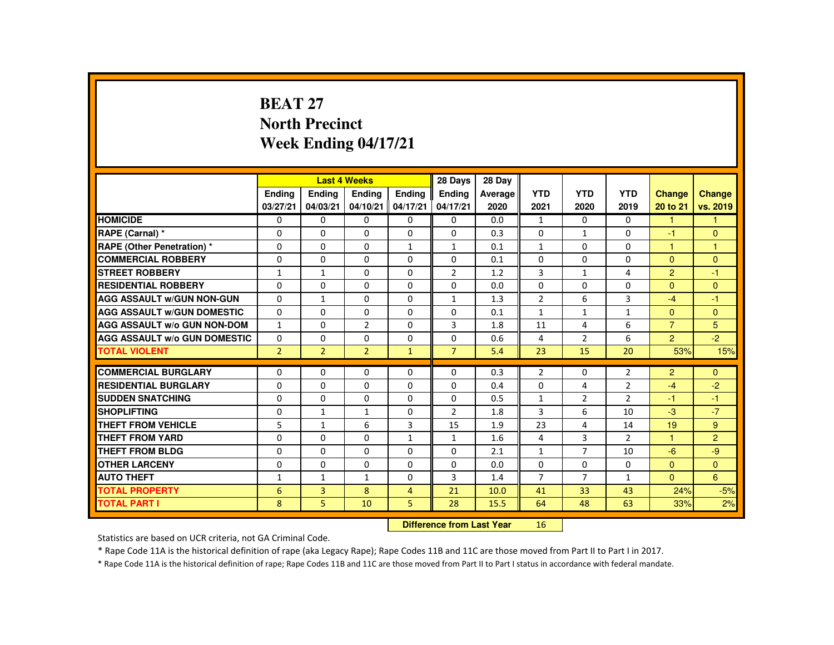## **BEAT 27 North PrecinctWeek Ending 04/17/21**

|                                     |                |                           | <b>Last 4 Weeks</b> |                | 28 Days        | 28 Day  |                |                |                |                |                |
|-------------------------------------|----------------|---------------------------|---------------------|----------------|----------------|---------|----------------|----------------|----------------|----------------|----------------|
|                                     | <b>Endina</b>  | <b>Ending</b>             | <b>Ending</b>       | Ending         | Ending         | Average | <b>YTD</b>     | <b>YTD</b>     | <b>YTD</b>     | <b>Change</b>  | <b>Change</b>  |
|                                     | 03/27/21       | 04/03/21                  | 04/10/21            | 04/17/21       | 04/17/21       | 2020    | 2021           | 2020           | 2019           | 20 to 21       | vs. 2019       |
| <b>HOMICIDE</b>                     | $\Omega$       | $\Omega$                  | $\mathbf{0}$        | $\Omega$       | $\Omega$       | 0.0     | $\mathbf{1}$   | $\Omega$       | $\Omega$       | $\mathbf{1}$   | 1.             |
| RAPE (Carnal) *                     | $\Omega$       | $\Omega$                  | $\mathbf{0}$        | $\Omega$       | $\Omega$       | 0.3     | $\Omega$       | $\mathbf{1}$   | $\Omega$       | -1             | $\Omega$       |
| RAPE (Other Penetration) *          | $\Omega$       | $\Omega$                  | $\Omega$            | $\mathbf{1}$   | $\mathbf{1}$   | 0.1     | $\mathbf{1}$   | $\Omega$       | 0              | 1              | $\mathbf{1}$   |
| <b>COMMERCIAL ROBBERY</b>           | $\Omega$       | $\Omega$                  | $\Omega$            | $\Omega$       | $\Omega$       | 0.1     | $\Omega$       | $\Omega$       | $\Omega$       | $\Omega$       | $\mathbf{0}$   |
| <b>STREET ROBBERY</b>               | $\mathbf{1}$   | $\mathbf{1}$              | $\Omega$            | $\Omega$       | $\overline{2}$ | 1.2     | 3              | $\mathbf{1}$   | 4              | $\mathcal{P}$  | $-1$           |
| <b>RESIDENTIAL ROBBERY</b>          | $\Omega$       | $\Omega$                  | 0                   | $\mathbf{0}$   | 0              | 0.0     | $\Omega$       | 0              | 0              | $\mathbf{0}$   | $\Omega$       |
| <b>AGG ASSAULT W/GUN NON-GUN</b>    | $\Omega$       | $\mathbf{1}$              | $\Omega$            | $\Omega$       | $\mathbf{1}$   | 1.3     | $\overline{2}$ | 6              | $\overline{3}$ | $-4$           | $-1$           |
| <b>AGG ASSAULT W/GUN DOMESTIC</b>   | $\Omega$       | $\Omega$                  | $\Omega$            | $\Omega$       | $\Omega$       | 0.1     | $\mathbf{1}$   | $\mathbf{1}$   | $\mathbf{1}$   | $\Omega$       | $\mathbf{0}$   |
| <b>AGG ASSAULT W/o GUN NON-DOM</b>  | $\mathbf{1}$   | $\Omega$                  | $\overline{2}$      | $\Omega$       | 3              | 1.8     | 11             | 4              | 6              | $\overline{7}$ | 5              |
| <b>AGG ASSAULT W/o GUN DOMESTIC</b> | $\Omega$       | $\Omega$                  | $\Omega$            | $\Omega$       | $\Omega$       | 0.6     | 4              | $\overline{2}$ | 6              | $\overline{2}$ | $-2$           |
| <b>TOTAL VIOLENT</b>                | $\overline{2}$ | $\overline{2}$            | $\overline{2}$      | $\mathbf{1}$   | $\overline{7}$ | 5.4     | 23             | 15             | 20             | 53%            | 15%            |
|                                     |                |                           |                     |                |                |         |                |                |                |                |                |
| <b>COMMERCIAL BURGLARY</b>          | $\Omega$       | $\Omega$                  | $\Omega$            | $\Omega$       | $\Omega$       | 0.3     | $\overline{2}$ | $\Omega$       | $\overline{2}$ | $\overline{2}$ | $\Omega$       |
| <b>RESIDENTIAL BURGLARY</b>         | $\Omega$       | $\Omega$                  | $\Omega$            | $\Omega$       | $\Omega$       | 0.4     | $\Omega$       | 4              | $\overline{2}$ | $-4$           | $-2$           |
| <b>SUDDEN SNATCHING</b>             | $\Omega$       | $\Omega$                  | $\Omega$            | $\Omega$       | $\Omega$       | 0.5     | $\mathbf{1}$   | $\overline{2}$ | $\overline{2}$ | -1             | $-1$           |
| <b>SHOPLIFTING</b>                  | $\Omega$       | $\mathbf{1}$              | $\mathbf{1}$        | $\Omega$       | $\overline{2}$ | 1.8     | 3              | 6              | 10             | $-3$           | $-7$           |
| <b>THEFT FROM VEHICLE</b>           | 5              | $\mathbf{1}$              | 6                   | $\overline{3}$ | 15             | 1.9     | 23             | $\overline{4}$ | 14             | 19             | 9              |
| <b>THEFT FROM YARD</b>              | $\Omega$       | $\Omega$                  | $\Omega$            | $\mathbf{1}$   | $\mathbf{1}$   | 1.6     | 4              | $\overline{3}$ | $\overline{2}$ | 1              | $\overline{2}$ |
| <b>THEFT FROM BLDG</b>              | $\Omega$       | $\Omega$                  | $\Omega$            | $\Omega$       | $\Omega$       | 2.1     | $\mathbf{1}$   | $\overline{7}$ | 10             | $-6$           | $-9$           |
| <b>OTHER LARCENY</b>                | $\Omega$       | $\Omega$                  | $\Omega$            | $\Omega$       | $\Omega$       | 0.0     | $\Omega$       | $\Omega$       | 0              | $\Omega$       | $\mathbf{0}$   |
| <b>AUTO THEFT</b>                   | $\mathbf{1}$   | $\mathbf{1}$              | $\mathbf{1}$        | $\Omega$       | 3              | 1.4     | $\overline{7}$ | $\overline{7}$ | $\mathbf{1}$   | $\Omega$       | 6              |
| <b>TOTAL PROPERTY</b>               | 6              | $\overline{3}$            | 8                   | $\overline{4}$ | 21             | 10.0    | 41             | 33             | 43             | 24%            | $-5%$          |
| <b>TOTAL PART I</b>                 | 8              | 5                         | 10                  | 5.             | 28             | 15.5    | 64             | 48             | 63             | 33%            | 2%             |
|                                     |                | Difference from Load Vacc |                     | AC             |                |         |                |                |                |                |                |

 **Difference from Last Year**<sup>16</sup>

Statistics are based on UCR criteria, not GA Criminal Code.

\* Rape Code 11A is the historical definition of rape (aka Legacy Rape); Rape Codes 11B and 11C are those moved from Part II to Part I in 2017.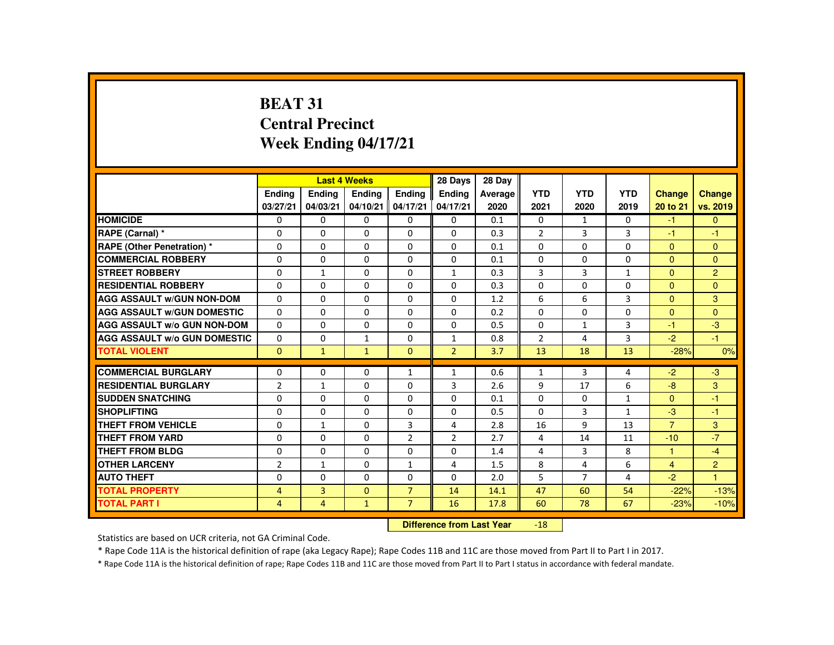# **BEAT 31 Central PrecinctWeek Ending 04/17/21**

|                                     |                |                | <b>Last 4 Weeks</b> |                | 28 Days                   | 28 Day  |                |                |              |                |                |
|-------------------------------------|----------------|----------------|---------------------|----------------|---------------------------|---------|----------------|----------------|--------------|----------------|----------------|
|                                     | <b>Endina</b>  | Ending         | <b>Endina</b>       | <b>Endina</b>  | <b>Endina</b>             | Average | <b>YTD</b>     | <b>YTD</b>     | <b>YTD</b>   | <b>Change</b>  | <b>Change</b>  |
|                                     | 03/27/21       | 04/03/21       | 04/10/21            | 04/17/21       | 04/17/21                  | 2020    | 2021           | 2020           | 2019         | 20 to 21       | vs. 2019       |
| <b>HOMICIDE</b>                     | $\mathbf{0}$   | 0              | 0                   | 0              | 0                         | 0.1     | 0              | $\mathbf{1}$   | $\mathbf{0}$ | $-1$           | $\mathbf{0}$   |
| RAPE (Carnal) *                     | 0              | 0              | 0                   | $\Omega$       | 0                         | 0.3     | $\overline{2}$ | 3              | 3            | $-1$           | $-1$           |
| RAPE (Other Penetration) *          | $\Omega$       | $\Omega$       | $\Omega$            | $\Omega$       | $\Omega$                  | 0.1     | $\Omega$       | $\Omega$       | $\Omega$     | $\Omega$       | $\Omega$       |
| <b>COMMERCIAL ROBBERY</b>           | $\Omega$       | $\Omega$       | $\Omega$            | $\Omega$       | $\Omega$                  | 0.1     | $\Omega$       | $\Omega$       | $\Omega$     | $\Omega$       | $\mathbf{0}$   |
| <b>STREET ROBBERY</b>               | $\Omega$       | $\mathbf{1}$   | $\Omega$            | $\Omega$       | $\mathbf{1}$              | 0.3     | 3              | $\mathbf{3}$   | $\mathbf{1}$ | $\Omega$       | $\overline{2}$ |
| <b>RESIDENTIAL ROBBERY</b>          | 0              | 0              | 0                   | 0              | 0                         | 0.3     | 0              | 0              | 0            | $\Omega$       | $\mathbf{0}$   |
| <b>AGG ASSAULT w/GUN NON-DOM</b>    | $\Omega$       | $\Omega$       | $\Omega$            | $\Omega$       | $\Omega$                  | 1.2     | 6              | 6              | 3            | $\Omega$       | 3              |
| <b>AGG ASSAULT W/GUN DOMESTIC</b>   | $\Omega$       | $\Omega$       | $\Omega$            | $\Omega$       | $\Omega$                  | 0.2     | $\Omega$       | $\Omega$       | $\Omega$     | $\Omega$       | $\Omega$       |
| <b>AGG ASSAULT W/o GUN NON-DOM</b>  | $\Omega$       | $\Omega$       | $\Omega$            | $\Omega$       | $\Omega$                  | 0.5     | $\Omega$       | $\mathbf{1}$   | 3            | $-1$           | $-3$           |
| <b>AGG ASSAULT W/o GUN DOMESTIC</b> | $\Omega$       | $\Omega$       | $\mathbf{1}$        | $\Omega$       | $\mathbf{1}$              | 0.8     | $\overline{2}$ | 4              | 3            | $-2$           | $-1$           |
| <b>TOTAL VIOLENT</b>                | $\Omega$       | $\mathbf{1}$   | $\mathbf{1}$        | $\Omega$       | $\overline{2}$            | 3.7     | 13             | 18             | 13           | $-28%$         | 0%             |
| <b>COMMERCIAL BURGLARY</b>          | $\Omega$       | $\Omega$       | $\Omega$            | $\mathbf{1}$   | $\mathbf{1}$              | 0.6     | $\mathbf{1}$   | 3              | 4            | $-2$           | $-3$           |
| <b>RESIDENTIAL BURGLARY</b>         | $\overline{2}$ | $\mathbf{1}$   | 0                   | 0              | 3                         | 2.6     | 9              | 17             | 6            | $-8$           | 3              |
| <b>SUDDEN SNATCHING</b>             | $\Omega$       | $\Omega$       | $\Omega$            | $\Omega$       | $\Omega$                  | 0.1     | $\Omega$       | 0              | $\mathbf{1}$ | $\mathbf{0}$   | $-1$           |
| <b>SHOPLIFTING</b>                  | $\Omega$       | $\Omega$       | $\Omega$            | $\Omega$       | $\Omega$                  | 0.5     | $\Omega$       | 3              | $\mathbf{1}$ | $-3$           | $-1$           |
| <b>THEFT FROM VEHICLE</b>           | $\Omega$       | $\mathbf{1}$   | $\Omega$            | $\overline{3}$ | 4                         | 2.8     | 16             | 9              | 13           | $\overline{7}$ | 3              |
| <b>THEFT FROM YARD</b>              | 0              | $\Omega$       | $\Omega$            | $\overline{2}$ | $\overline{2}$            | 2.7     | 4              | 14             | 11           | $-10$          | $-7$           |
| <b>THEFT FROM BLDG</b>              | 0              | $\Omega$       | 0                   | $\Omega$       | $\Omega$                  | 1.4     | 4              | 3              | 8            | $\mathbf{1}$   | $-4$           |
| <b>OTHER LARCENY</b>                | $\overline{2}$ | $\mathbf{1}$   | $\Omega$            | $\mathbf{1}$   | 4                         | 1.5     | 8              | 4              | 6            | $\overline{4}$ | $\overline{2}$ |
| <b>AUTO THEFT</b>                   | $\Omega$       | $\Omega$       | $\Omega$            | 0              | $\Omega$                  | 2.0     | 5              | $\overline{7}$ | 4            | $-2$           | $\mathbf{1}$   |
| <b>TOTAL PROPERTY</b>               | 4              | $\overline{3}$ | $\Omega$            | $\overline{7}$ | 14                        | 14.1    | 47             | 60             | 54           | $-22%$         | $-13%$         |
| <b>TOTAL PART I</b>                 | 4              | $\overline{4}$ | $\mathbf{1}$        | $\overline{7}$ | 16                        | 17.8    | 60             | 78             | 67           | $-23%$         | $-10%$         |
|                                     |                |                |                     |                | Difference from Loot Voor |         | <b>10</b>      |                |              |                |                |

 **Difference from Last Year**-18

Statistics are based on UCR criteria, not GA Criminal Code.

\* Rape Code 11A is the historical definition of rape (aka Legacy Rape); Rape Codes 11B and 11C are those moved from Part II to Part I in 2017.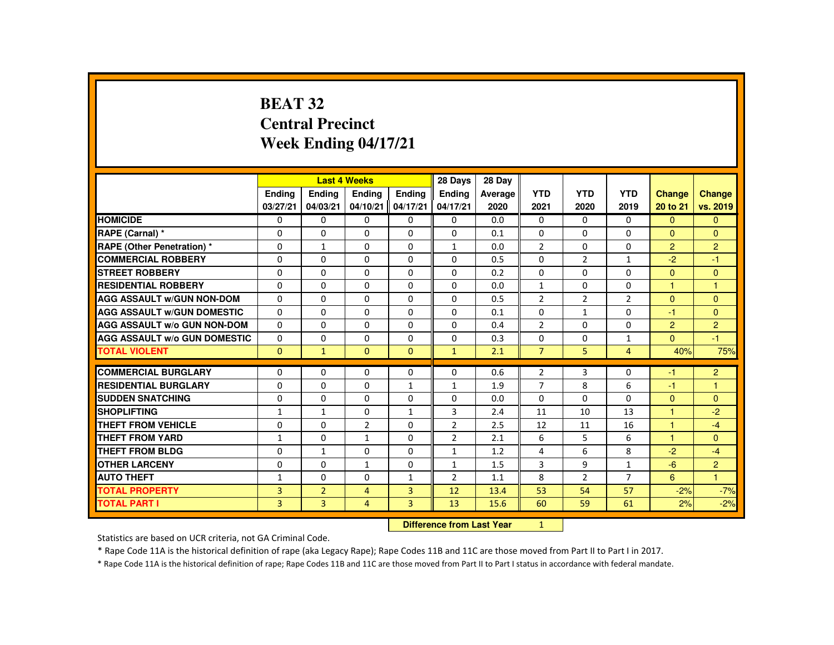# **BEAT 32 Central PrecinctWeek Ending 04/17/21**

|                                     |                |                                  | <b>Last 4 Weeks</b> |                | 28 Days        | 28 Day  |                |                |                |                |                |
|-------------------------------------|----------------|----------------------------------|---------------------|----------------|----------------|---------|----------------|----------------|----------------|----------------|----------------|
|                                     | Ending         | Ending                           | Ending              | <b>Endina</b>  | <b>Endina</b>  | Average | <b>YTD</b>     | <b>YTD</b>     | <b>YTD</b>     | Change         | Change         |
|                                     | 03/27/21       | 04/03/21                         | 04/10/21            | 04/17/21       | 04/17/21       | 2020    | 2021           | 2020           | 2019           | 20 to 21       | vs. 2019       |
| <b>HOMICIDE</b>                     | 0              | $\mathbf{0}$                     | 0                   | 0              | 0              | 0.0     | 0              | 0              | $\mathbf{0}$   | $\mathbf{0}$   | $\mathbf{0}$   |
| RAPE (Carnal) *                     | $\Omega$       | $\Omega$                         | $\Omega$            | $\Omega$       | $\Omega$       | 0.1     | $\Omega$       | $\Omega$       | $\Omega$       | $\Omega$       | $\Omega$       |
| <b>RAPE (Other Penetration) *</b>   | $\mathbf 0$    | $\mathbf{1}$                     | $\Omega$            | $\Omega$       | $\mathbf{1}$   | 0.0     | $\overline{2}$ | $\Omega$       | $\Omega$       | $\overline{2}$ | $\overline{2}$ |
| <b>COMMERCIAL ROBBERY</b>           | $\Omega$       | $\Omega$                         | $\Omega$            | $\Omega$       | $\Omega$       | 0.5     | $\Omega$       | $\overline{2}$ | $\mathbf{1}$   | $-2$           | $-1$           |
| <b>STREET ROBBERY</b>               | $\mathbf{0}$   | $\Omega$                         | $\Omega$            | $\Omega$       | $\Omega$       | 0.2     | $\Omega$       | $\Omega$       | $\Omega$       | $\Omega$       | $\mathbf{0}$   |
| <b>RESIDENTIAL ROBBERY</b>          | $\Omega$       | $\Omega$                         | $\Omega$            | $\Omega$       | $\Omega$       | 0.0     | $\mathbf{1}$   | $\Omega$       | $\Omega$       | $\mathbf{1}$   | $\mathbf{1}$   |
| <b>AGG ASSAULT W/GUN NON-DOM</b>    | $\Omega$       | $\Omega$                         | $\Omega$            | $\Omega$       | $\Omega$       | 0.5     | $\overline{2}$ | $\overline{2}$ | $\overline{2}$ | $\mathbf{0}$   | $\mathbf{0}$   |
| <b>AGG ASSAULT W/GUN DOMESTIC</b>   | $\Omega$       | $\Omega$                         | $\Omega$            | $\Omega$       | $\Omega$       | 0.1     | $\Omega$       | $\mathbf{1}$   | $\Omega$       | $-1$           | $\mathbf{0}$   |
| <b>AGG ASSAULT W/o GUN NON-DOM</b>  | $\mathbf{0}$   | $\mathbf{0}$                     | 0                   | $\Omega$       | 0              | 0.4     | $\overline{2}$ | $\Omega$       | 0              | $\overline{2}$ | $\overline{2}$ |
| <b>AGG ASSAULT W/o GUN DOMESTIC</b> | $\Omega$       | 0                                | $\Omega$            | 0              | $\mathbf 0$    | 0.3     | 0              | 0              | $\mathbf{1}$   | $\overline{0}$ | $-1$           |
| <b>TOTAL VIOLENT</b>                | $\Omega$       | $\mathbf{1}$                     | $\mathbf{0}$        | $\mathbf{0}$   | $\mathbf{1}$   | 2.1     | $\overline{7}$ | 5              | $\overline{4}$ | 40%            | 75%            |
| <b>COMMERCIAL BURGLARY</b>          | $\Omega$       | $\Omega$                         | $\Omega$            | $\Omega$       | $\Omega$       | 0.6     | $\overline{2}$ | 3              | $\Omega$       | $-1$           | $\overline{2}$ |
| <b>RESIDENTIAL BURGLARY</b>         | $\Omega$       | $\Omega$                         | $\Omega$            | $\mathbf{1}$   | $\mathbf{1}$   | 1.9     | $\overline{7}$ | 8              | 6              | $-1$           | $\mathbf{1}$   |
| <b>SUDDEN SNATCHING</b>             | $\Omega$       | $\Omega$                         | $\Omega$            | $\Omega$       | $\Omega$       | 0.0     | $\Omega$       | $\Omega$       | $\Omega$       | $\Omega$       | $\Omega$       |
| <b>SHOPLIFTING</b>                  | 1              | $\mathbf{1}$                     | 0                   | $\mathbf{1}$   | 3              | 2.4     | 11             | 10             | 13             | $\mathbf{1}$   | $-2$           |
| <b>THEFT FROM VEHICLE</b>           | $\Omega$       | $\Omega$                         | $\overline{2}$      | $\Omega$       | $\overline{2}$ | 2.5     | 12             | 11             | 16             | $\mathbf{1}$   | $-4$           |
| <b>THEFT FROM YARD</b>              | $\mathbf{1}$   | $\Omega$                         | $\mathbf{1}$        | $\Omega$       | $\overline{2}$ | 2.1     | 6              | 5              | 6              | 1              | $\mathbf{0}$   |
| <b>THEFT FROM BLDG</b>              | $\Omega$       | $\mathbf{1}$                     | $\Omega$            | $\Omega$       | $\mathbf{1}$   | 1.2     | 4              | 6              | 8              | $-2$           | $-4$           |
| <b>OTHER LARCENY</b>                | $\Omega$       | $\Omega$                         | $\mathbf{1}$        | 0              | 1              | 1.5     | 3              | 9              | $\mathbf{1}$   | $-6$           | $\overline{c}$ |
| <b>AUTO THEFT</b>                   | 1              | $\mathbf{0}$                     | $\Omega$            | $\mathbf{1}$   | $\overline{2}$ | 1.1     | 8              | $\overline{2}$ | $\overline{7}$ | 6              | $\mathbf{1}$   |
| <b>TOTAL PROPERTY</b>               | 3              | $\overline{2}$                   | $\overline{4}$      | $\overline{3}$ | 12             | 13.4    | 53             | 54             | 57             | $-2%$          | $-7%$          |
| <b>TOTAL PART I</b>                 | $\overline{3}$ | $\overline{3}$                   | $\overline{4}$      | $\overline{3}$ | 13             | 15.6    | 60             | 59             | 61             | 2%             | $-2%$          |
|                                     |                | <b>Difference from Last Year</b> |                     | 1              |                |         |                |                |                |                |                |

 **Difference from Last Year**

Statistics are based on UCR criteria, not GA Criminal Code.

\* Rape Code 11A is the historical definition of rape (aka Legacy Rape); Rape Codes 11B and 11C are those moved from Part II to Part I in 2017.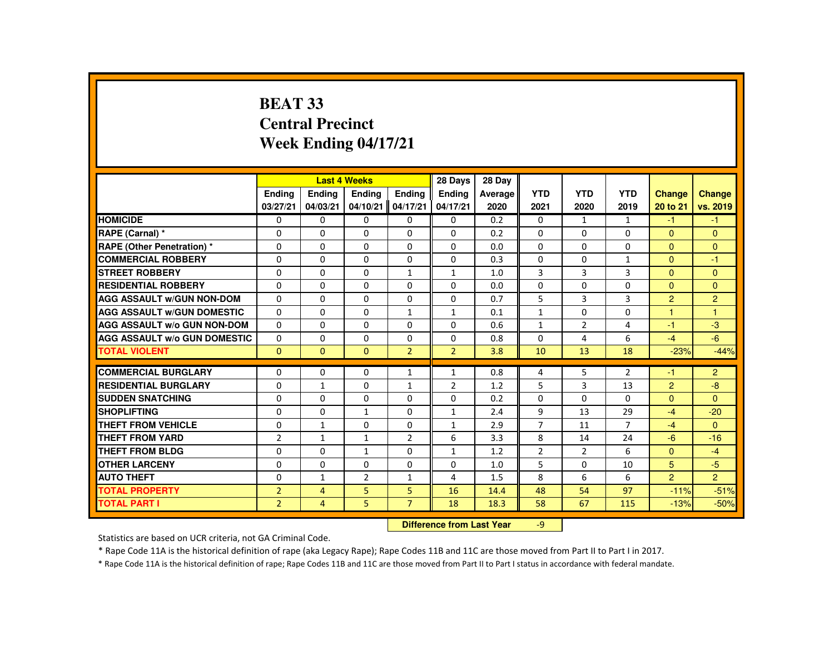# **BEAT 33 Central PrecinctWeek Ending 04/17/21**

|                                     |                |                           | <b>Last 4 Weeks</b> |                | 28 Days        | 28 Day  |                |            |                |                |                |
|-------------------------------------|----------------|---------------------------|---------------------|----------------|----------------|---------|----------------|------------|----------------|----------------|----------------|
|                                     | <b>Endina</b>  | <b>Endina</b>             | <b>Ending</b>       | <b>Endina</b>  | Ending         | Average | <b>YTD</b>     | <b>YTD</b> | <b>YTD</b>     | <b>Change</b>  | <b>Change</b>  |
|                                     | 03/27/21       | 04/03/21                  | 04/10/21            | 04/17/21       | 04/17/21       | 2020    | 2021           | 2020       | 2019           | 20 to 21       | vs. 2019       |
| <b>HOMICIDE</b>                     | 0              | 0                         | 0                   | $\Omega$       | 0              | 0.2     | $\Omega$       | 1          | 1              | $-1$           | $-1$           |
| RAPE (Carnal) *                     | 0              | 0                         | $\Omega$            | 0              | 0              | 0.2     | 0              | $\Omega$   | 0              | $\overline{0}$ | $\overline{0}$ |
| RAPE (Other Penetration) *          | $\Omega$       | $\Omega$                  | $\Omega$            | $\Omega$       | $\Omega$       | 0.0     | $\Omega$       | $\Omega$   | $\Omega$       | $\Omega$       | $\mathbf{0}$   |
| <b>COMMERCIAL ROBBERY</b>           | $\Omega$       | $\Omega$                  | $\Omega$            | $\Omega$       | 0              | 0.3     | $\mathbf 0$    | $\Omega$   | $\mathbf{1}$   | $\Omega$       | $-1$           |
| <b>STREET ROBBERY</b>               | $\Omega$       | $\Omega$                  | $\Omega$            | $\mathbf{1}$   | $\mathbf{1}$   | 1.0     | 3              | 3          | 3              | $\Omega$       | $\Omega$       |
| <b>RESIDENTIAL ROBBERY</b>          | 0              | 0                         | 0                   | 0              | 0              | 0.0     | $\mathbf{0}$   | 0          | 0              | $\mathbf{0}$   | $\mathbf{0}$   |
| <b>AGG ASSAULT W/GUN NON-DOM</b>    | $\Omega$       | 0                         | $\Omega$            | $\Omega$       | $\Omega$       | 0.7     | 5              | 3          | 3              | $\overline{2}$ | $\overline{2}$ |
| <b>AGG ASSAULT W/GUN DOMESTIC</b>   | $\Omega$       | $\Omega$                  | $\Omega$            | $\mathbf{1}$   | 1              | 0.1     | $\mathbf{1}$   | $\Omega$   | 0              | $\overline{1}$ | $\mathbf{1}$   |
| <b>AGG ASSAULT w/o GUN NON-DOM</b>  | $\Omega$       | $\Omega$                  | $\Omega$            | $\Omega$       | $\Omega$       | 0.6     | $\mathbf{1}$   | 2          | 4              | $-1$           | $-3$           |
| <b>AGG ASSAULT W/o GUN DOMESTIC</b> | 0              | 0                         | 0                   | 0              | 0              | 0.8     | $\Omega$       | 4          | 6              | $-4$           | $-6$           |
| <b>TOTAL VIOLENT</b>                | $\mathbf{0}$   | $\mathbf{0}$              | $\mathbf{0}$        | $\overline{2}$ | $\overline{2}$ | 3.8     | 10             | 13         | 18             | $-23%$         | $-44%$         |
| <b>COMMERCIAL BURGLARY</b>          | 0              | $\Omega$                  | 0                   | $\mathbf{1}$   | $\mathbf{1}$   | 0.8     | 4              | 5          | $\overline{2}$ | $-1$           | $\overline{2}$ |
| <b>RESIDENTIAL BURGLARY</b>         | 0              | $\mathbf{1}$              | 0                   | $\mathbf{1}$   | $\overline{2}$ | 1.2     | 5              | 3          | 13             | $\overline{2}$ | $-8$           |
| <b>SUDDEN SNATCHING</b>             | $\Omega$       | 0                         | $\Omega$            | $\Omega$       | $\Omega$       | 0.2     | $\Omega$       | $\Omega$   | $\Omega$       | $\Omega$       | $\Omega$       |
| <b>SHOPLIFTING</b>                  | 0              | $\mathbf 0$               | $\mathbf{1}$        | 0              | $\mathbf{1}$   | 2.4     | 9              | 13         | 29             | $-4$           | $-20$          |
| <b>THEFT FROM VEHICLE</b>           | $\Omega$       | $\mathbf{1}$              | $\Omega$            | $\Omega$       | $\mathbf{1}$   | 2.9     | $\overline{7}$ | 11         | $\overline{7}$ | $-4$           | $\Omega$       |
| <b>THEFT FROM YARD</b>              | $\overline{2}$ | $\mathbf{1}$              | 1                   | $\overline{2}$ | 6              | 3.3     | 8              | 14         | 24             | $-6$           | $-16$          |
| <b>THEFT FROM BLDG</b>              | $\Omega$       | $\Omega$                  | $\mathbf{1}$        | $\Omega$       | $\mathbf{1}$   | 1.2     | $\overline{2}$ | 2          | 6              | $\Omega$       | $-4$           |
| <b>OTHER LARCENY</b>                | $\Omega$       | $\Omega$                  | $\Omega$            | $\Omega$       | $\Omega$       | 1.0     | 5              | $\Omega$   | 10             | 5              | $-5$           |
| <b>AUTO THEFT</b>                   | $\Omega$       | $\mathbf{1}$              | $\overline{2}$      | $\mathbf{1}$   | 4              | 1.5     | $\mathbf{8}$   | 6          | 6              | $\overline{2}$ | $\overline{2}$ |
| <b>TOTAL PROPERTY</b>               | $\overline{2}$ | $\overline{4}$            | 5.                  | 5              | 16             | 14.4    | 48             | 54         | 97             | $-11%$         | $-51%$         |
| <b>TOTAL PART I</b>                 | $\overline{2}$ | $\overline{4}$            | 5                   | $\overline{7}$ | 18             | 18.3    | 58             | 67         | 115            | $-13%$         | $-50%$         |
|                                     |                | Difference from Last Vear |                     | $\alpha$       |                |         |                |            |                |                |                |

 **Difference from Last Year**r -9

Statistics are based on UCR criteria, not GA Criminal Code.

\* Rape Code 11A is the historical definition of rape (aka Legacy Rape); Rape Codes 11B and 11C are those moved from Part II to Part I in 2017.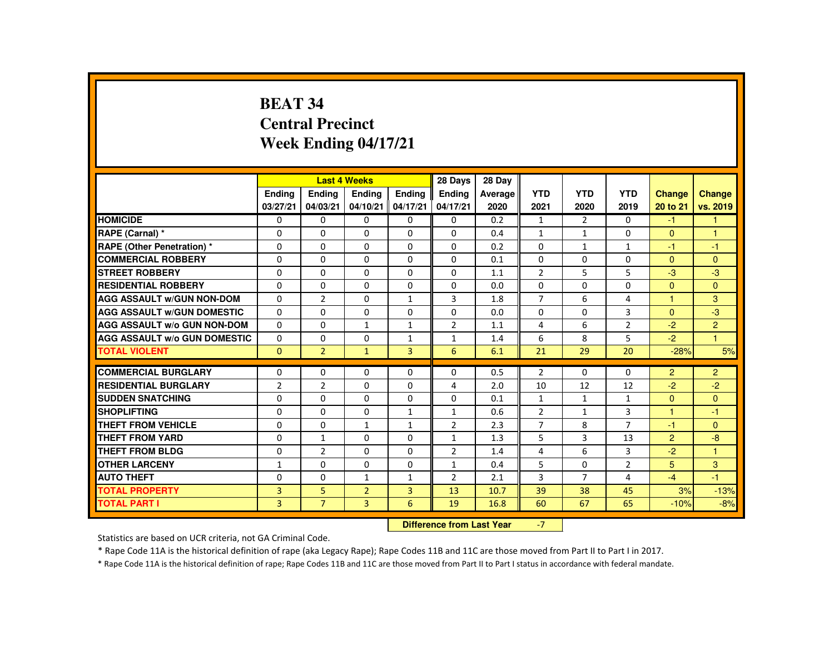# **BEAT 34 Central PrecinctWeek Ending 04/17/21**

|                                                        |                |                           | <b>Last 4 Weeks</b> |                | 28 Days        | 28 Day  |                                  |                   |                     |                |                |
|--------------------------------------------------------|----------------|---------------------------|---------------------|----------------|----------------|---------|----------------------------------|-------------------|---------------------|----------------|----------------|
|                                                        | Ending         | <b>Endina</b>             | <b>Ending</b>       | <b>Ending</b>  | <b>Ending</b>  | Average | <b>YTD</b>                       | <b>YTD</b>        | <b>YTD</b>          | <b>Change</b>  | <b>Change</b>  |
|                                                        | 03/27/21       | 04/03/21                  | 04/10/21            | 04/17/21       | 04/17/21       | 2020    | 2021                             | 2020              | 2019                | 20 to 21       | vs. 2019       |
| <b>HOMICIDE</b>                                        | $\mathbf{0}$   | 0                         | $\Omega$            | $\Omega$       | 0              | 0.2     | $\mathbf{1}$                     | $\overline{2}$    | $\Omega$            | $-1$           | 1.             |
| RAPE (Carnal) *                                        | 0              | $\Omega$                  | $\Omega$            | $\Omega$       | 0              | 0.4     | $\mathbf{1}$                     | $\mathbf{1}$      | $\Omega$            | $\Omega$       | 1              |
| <b>RAPE (Other Penetration) *</b>                      | $\Omega$       | $\Omega$                  | $\Omega$            | $\Omega$       | $\Omega$       | 0.2     | $\Omega$                         | 1                 | $\mathbf{1}$        | $-1$           | $-1$           |
| <b>COMMERCIAL ROBBERY</b>                              | $\Omega$       | $\Omega$                  | $\Omega$            | $\Omega$       | $\Omega$       | 0.1     | $\Omega$                         | $\Omega$          | $\Omega$            | $\mathbf{0}$   | $\mathbf{0}$   |
| <b>STREET ROBBERY</b>                                  | $\Omega$       | $\Omega$                  | $\Omega$            | $\Omega$       | $\Omega$       | 1.1     | $\overline{2}$                   | 5                 | 5                   | $-3$           | $-3$           |
| <b>RESIDENTIAL ROBBERY</b>                             | $\mathbf{0}$   | 0                         | 0                   | $\mathbf{0}$   | 0              | 0.0     | $\Omega$                         | 0                 | 0                   | $\mathbf{0}$   | $\Omega$       |
| <b>AGG ASSAULT W/GUN NON-DOM</b>                       | $\Omega$       | $\overline{2}$            | $\Omega$            | $\mathbf{1}$   | 3              | 1.8     | $\overline{7}$                   | 6                 | 4                   | 1              | 3              |
| <b>AGG ASSAULT W/GUN DOMESTIC</b>                      | $\Omega$       | $\Omega$                  | $\Omega$            | $\Omega$       | $\Omega$       | 0.0     | $\Omega$                         | $\Omega$          | 3                   | $\mathbf{0}$   | $-3$           |
| <b>AGG ASSAULT W/o GUN NON-DOM</b>                     | $\Omega$       | $\Omega$                  | $\mathbf{1}$        | $\mathbf{1}$   | $\overline{2}$ | 1.1     | 4                                | 6                 | $\overline{2}$      | $-2$           | $\overline{2}$ |
| <b>AGG ASSAULT W/o GUN DOMESTIC</b>                    | 0              | $\Omega$                  | $\Omega$            | $\mathbf{1}$   | $\mathbf{1}$   | 1.4     | 6                                | 8                 | 5                   | $-2$           | $\mathbf{1}$   |
| <b>TOTAL VIOLENT</b>                                   | $\Omega$       | $\overline{2}$            | $\mathbf{1}$        | $\overline{3}$ | 6              | 6.1     | 21                               | 29                | 20                  | $-28%$         | 5%             |
| <b>COMMERCIAL BURGLARY</b>                             | $\mathbf{0}$   | $\Omega$                  | $\Omega$            | $\Omega$       | 0              | 0.5     | $\overline{2}$                   | $\Omega$          | $\Omega$            | $\overline{2}$ | $\overline{2}$ |
|                                                        |                |                           |                     |                |                |         |                                  |                   |                     |                |                |
| <b>RESIDENTIAL BURGLARY</b><br><b>SUDDEN SNATCHING</b> | $\overline{2}$ | $\overline{2}$            | $\Omega$            | $\Omega$       | 4              | 2.0     | 10                               | 12                | 12                  | $-2$           | $-2$           |
| <b>SHOPLIFTING</b>                                     | $\mathbf{0}$   | $\Omega$<br>$\Omega$      | 0<br>$\Omega$       | $\Omega$       | 0              | 0.1     | $\mathbf{1}$                     | $\mathbf{1}$      | $\mathbf{1}$        | $\Omega$<br>1  | $\Omega$       |
| <b>THEFT FROM VEHICLE</b>                              | $\Omega$       | $\Omega$                  |                     | $\mathbf{1}$   | $\mathbf{1}$   | 0.6     | $\overline{2}$<br>$\overline{7}$ | $\mathbf{1}$<br>8 | 3<br>$\overline{7}$ |                | $-1$           |
|                                                        | $\Omega$       |                           | $\mathbf{1}$        | $\mathbf{1}$   | $\overline{2}$ | 2.3     |                                  |                   |                     | $-1$           | $\mathbf{0}$   |
| <b>THEFT FROM YARD</b>                                 | $\Omega$       | $\mathbf{1}$              | $\Omega$            | $\Omega$       | $\mathbf{1}$   | 1.3     | 5                                | 3                 | 13                  | $\overline{2}$ | $-8$           |
| <b>THEFT FROM BLDG</b>                                 | 0              | $\overline{2}$            | 0                   | $\Omega$       | $\overline{2}$ | 1.4     | 4                                | 6                 | 3                   | $-2$           | 1              |
| <b>OTHER LARCENY</b>                                   | $\mathbf{1}$   | $\Omega$                  | $\Omega$            | $\Omega$       | $\mathbf{1}$   | 0.4     | 5                                | $\Omega$          | $\overline{2}$      | 5              | 3              |
| <b>AUTO THEFT</b>                                      | $\mathbf{0}$   | $\Omega$                  | $\mathbf{1}$        | $\mathbf{1}$   | $\overline{2}$ | 2.1     | 3                                | $\overline{7}$    | 4                   | $-4$           | $-1$           |
| <b>TOTAL PROPERTY</b>                                  | $\overline{3}$ | 5.                        | $\overline{2}$      | $\overline{3}$ | 13             | 10.7    | 39                               | 38                | 45                  | 3%             | $-13%$         |
| <b>TOTAL PART I</b>                                    | 3              | $\overline{7}$            | 3                   | 6              | 19             | 16.8    | 60                               | 67                | 65                  | $-10%$         | $-8%$          |
|                                                        |                | Difference from Leat Vacu |                     | $\overline{ }$ |                |         |                                  |                   |                     |                |                |

 **Difference from Last Year**r -7

Statistics are based on UCR criteria, not GA Criminal Code.

\* Rape Code 11A is the historical definition of rape (aka Legacy Rape); Rape Codes 11B and 11C are those moved from Part II to Part I in 2017.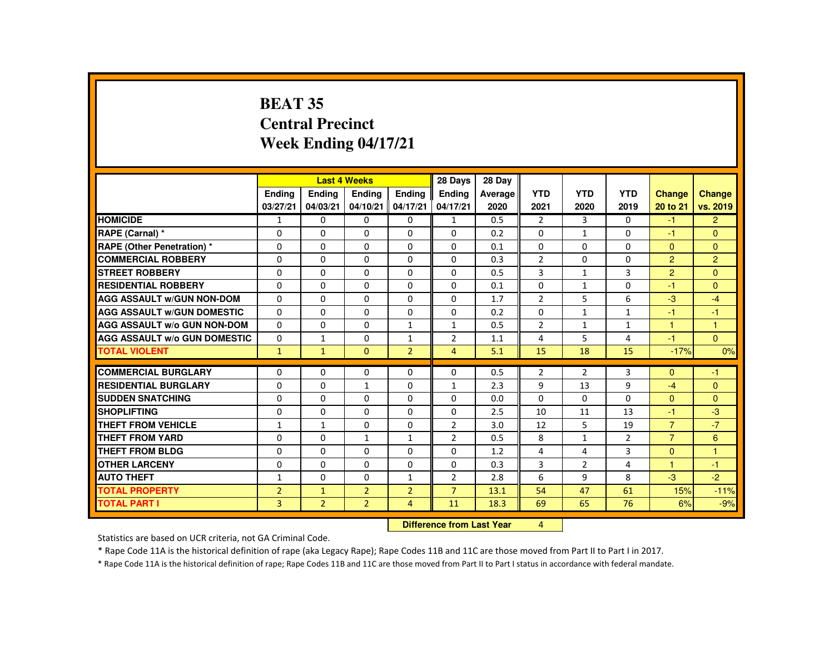# **BEAT 35 Central PrecinctWeek Ending 04/17/21**

|                                     |                |                           | <b>Last 4 Weeks</b> |                | 28 Days        | 28 Day  |                |                |                |                |                |
|-------------------------------------|----------------|---------------------------|---------------------|----------------|----------------|---------|----------------|----------------|----------------|----------------|----------------|
|                                     | <b>Endina</b>  | <b>Ending</b>             | <b>Ending</b>       | Ending         | Ending         | Average | <b>YTD</b>     | <b>YTD</b>     | <b>YTD</b>     | <b>Change</b>  | <b>Change</b>  |
|                                     | 03/27/21       | 04/03/21                  | 04/10/21            | 04/17/21       | 04/17/21       | 2020    | 2021           | 2020           | 2019           | 20 to 21       | vs. 2019       |
| <b>HOMICIDE</b>                     | $\mathbf{1}$   | $\Omega$                  | $\Omega$            | $\Omega$       | $\mathbf{1}$   | 0.5     | $\overline{2}$ | $\overline{3}$ | $\Omega$       | $-1$           | $\overline{2}$ |
| RAPE (Carnal) *                     | $\Omega$       | $\Omega$                  | $\Omega$            | $\Omega$       | $\Omega$       | 0.2     | $\Omega$       | $\mathbf{1}$   | $\Omega$       | $-1$           | $\overline{0}$ |
| RAPE (Other Penetration) *          | $\Omega$       | $\Omega$                  | $\Omega$            | $\Omega$       | $\Omega$       | 0.1     | $\Omega$       | $\Omega$       | 0              | $\Omega$       | $\Omega$       |
| <b>COMMERCIAL ROBBERY</b>           | $\Omega$       | $\Omega$                  | $\Omega$            | $\Omega$       | $\Omega$       | 0.3     | $\overline{2}$ | $\Omega$       | $\Omega$       | $\overline{2}$ | $\overline{2}$ |
| <b>STREET ROBBERY</b>               | $\Omega$       | $\Omega$                  | $\Omega$            | $\Omega$       | $\Omega$       | 0.5     | 3              | $\mathbf{1}$   | 3              | $\mathcal{P}$  | $\Omega$       |
| <b>RESIDENTIAL ROBBERY</b>          | $\Omega$       | $\Omega$                  | $\mathbf{0}$        | $\mathbf{0}$   | 0              | 0.1     | $\Omega$       | $\mathbf{1}$   | 0              | $-1$           | $\mathbf{0}$   |
| <b>AGG ASSAULT W/GUN NON-DOM</b>    | $\Omega$       | $\Omega$                  | $\Omega$            | $\Omega$       | $\Omega$       | 1.7     | $\overline{2}$ | 5              | 6              | $-3$           | $-4$           |
| <b>AGG ASSAULT W/GUN DOMESTIC</b>   | $\Omega$       | $\Omega$                  | $\Omega$            | $\Omega$       | $\Omega$       | 0.2     | $\Omega$       | $\mathbf{1}$   | $\mathbf{1}$   | -1             | $-1$           |
| <b>AGG ASSAULT W/o GUN NON-DOM</b>  | $\Omega$       | $\Omega$                  | $\Omega$            | $\mathbf{1}$   | $\mathbf{1}$   | 0.5     | $\overline{2}$ | $\mathbf{1}$   | $\mathbf{1}$   | $\mathbf{1}$   | $\overline{1}$ |
| <b>AGG ASSAULT W/o GUN DOMESTIC</b> | $\Omega$       | $\mathbf{1}$              | $\Omega$            | $\mathbf{1}$   | $\overline{2}$ | 1.1     | 4              | 5              | 4              | $-1$           | $\Omega$       |
| <b>TOTAL VIOLENT</b>                | $\mathbf{1}$   | $\mathbf{1}$              | $\Omega$            | $\overline{2}$ | $\overline{4}$ | 5.1     | 15             | 18             | 15             | $-17%$         | 0%             |
|                                     |                |                           |                     |                |                |         |                |                |                |                |                |
| <b>COMMERCIAL BURGLARY</b>          | $\Omega$       | $\Omega$                  | $\Omega$            | $\Omega$       | $\Omega$       | 0.5     | $\overline{2}$ | $\overline{2}$ | 3              | $\Omega$       | $-1$           |
| <b>RESIDENTIAL BURGLARY</b>         | $\Omega$       | $\Omega$                  | $\mathbf{1}$        | $\Omega$       | $\mathbf{1}$   | 2.3     | 9              | 13             | 9              | $-4$           | $\Omega$       |
| <b>SUDDEN SNATCHING</b>             | $\Omega$       | $\Omega$                  | $\Omega$            | 0              | $\Omega$       | 0.0     | $\Omega$       | $\Omega$       | 0              | $\Omega$       | $\Omega$       |
| <b>SHOPLIFTING</b>                  | $\Omega$       | $\Omega$                  | $\Omega$            | $\Omega$       | $\Omega$       | 2.5     | 10             | 11             | 13             | -1             | $-3$           |
| <b>THEFT FROM VEHICLE</b>           | $\mathbf{1}$   | $\mathbf{1}$              | $\Omega$            | $\Omega$       | $\overline{2}$ | 3.0     | 12             | 5              | 19             | $\overline{7}$ | $-7$           |
| <b>THEFT FROM YARD</b>              | $\Omega$       | $\Omega$                  | $\mathbf{1}$        | $\mathbf{1}$   | $\overline{2}$ | 0.5     | 8              | $\mathbf{1}$   | $\overline{2}$ | $\overline{7}$ | 6              |
| <b>THEFT FROM BLDG</b>              | $\Omega$       | $\Omega$                  | $\Omega$            | $\Omega$       | $\Omega$       | 1.2     | 4              | 4              | 3              | $\Omega$       | $\mathbf{1}$   |
| <b>OTHER LARCENY</b>                | $\Omega$       | $\Omega$                  | $\Omega$            | $\Omega$       | $\Omega$       | 0.3     | 3              | $\overline{2}$ | 4              | 1              | $-1$           |
| <b>AUTO THEFT</b>                   | $\mathbf{1}$   | $\Omega$                  | $\Omega$            | $\mathbf{1}$   | 2              | 2.8     | 6              | 9              | 8              | $-3$           | $-2$           |
| <b>TOTAL PROPERTY</b>               | $\overline{2}$ | $\mathbf{1}$              | $\overline{2}$      | $\overline{2}$ | $\overline{7}$ | 13.1    | 54             | 47             | 61             | 15%            | $-11%$         |
| <b>TOTAL PART I</b>                 | 3              | $\overline{2}$            | $\overline{2}$      | 4              | 11             | 18.3    | 69             | 65             | 76             | 6%             | $-9%$          |
|                                     |                | Difference from Leat Vacu |                     | $\mathbf{A}$   |                |         |                |                |                |                |                |

 **Difference from Last Year**r 4

Statistics are based on UCR criteria, not GA Criminal Code.

\* Rape Code 11A is the historical definition of rape (aka Legacy Rape); Rape Codes 11B and 11C are those moved from Part II to Part I in 2017.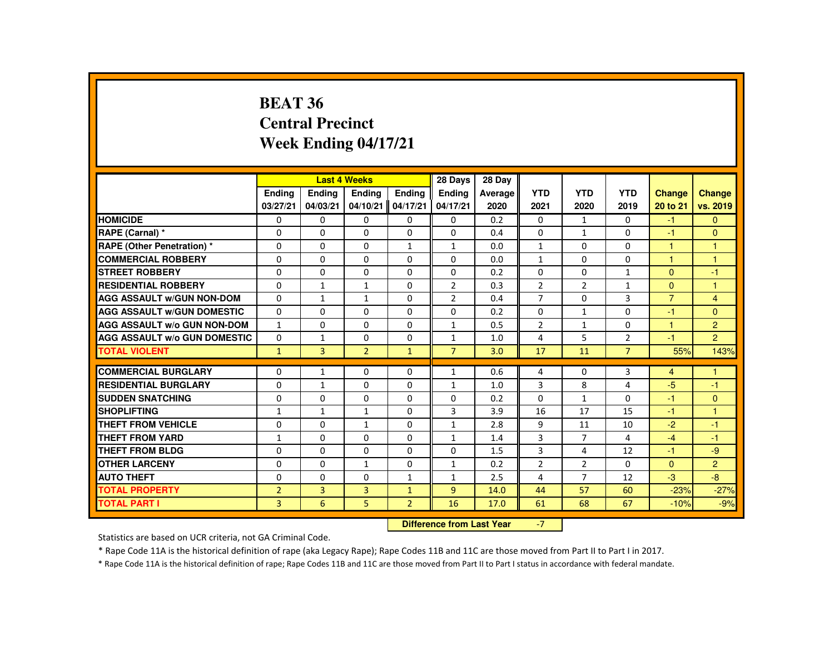#### **BEAT 36 Central PrecinctWeek Ending 04/17/21**

|                                     |                |                           | <b>Last 4 Weeks</b> |                   | 28 Days        | 28 Day  |                |                |                |                |                |
|-------------------------------------|----------------|---------------------------|---------------------|-------------------|----------------|---------|----------------|----------------|----------------|----------------|----------------|
|                                     | <b>Endina</b>  | <b>Ending</b>             | <b>Endina</b>       | <b>Endina</b>     | <b>Ending</b>  | Average | <b>YTD</b>     | <b>YTD</b>     | <b>YTD</b>     | Change         | <b>Change</b>  |
|                                     | 03/27/21       | 04/03/21                  |                     | 04/10/21 04/17/21 | 04/17/21       | 2020    | 2021           | 2020           | 2019           | 20 to 21       | vs. 2019       |
| <b>HOMICIDE</b>                     | $\Omega$       | $\Omega$                  | $\Omega$            | $\Omega$          | $\mathbf{0}$   | 0.2     | $\mathbf{0}$   | 1              | $\Omega$       | $-1$           | $\mathbf{0}$   |
| RAPE (Carnal) *                     | $\Omega$       | $\Omega$                  | $\Omega$            | $\Omega$          | $\Omega$       | 0.4     | $\Omega$       | $\mathbf{1}$   | $\Omega$       | $-1$           | $\mathbf{0}$   |
| RAPE (Other Penetration) *          | $\Omega$       | $\mathbf{0}$              | $\Omega$            | $\mathbf{1}$      | $\mathbf{1}$   | 0.0     | $\mathbf{1}$   | $\Omega$       | $\Omega$       | $\mathbf{1}$   | 1              |
| <b>COMMERCIAL ROBBERY</b>           | 0              | $\Omega$                  | $\Omega$            | $\Omega$          | $\Omega$       | 0.0     | $\mathbf{1}$   | $\Omega$       | $\Omega$       | 1              | 1              |
| <b>STREET ROBBERY</b>               | $\Omega$       | $\mathbf{0}$              | $\Omega$            | $\Omega$          | $\Omega$       | 0.2     | $\Omega$       | $\Omega$       | $\mathbf{1}$   | $\Omega$       | $-1$           |
| <b>RESIDENTIAL ROBBERY</b>          | $\Omega$       | $\mathbf{1}$              | $\mathbf{1}$        | 0                 | 2              | 0.3     | $\overline{2}$ | $\overline{2}$ | $\mathbf{1}$   | $\Omega$       | 1              |
| <b>AGG ASSAULT W/GUN NON-DOM</b>    | 0              | $\mathbf{1}$              | $\mathbf{1}$        | 0                 | 2              | 0.4     | 7              | 0              | 3              | $\overline{7}$ | 4              |
| <b>AGG ASSAULT W/GUN DOMESTIC</b>   | $\Omega$       | $\mathbf{0}$              | $\Omega$            | 0                 | 0              | 0.2     | 0              | $\mathbf{1}$   | $\Omega$       | $-1$           | $\Omega$       |
| <b>AGG ASSAULT W/o GUN NON-DOM</b>  | $\mathbf{1}$   | $\Omega$                  | $\Omega$            | $\Omega$          | $\mathbf{1}$   | 0.5     | $\overline{2}$ | $\mathbf{1}$   | $\Omega$       | $\mathbf{1}$   | $\overline{2}$ |
| <b>AGG ASSAULT W/o GUN DOMESTIC</b> | $\Omega$       | $\mathbf{1}$              | $\Omega$            | $\Omega$          | $\mathbf{1}$   | 1.0     | $\overline{4}$ | 5              | $\overline{2}$ | $-1$           | $\overline{2}$ |
| <b>TOTAL VIOLENT</b>                | $\mathbf{1}$   | 3                         | $\overline{2}$      | $\mathbf{1}$      | $\overline{7}$ | 3.0     | 17             | 11             | $\overline{7}$ | 55%            | 143%           |
| <b>COMMERCIAL BURGLARY</b>          | 0              | $\mathbf{1}$              | $\mathbf{0}$        | $\Omega$          | $\mathbf{1}$   | 0.6     | 4              | $\mathbf{0}$   | 3              | $\overline{4}$ | 1              |
| <b>RESIDENTIAL BURGLARY</b>         | $\Omega$       | $\mathbf{1}$              | $\Omega$            | $\Omega$          | $\mathbf{1}$   | 1.0     | 3              | 8              | 4              | $-5$           | $-1$           |
| <b>SUDDEN SNATCHING</b>             | 0              | $\mathbf{0}$              | 0                   | 0                 | 0              | 0.2     | $\Omega$       | $\mathbf{1}$   | 0              | $-1$           | $\mathbf{0}$   |
| <b>SHOPLIFTING</b>                  | $\mathbf{1}$   | $\mathbf{1}$              | $\mathbf{1}$        | $\Omega$          | 3              | 3.9     | 16             | 17             | 15             | $-1$           | 1              |
| <b>THEFT FROM VEHICLE</b>           | $\Omega$       | $\Omega$                  | $\mathbf{1}$        | $\Omega$          | $\mathbf{1}$   | 2.8     | 9              | 11             | 10             | $-2$           | $-1$           |
| <b>THEFT FROM YARD</b>              | $\mathbf{1}$   | $\Omega$                  | $\Omega$            | $\Omega$          | $\mathbf{1}$   | 1.4     | 3              | $\overline{7}$ | 4              | $-4$           | $-1$           |
| <b>THEFT FROM BLDG</b>              | 0              | $\Omega$                  | $\Omega$            | $\Omega$          | $\Omega$       | 1.5     | 3              | 4              | 12             | $-1$           | $-9$           |
| <b>OTHER LARCENY</b>                | 0              | $\mathbf{0}$              | $\mathbf{1}$        | 0                 | $\mathbf{1}$   | 0.2     | $\overline{2}$ | 2              | $\Omega$       | $\Omega$       | $\overline{2}$ |
| <b>AUTO THEFT</b>                   | $\Omega$       | $\Omega$                  | $\Omega$            | $\mathbf{1}$      | $\mathbf{1}$   | 2.5     | 4              | $\overline{7}$ | 12             | $-3$           | $-8$           |
| <b>TOTAL PROPERTY</b>               | $\overline{2}$ | 3                         | $\overline{3}$      | $\mathbf{1}$      | $\overline{9}$ | 14.0    | 44             | 57             | 60             | $-23%$         | $-27%$         |
| <b>TOTAL PART I</b>                 | 3              | 6                         | 5                   | $\overline{2}$    | 16             | 17.0    | 61             | 68             | 67             | $-10%$         | $-9%$          |
|                                     |                | Difference from Loot Voor |                     | $\overline{ }$    |                |         |                |                |                |                |                |

**Difference from Last Year 47** 

Statistics are based on UCR criteria, not GA Criminal Code.

\* Rape Code 11A is the historical definition of rape (aka Legacy Rape); Rape Codes 11B and 11C are those moved from Part II to Part I in 2017.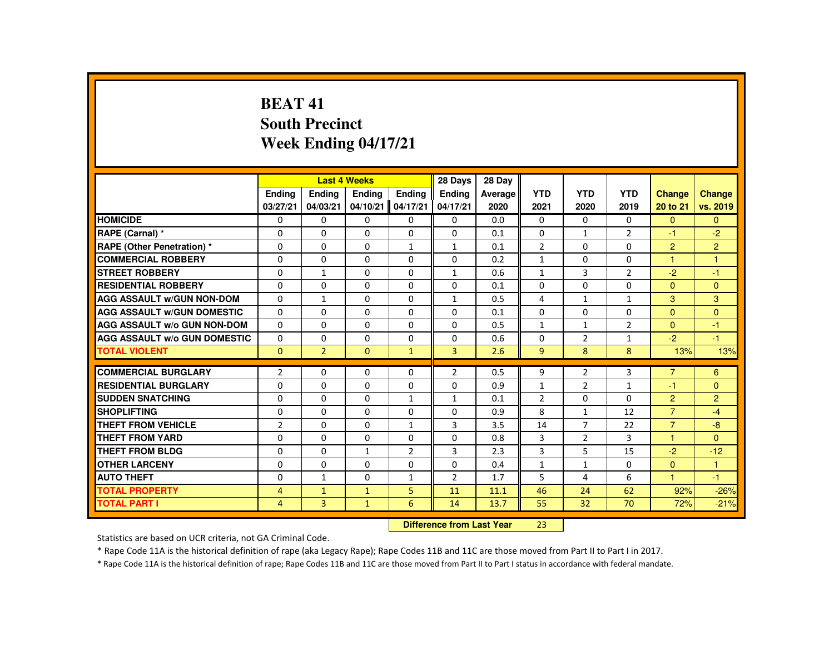# **BEAT 41 South PrecinctWeek Ending 04/17/21**

|                                     |                |                | <b>Last 4 Weeks</b> |                | 28 Days        | 28 Day  |                |                |                |                |                |
|-------------------------------------|----------------|----------------|---------------------|----------------|----------------|---------|----------------|----------------|----------------|----------------|----------------|
|                                     | <b>Ending</b>  | <b>Ending</b>  | <b>Ending</b>       | <b>Endina</b>  | <b>Endina</b>  | Average | <b>YTD</b>     | <b>YTD</b>     | <b>YTD</b>     | <b>Change</b>  | <b>Change</b>  |
|                                     | 03/27/21       | 04/03/21       | 04/10/21            | 04/17/21       | 04/17/21       | 2020    | 2021           | 2020           | 2019           | 20 to 21       | vs. 2019       |
| <b>HOMICIDE</b>                     | $\Omega$       | $\Omega$       | $\Omega$            | $\Omega$       | 0              | 0.0     | 0              | $\Omega$       | $\Omega$       | $\Omega$       | $\mathbf{0}$   |
| RAPE (Carnal) *                     | $\Omega$       | $\Omega$       | $\Omega$            | $\Omega$       | $\Omega$       | 0.1     | $\Omega$       | $\mathbf{1}$   | $\overline{2}$ | $-1$           | $-2$           |
| RAPE (Other Penetration) *          | $\Omega$       | $\Omega$       | $\Omega$            | $\mathbf{1}$   | $\mathbf{1}$   | 0.1     | $\overline{2}$ | $\Omega$       | $\Omega$       | $\overline{2}$ | $\overline{2}$ |
| <b>COMMERCIAL ROBBERY</b>           | $\mathbf{0}$   | $\Omega$       | $\Omega$            | $\Omega$       | 0              | 0.2     | $\mathbf{1}$   | $\Omega$       | 0              | $\overline{1}$ | $\overline{1}$ |
| <b>STREET ROBBERY</b>               | $\Omega$       | $\mathbf{1}$   | $\Omega$            | $\Omega$       | $\mathbf{1}$   | 0.6     | $\mathbf{1}$   | $\overline{3}$ | $\overline{2}$ | $-2$           | $-1$           |
| <b>RESIDENTIAL ROBBERY</b>          | $\mathbf{0}$   | $\Omega$       | $\mathbf{0}$        | 0              | 0              | 0.1     | 0              | 0              | 0              | $\overline{0}$ | $\mathbf{0}$   |
| <b>AGG ASSAULT w/GUN NON-DOM</b>    | $\mathbf{0}$   | $\mathbf{1}$   | $\Omega$            | $\Omega$       | $\mathbf{1}$   | 0.5     | 4              | $\mathbf{1}$   | $\mathbf{1}$   | 3              | 3              |
| <b>AGG ASSAULT W/GUN DOMESTIC</b>   | $\Omega$       | $\Omega$       | $\Omega$            | $\Omega$       | $\Omega$       | 0.1     | $\Omega$       | $\Omega$       | $\Omega$       | $\Omega$       | $\overline{0}$ |
| AGG ASSAULT w/o GUN NON-DOM         | $\Omega$       | $\Omega$       | $\Omega$            | $\Omega$       | $\Omega$       | 0.5     | $\mathbf{1}$   | $\mathbf{1}$   | $\overline{2}$ | $\mathbf{0}$   | $-1$           |
| <b>AGG ASSAULT W/o GUN DOMESTIC</b> | $\Omega$       | $\Omega$       | $\mathbf{0}$        | $\Omega$       | $\Omega$       | 0.6     | $\Omega$       | $\overline{2}$ | $\mathbf{1}$   | $-2$           | $-1$           |
| <b>TOTAL VIOLENT</b>                | $\mathbf{0}$   | $\overline{2}$ | $\mathbf{0}$        | $\mathbf{1}$   | $\overline{3}$ | 2.6     | 9 <sup>°</sup> | 8              | 8              | 13%            | 13%            |
| <b>COMMERCIAL BURGLARY</b>          | $\overline{2}$ | $\Omega$       | $\Omega$            | $\Omega$       | $\overline{2}$ | 0.5     | 9              | $\overline{2}$ | 3              | $\overline{7}$ | 6              |
| <b>RESIDENTIAL BURGLARY</b>         | 0              | $\Omega$       | $\Omega$            | $\Omega$       | $\Omega$       | 0.9     | $\mathbf{1}$   | $\overline{2}$ | $\mathbf{1}$   | -1             | $\Omega$       |
| <b>SUDDEN SNATCHING</b>             | $\Omega$       | $\Omega$       | $\Omega$            | $\mathbf{1}$   | $\mathbf{1}$   | 0.1     | $\overline{2}$ | $\Omega$       | $\Omega$       | $\overline{2}$ | $\overline{2}$ |
| <b>SHOPLIFTING</b>                  | $\Omega$       | $\Omega$       | $\Omega$            | $\Omega$       | $\Omega$       | 0.9     | 8              | $\mathbf{1}$   | 12             | $\overline{7}$ | $-4$           |
| <b>THEFT FROM VEHICLE</b>           | $\overline{2}$ | $\Omega$       | $\Omega$            | $\mathbf{1}$   | 3              | 3.5     | 14             | $\overline{7}$ | 22             | $\overline{7}$ | $-8$           |
| <b>THEFT FROM YARD</b>              | $\Omega$       | $\Omega$       | $\Omega$            | $\Omega$       | $\Omega$       | 0.8     | 3              | $\overline{2}$ | 3              | $\mathbf{1}$   | $\Omega$       |
| <b>THEFT FROM BLDG</b>              | $\Omega$       | $\Omega$       | $\mathbf{1}$        | $\overline{2}$ | 3              | 2.3     | 3              | 5              | 15             | $-2$           | $-12$          |
| <b>OTHER LARCENY</b>                | $\Omega$       | $\Omega$       | $\Omega$            | $\Omega$       | $\Omega$       | 0.4     | $\mathbf{1}$   | $\mathbf{1}$   | $\Omega$       | $\mathbf{0}$   | $\mathbf{1}$   |
| <b>AUTO THEFT</b>                   | $\Omega$       | $\mathbf{1}$   | $\Omega$            | $\mathbf{1}$   | $\overline{2}$ | 1.7     | 5              | $\overline{4}$ | 6              | 1              | $-1$           |
| <b>TOTAL PROPERTY</b>               | $\overline{4}$ | $\mathbf{1}$   | $\mathbf{1}$        | 5              | 11             | 11.1    | 46             | 24             | 62             | 92%            | $-26%$         |
| <b>TOTAL PART I</b>                 | $\overline{4}$ | 3              | $\mathbf{1}$        | 6              | 14             | 13.7    | 55             | 32             | 70             | 72%            | $-21%$         |
|                                     |                |                |                     |                |                |         |                |                |                |                |                |

 **Difference from Last Year**<sup>23</sup>

Statistics are based on UCR criteria, not GA Criminal Code.

\* Rape Code 11A is the historical definition of rape (aka Legacy Rape); Rape Codes 11B and 11C are those moved from Part II to Part I in 2017.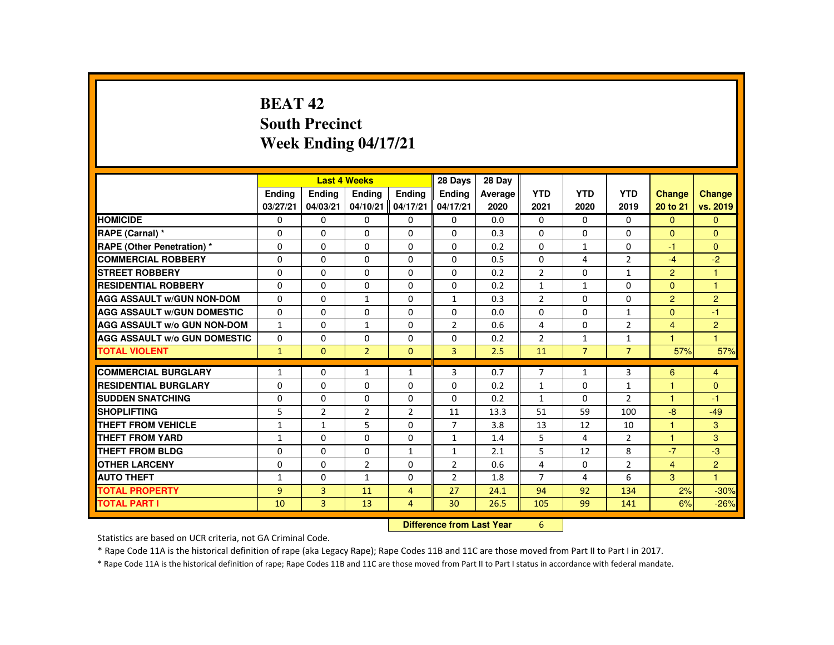# **BEAT 42 South PrecinctWeek Ending 04/17/21**

|                                     |                |                | <b>Last 4 Weeks</b>              |                | 28 Days        | 28 Day  |                |                |                |                |                |
|-------------------------------------|----------------|----------------|----------------------------------|----------------|----------------|---------|----------------|----------------|----------------|----------------|----------------|
|                                     | Ending         | Ending         | Ending                           | <b>Endina</b>  | <b>Endina</b>  | Average | <b>YTD</b>     | <b>YTD</b>     | <b>YTD</b>     | <b>Change</b>  | Change         |
|                                     | 03/27/21       | 04/03/21       | 04/10/21                         | 04/17/21       | 04/17/21       | 2020    | 2021           | 2020           | 2019           | 20 to 21       | vs. 2019       |
| <b>HOMICIDE</b>                     | 0              | $\mathbf{0}$   | $\mathbf{0}$                     | $\Omega$       | 0              | 0.0     | 0              | $\Omega$       | 0              | $\Omega$       | $\mathbf{0}$   |
| RAPE (Carnal) *                     | $\mathbf{0}$   | $\Omega$       | $\Omega$                         | $\Omega$       | $\Omega$       | 0.3     | $\Omega$       | $\Omega$       | $\Omega$       | $\Omega$       | $\Omega$       |
| <b>RAPE (Other Penetration) *</b>   | $\mathbf{0}$   | $\Omega$       | $\Omega$                         | $\Omega$       | $\Omega$       | 0.2     | $\Omega$       | $\mathbf{1}$   | $\Omega$       | $-1$           | $\Omega$       |
| <b>COMMERCIAL ROBBERY</b>           | $\mathbf{0}$   | $\Omega$       | $\Omega$                         | $\Omega$       | $\Omega$       | 0.5     | $\Omega$       | 4              | $\overline{2}$ | $-4$           | $-2$           |
| <b>STREET ROBBERY</b>               | $\mathbf 0$    | $\Omega$       | $\Omega$                         | $\Omega$       | $\Omega$       | 0.2     | $\overline{2}$ | $\Omega$       | $\mathbf{1}$   | $\overline{2}$ | $\mathbf{1}$   |
| <b>RESIDENTIAL ROBBERY</b>          | $\Omega$       | $\Omega$       | $\Omega$                         | $\Omega$       | $\Omega$       | 0.2     | $\mathbf{1}$   | $\mathbf{1}$   | $\Omega$       | $\Omega$       | $\mathbf{1}$   |
| <b>AGG ASSAULT w/GUN NON-DOM</b>    | $\Omega$       | $\Omega$       | $\mathbf{1}$                     | $\Omega$       | $\mathbf{1}$   | 0.3     | $\overline{2}$ | $\Omega$       | $\Omega$       | $\overline{2}$ | $\overline{2}$ |
| <b>AGG ASSAULT W/GUN DOMESTIC</b>   | $\Omega$       | $\Omega$       | $\Omega$                         | $\Omega$       | $\Omega$       | 0.0     | $\Omega$       | $\Omega$       | $\mathbf{1}$   | $\Omega$       | $-1$           |
| <b>AGG ASSAULT W/o GUN NON-DOM</b>  | $\mathbf{1}$   | $\Omega$       | $\mathbf{1}$                     | 0              | $\overline{2}$ | 0.6     | 4              | $\Omega$       | $\overline{2}$ | $\overline{4}$ | $\overline{2}$ |
| <b>AGG ASSAULT W/o GUN DOMESTIC</b> | $\Omega$       | $\Omega$       | $\Omega$                         | $\Omega$       | $\Omega$       | 0.2     | $\overline{2}$ | $\mathbf{1}$   | $\mathbf{1}$   | 1              | $\mathbf{1}$   |
| <b>TOTAL VIOLENT</b>                | $\mathbf{1}$   | $\Omega$       | $\overline{2}$                   | $\Omega$       | $\overline{3}$ | 2.5     | 11             | $\overline{7}$ | $\overline{7}$ | 57%            | 57%            |
| <b>COMMERCIAL BURGLARY</b>          | 1              | $\Omega$       | 1                                | 1              | 3              | 0.7     | $\overline{7}$ | 1              | 3              | 6              | $\overline{4}$ |
| <b>RESIDENTIAL BURGLARY</b>         | $\Omega$       | $\Omega$       | $\Omega$                         | $\Omega$       | $\Omega$       | 0.2     | $\mathbf{1}$   | $\Omega$       | $\mathbf{1}$   | 1              | $\mathbf{0}$   |
| <b>SUDDEN SNATCHING</b>             | $\Omega$       | $\Omega$       | $\Omega$                         | $\Omega$       | $\Omega$       | 0.2     | $\mathbf{1}$   | $\Omega$       | $\overline{2}$ | 1              | $-1$           |
| <b>SHOPLIFTING</b>                  | 5              | $\overline{2}$ | $\overline{2}$                   | $\overline{2}$ | 11             | 13.3    | 51             | 59             | 100            | $-8$           | $-49$          |
| <b>THEFT FROM VEHICLE</b>           | 1              | $\mathbf{1}$   | 5                                | $\Omega$       | $\overline{7}$ | 3.8     | 13             | 12             | 10             | $\mathbf{1}$   | 3              |
| <b>THEFT FROM YARD</b>              | $\mathbf{1}$   | $\Omega$       | $\Omega$                         | $\Omega$       | $\mathbf{1}$   | 1.4     | 5              | $\overline{4}$ | $\overline{2}$ | $\mathbf{1}$   | 3              |
| <b>THEFT FROM BLDG</b>              | $\mathbf{0}$   | $\Omega$       | $\Omega$                         | $\mathbf{1}$   | $\mathbf{1}$   | 2.1     | 5              | 12             | 8              | $-7$           | $-3$           |
| <b>OTHER LARCENY</b>                | $\mathbf{0}$   | $\Omega$       | $\overline{2}$                   | $\Omega$       | $\overline{2}$ | 0.6     | 4              | 0              | $\overline{2}$ | $\overline{4}$ | 2 <sup>1</sup> |
| <b>AUTO THEFT</b>                   | 1              | $\Omega$       | $\mathbf{1}$                     | $\Omega$       | 2              | 1.8     | $\overline{7}$ | 4              | 6              | 3              | $\mathbf{1}$   |
| <b>TOTAL PROPERTY</b>               | $\overline{9}$ | $\overline{3}$ | 11                               | $\overline{4}$ | 27             | 24.1    | 94             | 92             | 134            | 2%             | $-30%$         |
| <b>TOTAL PART I</b>                 | 10             | $\overline{3}$ | 13                               | $\overline{4}$ | 30             | 26.5    | 105            | 99             | 141            | 6%             | $-26%$         |
|                                     |                |                |                                  |                |                |         |                |                |                |                |                |
|                                     |                |                | <b>Difference from Last Year</b> |                | 6              |         |                |                |                |                |                |

 **Difference from Last Year**

Statistics are based on UCR criteria, not GA Criminal Code.

\* Rape Code 11A is the historical definition of rape (aka Legacy Rape); Rape Codes 11B and 11C are those moved from Part II to Part I in 2017.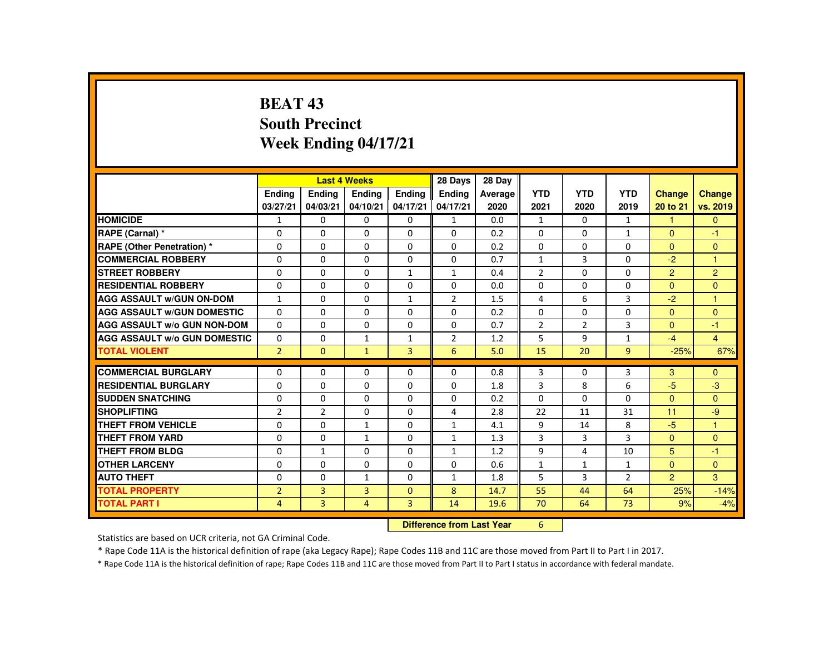# **BEAT 43 South PrecinctWeek Ending 04/17/21**

|                                     |                |                | <b>Last 4 Weeks</b> |                | 28 Days                          | 28 Day  |                |                |                |                |                      |
|-------------------------------------|----------------|----------------|---------------------|----------------|----------------------------------|---------|----------------|----------------|----------------|----------------|----------------------|
|                                     | Ending         | Ending         | <b>Endina</b>       | <b>Endina</b>  | <b>Endina</b>                    | Average | <b>YTD</b>     | <b>YTD</b>     | <b>YTD</b>     | <b>Change</b>  | <b>Change</b>        |
|                                     | 03/27/21       | 04/03/21       | 04/10/21            | 04/17/21       | 04/17/21                         | 2020    | 2021           | 2020           | 2019           | 20 to 21       | vs. 2019             |
| <b>HOMICIDE</b>                     | $\mathbf{1}$   | $\mathbf{0}$   | 0                   | 0              | 1                                | 0.0     | $\mathbf{1}$   | $\Omega$       | $\mathbf{1}$   | 1              | $\Omega$             |
| RAPE (Carnal) *                     | $\Omega$       | $\Omega$       | $\Omega$            | $\Omega$       | $\Omega$                         | 0.2     | $\Omega$       | $\Omega$       | $\mathbf{1}$   | $\mathbf{0}$   | $-1$                 |
| RAPE (Other Penetration) *          | $\Omega$       | $\Omega$       | $\Omega$            | $\Omega$       | $\Omega$                         | 0.2     | $\Omega$       | $\Omega$       | $\Omega$       | $\Omega$       | $\Omega$             |
| <b>COMMERCIAL ROBBERY</b>           | $\Omega$       | $\Omega$       | $\Omega$            | $\Omega$       | $\Omega$                         | 0.7     | $\mathbf{1}$   | 3              | $\Omega$       | $-2$           | $\blacktriangleleft$ |
| <b>STREET ROBBERY</b>               | $\Omega$       | $\Omega$       | $\Omega$            | $\mathbf{1}$   | $\mathbf{1}$                     | 0.4     | 2              | $\Omega$       | $\Omega$       | $\overline{2}$ | $\overline{2}$       |
| <b>RESIDENTIAL ROBBERY</b>          | $\Omega$       | $\Omega$       | $\Omega$            | $\Omega$       | $\Omega$                         | 0.0     | $\Omega$       | $\Omega$       | $\Omega$       | $\Omega$       | $\Omega$             |
| <b>AGG ASSAULT w/GUN ON-DOM</b>     | $\mathbf{1}$   | $\Omega$       | $\Omega$            | $\mathbf{1}$   | $\overline{2}$                   | 1.5     | 4              | 6              | $\overline{3}$ | $-2$           | $\blacktriangleleft$ |
| <b>AGG ASSAULT W/GUN DOMESTIC</b>   | $\Omega$       | $\Omega$       | $\Omega$            | $\Omega$       | $\Omega$                         | 0.2     | $\Omega$       | $\Omega$       | $\Omega$       | $\Omega$       | $\Omega$             |
| <b>AGG ASSAULT W/o GUN NON-DOM</b>  | $\Omega$       | $\Omega$       | $\Omega$            | $\Omega$       | $\mathbf{0}$                     | 0.7     | $\overline{2}$ | $\overline{2}$ | 3              | $\mathbf{0}$   | $-1$                 |
| <b>AGG ASSAULT W/o GUN DOMESTIC</b> | $\Omega$       | $\Omega$       | $\mathbf{1}$        | $\mathbf{1}$   | $\overline{2}$                   | 1.2     | 5              | 9              | $\mathbf{1}$   | $-4$           | $\overline{4}$       |
| <b>TOTAL VIOLENT</b>                | $\overline{2}$ | $\Omega$       | $\mathbf{1}$        | $\overline{3}$ | 6                                | 5.0     | 15             | 20             | $\overline{9}$ | $-25%$         | 67%                  |
| <b>COMMERCIAL BURGLARY</b>          | $\Omega$       | $\mathbf{0}$   | 0                   | $\Omega$       | $\mathbf{0}$                     | 0.8     | 3              | 0              | 3              | 3              | $\Omega$             |
| <b>RESIDENTIAL BURGLARY</b>         | $\Omega$       | $\Omega$       | $\Omega$            | $\Omega$       | $\Omega$                         | 1.8     | 3              | 8              | 6              | $-5$           | $-3$                 |
| <b>SUDDEN SNATCHING</b>             | $\Omega$       | $\Omega$       | $\Omega$            | $\Omega$       | $\Omega$                         | 0.2     | $\Omega$       | $\Omega$       | $\Omega$       | $\Omega$       | $\Omega$             |
| <b>SHOPLIFTING</b>                  | $\overline{2}$ | $\overline{2}$ | 0                   | 0              | 4                                | 2.8     | 22             | 11             | 31             | 11             | $-9$                 |
| <b>THEFT FROM VEHICLE</b>           | $\Omega$       | $\Omega$       | $\mathbf{1}$        | $\Omega$       | $\mathbf{1}$                     | 4.1     | 9              | 14             | 8              | $-5$           | $\blacktriangleleft$ |
| <b>THEFT FROM YARD</b>              | $\Omega$       | $\Omega$       | $\mathbf{1}$        | $\Omega$       | $\mathbf{1}$                     | 1.3     | $\overline{3}$ | 3              | $\overline{3}$ | $\Omega$       | $\Omega$             |
| <b>THEFT FROM BLDG</b>              | $\Omega$       | $\mathbf{1}$   | $\Omega$            | $\Omega$       | $\mathbf{1}$                     | 1.2     | 9              | 4              | 10             | 5              | $-1$                 |
| <b>OTHER LARCENY</b>                | 0              | $\Omega$       | $\Omega$            | $\Omega$       | $\Omega$                         | 0.6     | $\mathbf{1}$   | $\mathbf{1}$   | $\mathbf{1}$   | $\Omega$       | $\Omega$             |
| <b>AUTO THEFT</b>                   | $\Omega$       | $\Omega$       | $\mathbf{1}$        | $\Omega$       | 1                                | 1.8     | 5              | 3              | $\overline{2}$ | $\overline{2}$ | 3 <sup>1</sup>       |
| <b>TOTAL PROPERTY</b>               | $\overline{2}$ | $\overline{3}$ | 3                   | $\Omega$       | 8                                | 14.7    | 55             | 44             | 64             | 25%            | $-14%$               |
| <b>TOTAL PART I</b>                 | $\overline{4}$ | $\overline{3}$ | $\overline{4}$      | $\overline{3}$ | 14                               | 19.6    | 70             | 64             | 73             | 9%             | $-4%$                |
|                                     |                |                |                     |                | <b>Difference from Last Year</b> |         | 6              |                |                |                |                      |

 **Difference from Last Year**

Statistics are based on UCR criteria, not GA Criminal Code.

\* Rape Code 11A is the historical definition of rape (aka Legacy Rape); Rape Codes 11B and 11C are those moved from Part II to Part I in 2017.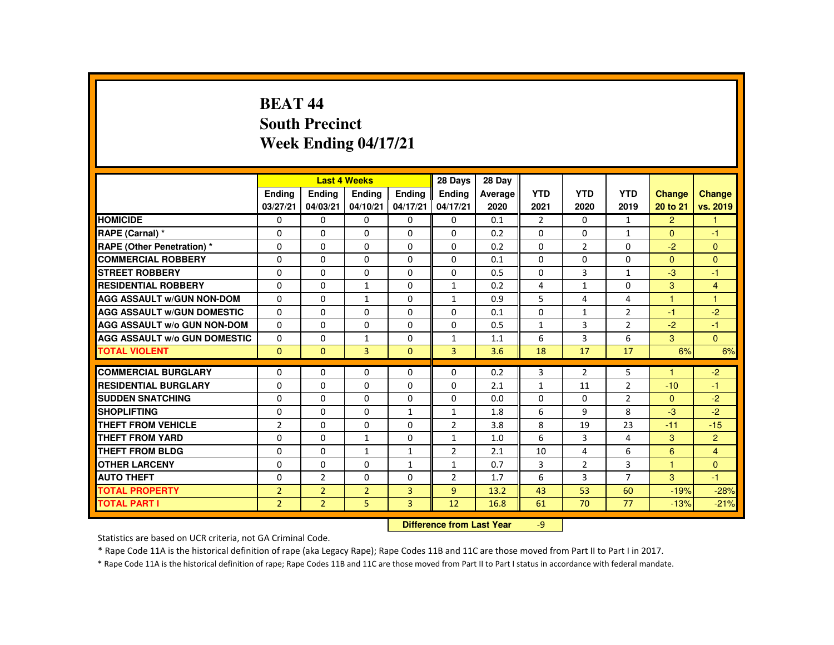#### **BEAT 44 South PrecinctWeek Ending 04/17/21**

|                                     |                |                | <b>Last 4 Weeks</b> |                | 28 Days                   | 28 Day  |                |                |                |                |                |
|-------------------------------------|----------------|----------------|---------------------|----------------|---------------------------|---------|----------------|----------------|----------------|----------------|----------------|
|                                     | <b>Endina</b>  | Ending         | Ending              | <b>Endina</b>  | <b>Ending</b>             | Average | <b>YTD</b>     | <b>YTD</b>     | <b>YTD</b>     | <b>Change</b>  | Change         |
|                                     | 03/27/21       | 04/03/21       | 04/10/21            | 04/17/21       | 04/17/21                  | 2020    | 2021           | 2020           | 2019           | 20 to 21       | vs. 2019       |
| <b>HOMICIDE</b>                     | $\Omega$       | 0              | 0                   | 0              | 0                         | 0.1     | $\overline{2}$ | $\Omega$       | $\mathbf{1}$   | $\overline{2}$ | $\mathbf{1}$   |
| RAPE (Carnal) *                     | 0              | $\Omega$       | $\Omega$            | $\Omega$       | $\Omega$                  | 0.2     | $\Omega$       | $\Omega$       | $\mathbf{1}$   | $\mathbf{0}$   | $-1$           |
| <b>RAPE (Other Penetration) *</b>   | $\Omega$       | $\Omega$       | $\Omega$            | $\Omega$       | $\Omega$                  | 0.2     | $\Omega$       | 2              | $\Omega$       | $-2$           | $\Omega$       |
| <b>COMMERCIAL ROBBERY</b>           | $\Omega$       | $\Omega$       | $\Omega$            | $\Omega$       | $\Omega$                  | 0.1     | $\Omega$       | $\Omega$       | $\Omega$       | $\Omega$       | $\Omega$       |
| <b>STREET ROBBERY</b>               | $\Omega$       | $\Omega$       | $\Omega$            | $\Omega$       | $\Omega$                  | 0.5     | $\Omega$       | $\overline{3}$ | $\mathbf{1}$   | $-3$           | $-1$           |
| <b>RESIDENTIAL ROBBERY</b>          | 0              | 0              | $\mathbf{1}$        | 0              | $\mathbf{1}$              | 0.2     | 4              | $\mathbf{1}$   | 0              | 3              | $\overline{4}$ |
| <b>AGG ASSAULT W/GUN NON-DOM</b>    | $\Omega$       | $\Omega$       | $\mathbf{1}$        | $\Omega$       | $\mathbf{1}$              | 0.9     | 5              | 4              | 4              | 1              | 1              |
| <b>AGG ASSAULT W/GUN DOMESTIC</b>   | $\Omega$       | $\Omega$       | $\Omega$            | $\Omega$       | $\Omega$                  | 0.1     | $\Omega$       | $\mathbf{1}$   | $\overline{2}$ | $-1$           | $-2$           |
| <b>AGG ASSAULT W/o GUN NON-DOM</b>  | $\Omega$       | $\Omega$       | $\Omega$            | $\mathbf{0}$   | $\Omega$                  | 0.5     | $\mathbf{1}$   | $\overline{3}$ | $\overline{2}$ | $-2$           | $-1$           |
| <b>AGG ASSAULT W/o GUN DOMESTIC</b> | $\Omega$       | $\Omega$       | $\mathbf{1}$        | $\Omega$       | $\mathbf{1}$              | 1.1     | 6              | 3              | 6              | 3              | $\Omega$       |
| <b>TOTAL VIOLENT</b>                | $\mathbf{0}$   | $\mathbf{0}$   | $\overline{3}$      | $\mathbf{0}$   | 3                         | 3.6     | 18             | 17             | 17             | 6%             | 6%             |
| <b>COMMERCIAL BURGLARY</b>          | 0              | $\Omega$       | $\Omega$            | $\Omega$       | $\Omega$                  | 0.2     | 3              | $\overline{2}$ | 5              | 1              | $-2$           |
| <b>RESIDENTIAL BURGLARY</b>         | $\Omega$       | $\Omega$       | $\Omega$            | $\Omega$       | $\Omega$                  | 2.1     | $\mathbf{1}$   | 11             | $\overline{2}$ | $-10$          | $-1$           |
| <b>SUDDEN SNATCHING</b>             | 0              | 0              | 0                   | 0              | 0                         | 0.0     | 0              | 0              | $\overline{2}$ | $\Omega$       | $-2$           |
| <b>SHOPLIFTING</b>                  | 0              | $\Omega$       | $\Omega$            | $\mathbf{1}$   | $\mathbf{1}$              | 1.8     | 6              | 9              | 8              | $-3$           | $-2$           |
| <b>THEFT FROM VEHICLE</b>           | $\overline{2}$ | $\Omega$       | $\Omega$            | $\Omega$       | $\overline{2}$            | 3.8     | 8              | 19             | 23             | $-11$          | $-15$          |
| <b>THEFT FROM YARD</b>              | $\Omega$       | $\Omega$       |                     |                |                           |         | 6              |                | 4              |                |                |
|                                     |                |                | $\mathbf{1}$        | $\Omega$       | $\mathbf{1}$              | 1.0     |                | 3              |                | 3              | $\overline{2}$ |
| THEFT FROM BLDG                     | 0              | $\Omega$       | $\mathbf{1}$        | $\mathbf{1}$   | $\overline{2}$            | 2.1     | 10             | 4              | 6              | 6              | $\overline{4}$ |
| <b>OTHER LARCENY</b>                | $\Omega$       | $\Omega$       | $\Omega$            | $\mathbf{1}$   | 1                         | 0.7     | 3              | 2              | 3              | 1              | $\Omega$       |
| <b>AUTO THEFT</b>                   | $\Omega$       | $\overline{2}$ | $\Omega$            | $\Omega$       | $\overline{2}$            | 1.7     | 6              | 3              | $\overline{7}$ | 3              | $-1$           |
| <b>TOTAL PROPERTY</b>               | $\overline{2}$ | $\overline{2}$ | $\overline{2}$      | 3              | $\overline{9}$            | 13.2    | 43             | 53             | 60             | $-19%$         | $-28%$         |
| <b>TOTAL PART I</b>                 | $\overline{2}$ | $\overline{2}$ | 5                   | $\overline{3}$ | 12                        | 16.8    | 61             | 70             | 77             | $-13%$         | $-21%$         |
|                                     |                |                |                     |                | Difference from Leat Vacu |         | $\sim$         |                |                |                |                |

 **Difference from Last Year**r -9

Statistics are based on UCR criteria, not GA Criminal Code.

\* Rape Code 11A is the historical definition of rape (aka Legacy Rape); Rape Codes 11B and 11C are those moved from Part II to Part I in 2017.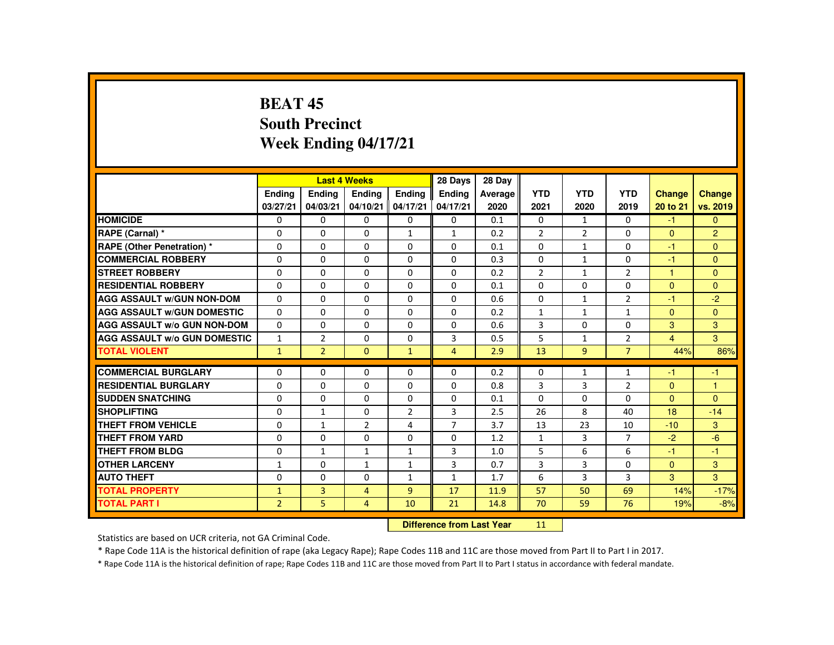## **BEAT 45 South PrecinctWeek Ending 04/17/21**

|                                     |                            |                | <b>Last 4 Weeks</b> |                | 28 Days        | 28 Day  |                |                |                |                      |                |
|-------------------------------------|----------------------------|----------------|---------------------|----------------|----------------|---------|----------------|----------------|----------------|----------------------|----------------|
|                                     | <b>Endina</b>              | <b>Ending</b>  | Ending              | <b>Endina</b>  | <b>Endina</b>  | Average | <b>YTD</b>     | <b>YTD</b>     | <b>YTD</b>     | <b>Change</b>        | <b>Change</b>  |
|                                     | 03/27/21                   | 04/03/21       | 04/10/21            | 04/17/21       | 04/17/21       | 2020    | 2021           | 2020           | 2019           | 20 to 21             | vs. 2019       |
| <b>HOMICIDE</b>                     | $\Omega$                   | $\Omega$       | 0                   | 0              | $\mathbf{0}$   | 0.1     | $\mathbf{0}$   | $\mathbf{1}$   | $\Omega$       | $-1$                 | $\Omega$       |
| RAPE (Carnal) *                     | 0                          | $\Omega$       | $\Omega$            | $\mathbf{1}$   | 1              | 0.2     | $\overline{2}$ | $\overline{2}$ | $\Omega$       | $\mathbf{0}$         | $\overline{2}$ |
| <b>RAPE (Other Penetration) *</b>   | $\Omega$                   | $\Omega$       | $\Omega$            | $\Omega$       | $\Omega$       | 0.1     | $\Omega$       | $\mathbf{1}$   | $\Omega$       | $-1$                 | $\Omega$       |
| <b>COMMERCIAL ROBBERY</b>           | 0                          | $\Omega$       | $\Omega$            | $\Omega$       | $\Omega$       | 0.3     | $\Omega$       | $\mathbf{1}$   | $\Omega$       | $-1$                 | $\Omega$       |
| <b>STREET ROBBERY</b>               | $\Omega$                   | $\Omega$       | $\Omega$            | $\Omega$       | $\Omega$       | 0.2     | $\overline{2}$ | $\mathbf{1}$   | $\overline{2}$ | $\blacktriangleleft$ | $\Omega$       |
| <b>RESIDENTIAL ROBBERY</b>          | 0                          | $\mathbf{0}$   | 0                   | $\mathbf{0}$   | $\mathbf{0}$   | 0.1     | $\mathbf{0}$   | 0              | 0              | $\mathbf{0}$         | $\Omega$       |
| <b>AGG ASSAULT W/GUN NON-DOM</b>    | $\Omega$                   | $\Omega$       | $\Omega$            | $\Omega$       | $\Omega$       | 0.6     | $\Omega$       | $\mathbf{1}$   | $\overline{2}$ | $-1$                 | $-2$           |
| <b>AGG ASSAULT W/GUN DOMESTIC</b>   | $\Omega$                   | $\Omega$       | $\Omega$            | $\Omega$       | $\Omega$       | 0.2     | 1              | $\mathbf{1}$   | $\mathbf{1}$   | $\Omega$             | $\Omega$       |
| <b>AGG ASSAULT W/o GUN NON-DOM</b>  | $\Omega$                   | $\Omega$       | $\Omega$            | $\Omega$       | $\Omega$       | 0.6     | $\overline{3}$ | $\Omega$       | $\Omega$       | 3                    | 3              |
| <b>AGG ASSAULT W/o GUN DOMESTIC</b> | $\mathbf{1}$               | $\overline{2}$ | $\Omega$            | $\Omega$       | 3              | 0.5     | 5              | $\mathbf{1}$   | $\overline{2}$ | $\overline{4}$       | 3              |
| <b>TOTAL VIOLENT</b>                | $\mathbf{1}$               | $\overline{2}$ | $\mathbf{0}$        | $\mathbf{1}$   | $\overline{4}$ | 2.9     | 13             | 9              | $\overline{7}$ | 44%                  | 86%            |
|                                     |                            |                |                     |                |                |         |                |                |                |                      |                |
| <b>COMMERCIAL BURGLARY</b>          | 0                          | $\Omega$       | $\Omega$            | $\Omega$       | $\Omega$       | 0.2     | $\mathbf{0}$   | $\mathbf{1}$   | $\mathbf{1}$   | -1                   | $-1$           |
| <b>RESIDENTIAL BURGLARY</b>         | $\Omega$                   | $\Omega$       | $\Omega$            | $\Omega$       | $\Omega$       | 0.8     | 3              | 3              | $\overline{2}$ | $\Omega$             | $\overline{1}$ |
| <b>SUDDEN SNATCHING</b>             | 0                          | $\mathbf{0}$   | 0                   | $\Omega$       | $\mathbf{0}$   | 0.1     | $\mathbf{0}$   | 0              | $\Omega$       | $\Omega$             | $\mathbf{0}$   |
| <b>SHOPLIFTING</b>                  | 0                          | $\mathbf{1}$   | $\Omega$            | $\overline{2}$ | 3              | 2.5     | 26             | 8              | 40             | 18                   | $-14$          |
| <b>THEFT FROM VEHICLE</b>           | $\Omega$                   | $\mathbf{1}$   | $\overline{2}$      | 4              | $\overline{7}$ | 3.7     | 13             | 23             | 10             | $-10$                | 3              |
| <b>THEFT FROM YARD</b>              | $\Omega$                   | $\Omega$       | $\Omega$            | $\Omega$       | $\Omega$       | 1.2     | $\mathbf{1}$   | 3              | $\overline{7}$ | $-2$                 | $-6$           |
| <b>THEFT FROM BLDG</b>              | 0                          | $\mathbf{1}$   | 1                   | $\mathbf{1}$   | 3              | 1.0     | 5              | 6              | 6              | -1                   | $-1$           |
| <b>OTHER LARCENY</b>                | $\mathbf{1}$               | $\Omega$       | $\mathbf{1}$        | $\mathbf{1}$   | 3              | 0.7     | 3              | 3              | $\Omega$       | $\Omega$             | 3              |
| <b>AUTO THEFT</b>                   | $\Omega$                   | $\Omega$       | $\Omega$            | $\mathbf{1}$   | $\mathbf{1}$   | 1.7     | 6              | 3              | 3              | 3                    | 3              |
| <b>TOTAL PROPERTY</b>               | $\mathbf{1}$               | $\overline{3}$ | $\overline{4}$      | $\overline{9}$ | 17             | 11.9    | 57             | 50             | 69             | 14%                  | $-17%$         |
| <b>TOTAL PART I</b>                 | $\overline{2}$             | 5.             | 4                   | 10             | 21             | 14.8    | 70             | 59             | 76             | 19%                  | $-8%$          |
|                                     | Difference from Least Vaca |                |                     |                |                |         | 44.1           |                |                |                      |                |

 **Difference from Last Year**<sup>11</sup>

Statistics are based on UCR criteria, not GA Criminal Code.

\* Rape Code 11A is the historical definition of rape (aka Legacy Rape); Rape Codes 11B and 11C are those moved from Part II to Part I in 2017.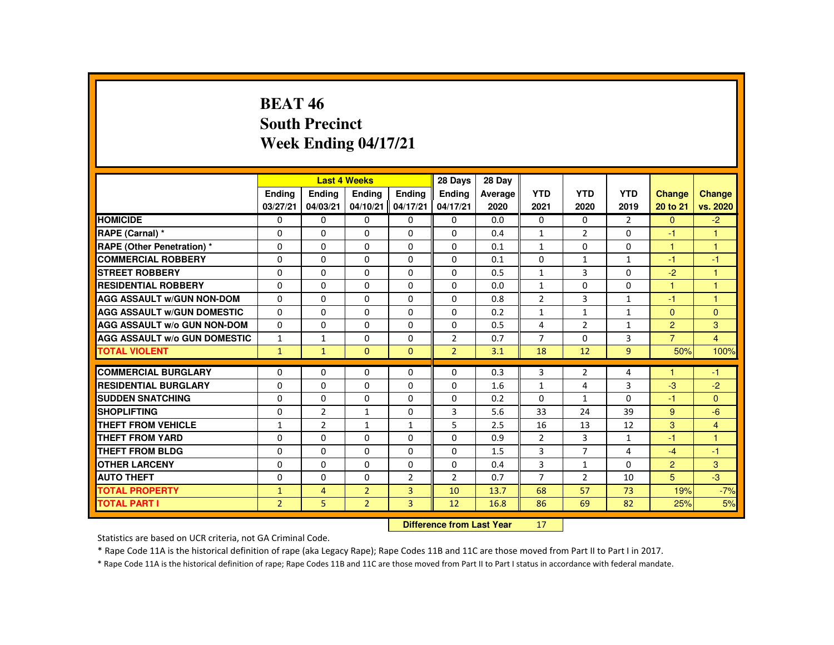## **BEAT 46 South PrecinctWeek Ending 04/17/21**

|                                     |                |                | <b>Last 4 Weeks</b> |                | 28 Days        | 28 Day  |                |                |                |                |                |
|-------------------------------------|----------------|----------------|---------------------|----------------|----------------|---------|----------------|----------------|----------------|----------------|----------------|
|                                     | <b>Ending</b>  | <b>Ending</b>  | <b>Ending</b>       | Ending         | <b>Endina</b>  | Average | <b>YTD</b>     | <b>YTD</b>     | <b>YTD</b>     | Change         | <b>Change</b>  |
|                                     | 03/27/21       | 04/03/21       | 04/10/21            | 04/17/21       | 04/17/21       | 2020    | 2021           | 2020           | 2019           | 20 to 21       | vs. 2020       |
| <b>HOMICIDE</b>                     | $\Omega$       | $\Omega$       | $\Omega$            | $\Omega$       | 0              | 0.0     | 0              | $\Omega$       | 2              | $\Omega$       | $-2$           |
| RAPE (Carnal) *                     | $\Omega$       | $\Omega$       | $\Omega$            | $\Omega$       | $\Omega$       | 0.4     | $\mathbf{1}$   | $\overline{2}$ | $\Omega$       | $-1$           | 1              |
| <b>RAPE (Other Penetration) *</b>   | $\Omega$       | $\Omega$       | $\Omega$            | $\Omega$       | $\Omega$       | 0.1     | $\mathbf{1}$   | $\Omega$       | $\Omega$       | $\mathbf{1}$   | $\mathbf{1}$   |
| <b>COMMERCIAL ROBBERY</b>           | $\mathbf{0}$   | $\Omega$       | $\Omega$            | $\Omega$       | $\Omega$       | 0.1     | 0              | $\mathbf{1}$   | $\mathbf{1}$   | $-1$           | $-1$           |
| <b>STREET ROBBERY</b>               | $\Omega$       | $\Omega$       | $\Omega$            | $\Omega$       | $\Omega$       | 0.5     | $\mathbf{1}$   | 3              | $\Omega$       | $-2$           | $\mathbf{1}$   |
| <b>RESIDENTIAL ROBBERY</b>          | 0              | $\Omega$       | $\mathbf{0}$        | 0              | 0              | 0.0     | $\mathbf{1}$   | 0              | 0              | 1              | 1              |
| <b>AGG ASSAULT W/GUN NON-DOM</b>    | $\mathbf{0}$   | $\Omega$       | $\Omega$            | $\Omega$       | $\Omega$       | 0.8     | $\overline{2}$ | 3              | $\mathbf{1}$   | -1             | $\overline{1}$ |
| <b>AGG ASSAULT W/GUN DOMESTIC</b>   | $\Omega$       | $\Omega$       | $\Omega$            | $\Omega$       | $\Omega$       | 0.2     | $\mathbf{1}$   | $\mathbf{1}$   | $\mathbf{1}$   | $\Omega$       | $\Omega$       |
| <b>AGG ASSAULT W/o GUN NON-DOM</b>  | $\Omega$       | $\Omega$       | $\Omega$            | $\Omega$       | $\Omega$       | 0.5     | 4              | $\overline{2}$ | $\mathbf{1}$   | $\overline{2}$ | $\mathbf{3}$   |
| <b>AGG ASSAULT W/o GUN DOMESTIC</b> | $\mathbf{1}$   | $\mathbf{1}$   | $\mathbf{0}$        | $\Omega$       | $\overline{2}$ | 0.7     | $\overline{7}$ | 0              | 3              | $\overline{7}$ | $\overline{4}$ |
| <b>TOTAL VIOLENT</b>                | $\mathbf{1}$   | $\mathbf{1}$   | $\mathbf{0}$        | $\mathbf{0}$   | $\overline{2}$ | 3.1     | 18             | 12             | $\overline{9}$ | 50%            | 100%           |
| <b>COMMERCIAL BURGLARY</b>          | $\Omega$       | $\Omega$       | $\Omega$            | $\Omega$       | $\Omega$       | 0.3     | 3              | $\overline{2}$ | 4              |                | $-1$           |
| <b>RESIDENTIAL BURGLARY</b>         | 0              | $\Omega$       | $\Omega$            | $\Omega$       | $\Omega$       | 1.6     | $\mathbf{1}$   | 4              | 3              | $-3$           | $-2$           |
| <b>SUDDEN SNATCHING</b>             | $\Omega$       | $\Omega$       | $\Omega$            | $\Omega$       | $\Omega$       | 0.2     | $\Omega$       | $\mathbf{1}$   | $\Omega$       | -1             | $\Omega$       |
| <b>SHOPLIFTING</b>                  | $\Omega$       | $\overline{2}$ | $\mathbf{1}$        | $\Omega$       | 3              | 5.6     | 33             | 24             | 39             | 9              | $-6$           |
| <b>THEFT FROM VEHICLE</b>           | $\mathbf{1}$   | $\overline{2}$ | $\mathbf{1}$        | $\mathbf{1}$   | 5              | 2.5     | 16             | 13             | 12             | 3              | $\overline{4}$ |
| <b>THEFT FROM YARD</b>              | $\mathbf{0}$   | $\Omega$       | $\Omega$            | $\Omega$       | $\Omega$       | 0.9     | $\overline{2}$ | 3              | $\mathbf{1}$   | $-1$           | $\mathbf{1}$   |
| <b>THEFT FROM BLDG</b>              | $\Omega$       | $\Omega$       | $\mathbf{0}$        | $\Omega$       | 0              | 1.5     | 3              | $\overline{7}$ | 4              | $-4$           | $-1$           |
| <b>OTHER LARCENY</b>                | $\Omega$       | $\Omega$       | $\Omega$            | $\Omega$       | 0              | 0.4     | 3              | $\mathbf{1}$   | $\Omega$       | $\overline{2}$ | 3 <sup>1</sup> |
| <b>AUTO THEFT</b>                   | $\Omega$       | $\Omega$       | $\Omega$            | $\overline{2}$ | 2              | 0.7     | $\overline{7}$ | $\overline{2}$ | 10             | 5              | $-3$           |
| <b>TOTAL PROPERTY</b>               | $\mathbf{1}$   | $\overline{4}$ | $\overline{2}$      | $\overline{3}$ | 10             | 13.7    | 68             | 57             | 73             | 19%            | $-7%$          |
| <b>TOTAL PART I</b>                 | $\overline{2}$ | 5              | $\overline{2}$      | $\overline{3}$ | 12             | 16.8    | 86             | 69             | 82             | 25%            | 5%             |
|                                     |                |                |                     |                |                |         |                |                |                |                |                |

 **Difference from Last Year**<sup>17</sup>

Statistics are based on UCR criteria, not GA Criminal Code.

\* Rape Code 11A is the historical definition of rape (aka Legacy Rape); Rape Codes 11B and 11C are those moved from Part II to Part I in 2017.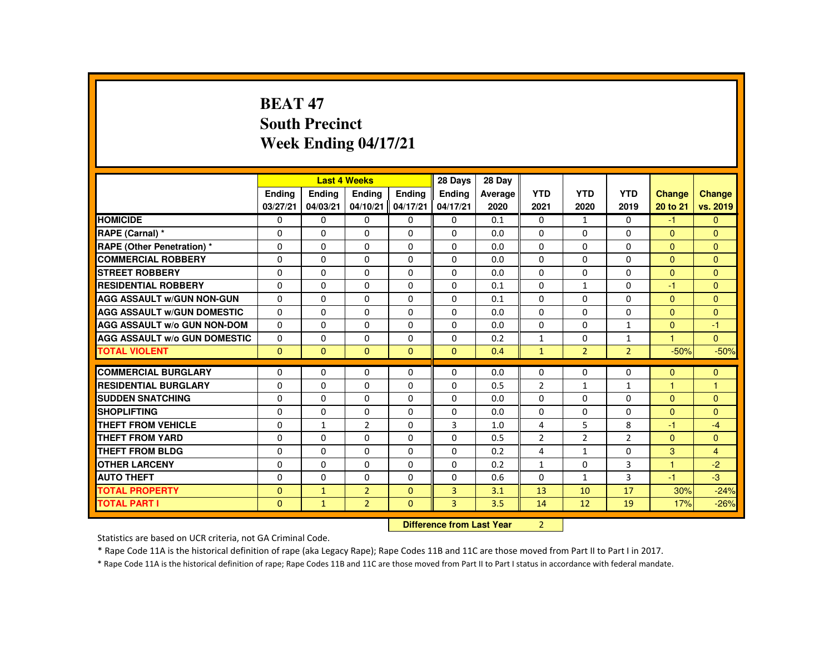# **BEAT 47 South PrecinctWeek Ending 04/17/21**

|                                     |                            |               | <b>Last 4 Weeks</b> |               | 28 Days        | 28 Day  |                |                |                |                      |              |
|-------------------------------------|----------------------------|---------------|---------------------|---------------|----------------|---------|----------------|----------------|----------------|----------------------|--------------|
|                                     | <b>Endina</b>              | <b>Ending</b> | <b>Endina</b>       | <b>Endina</b> | <b>Endina</b>  | Average | <b>YTD</b>     | <b>YTD</b>     | <b>YTD</b>     | <b>Change</b>        | Change       |
|                                     | 03/27/21                   | 04/03/21      | 04/10/21            | 04/17/21      | 04/17/21       | 2020    | 2021           | 2020           | 2019           | 20 to 21             | vs. 2019     |
| <b>HOMICIDE</b>                     | $\mathbf{0}$               | $\Omega$      | 0                   | 0             | 0              | 0.1     | 0              | $\mathbf{1}$   | $\Omega$       | $-1$                 | $\mathbf{0}$ |
| RAPE (Carnal) *                     | $\Omega$                   | $\Omega$      | $\Omega$            | $\Omega$      | $\Omega$       | 0.0     | $\Omega$       | $\Omega$       | $\Omega$       | $\Omega$             | $\Omega$     |
| <b>RAPE (Other Penetration) *</b>   | 0                          | $\Omega$      | $\Omega$            | 0             | 0              | 0.0     | 0              | 0              | 0              | $\overline{0}$       | $\mathbf{0}$ |
| <b>COMMERCIAL ROBBERY</b>           | $\Omega$                   | $\Omega$      | $\Omega$            | $\Omega$      | $\Omega$       | 0.0     | $\Omega$       | $\Omega$       | $\Omega$       | $\mathbf{0}$         | $\Omega$     |
| <b>STREET ROBBERY</b>               | $\Omega$                   | $\Omega$      | $\Omega$            | $\Omega$      | $\Omega$       | 0.0     | $\Omega$       | $\Omega$       | $\Omega$       | $\Omega$             | $\Omega$     |
| <b>RESIDENTIAL ROBBERY</b>          | $\Omega$                   | $\mathbf{0}$  | $\Omega$            | $\Omega$      | 0              | 0.1     | 0              | $\mathbf{1}$   | $\Omega$       | $-1$                 | $\mathbf{0}$ |
| <b>AGG ASSAULT W/GUN NON-GUN</b>    | $\Omega$                   | $\Omega$      | $\Omega$            | $\Omega$      | $\Omega$       | 0.1     | $\Omega$       | $\Omega$       | $\Omega$       | $\Omega$             | $\Omega$     |
| <b>AGG ASSAULT W/GUN DOMESTIC</b>   | $\Omega$                   | $\Omega$      | $\Omega$            | $\Omega$      | $\Omega$       | 0.0     | $\Omega$       | $\Omega$       | $\Omega$       | $\mathbf{0}$         | $\mathbf{0}$ |
| <b>AGG ASSAULT w/o GUN NON-DOM</b>  | $\Omega$                   | $\Omega$      | $\Omega$            | $\Omega$      | $\Omega$       | 0.0     | $\Omega$       | $\Omega$       | $\mathbf{1}$   | $\Omega$             | $-1$         |
| <b>AGG ASSAULT W/o GUN DOMESTIC</b> | $\Omega$                   | $\mathbf{0}$  | 0                   | 0             | 0              | 0.2     | $\mathbf{1}$   | 0              | $\mathbf{1}$   | $\blacktriangleleft$ | $\mathbf{0}$ |
| <b>TOTAL VIOLENT</b>                | $\Omega$                   | $\mathbf{0}$  | $\mathbf{0}$        | $\mathbf{0}$  | $\mathbf{0}$   | 0.4     | $\mathbf{1}$   | $\overline{2}$ | $\overline{2}$ | $-50%$               | $-50%$       |
| <b>COMMERCIAL BURGLARY</b>          | $\Omega$                   | $\Omega$      | $\Omega$            | $\Omega$      | $\Omega$       | 0.0     | $\Omega$       | 0              | $\Omega$       | $\mathbf{0}$         | $\mathbf{0}$ |
| <b>RESIDENTIAL BURGLARY</b>         | $\Omega$                   | $\Omega$      | $\Omega$            | $\Omega$      | $\Omega$       | 0.5     | $\overline{2}$ | $\mathbf{1}$   | $\mathbf{1}$   | $\mathbf{1}$         | 1            |
| <b>SUDDEN SNATCHING</b>             | $\Omega$                   | $\Omega$      | $\Omega$            | $\Omega$      | $\Omega$       | 0.0     | $\Omega$       | $\Omega$       | $\Omega$       | $\Omega$             | $\Omega$     |
| <b>SHOPLIFTING</b>                  | $\Omega$                   | $\Omega$      | $\Omega$            | $\Omega$      | $\Omega$       | 0.0     | $\Omega$       | $\Omega$       | $\Omega$       | $\Omega$             | $\mathbf{0}$ |
| <b>THEFT FROM VEHICLE</b>           | $\Omega$                   | $\mathbf{1}$  | $\overline{2}$      | $\Omega$      | $\overline{3}$ | 1.0     | 4              | 5              | 8              | $-1$                 | $-4$         |
| <b>THEFT FROM YARD</b>              | $\Omega$                   | $\Omega$      | $\Omega$            | $\Omega$      | $\Omega$       | 0.5     | $\overline{2}$ | $\overline{2}$ | $\overline{2}$ | $\Omega$             | $\Omega$     |
| THEFT FROM BLDG                     | $\Omega$                   | $\Omega$      | $\Omega$            | $\Omega$      | $\Omega$       | 0.2     | 4              | $\mathbf{1}$   | $\Omega$       | 3                    | 4            |
| <b>OTHER LARCENY</b>                | $\Omega$                   | $\Omega$      | $\Omega$            | $\Omega$      | $\Omega$       | 0.2     | $\mathbf{1}$   | $\Omega$       | 3              | $\mathbf{1}$         | $-2$         |
| <b>AUTO THEFT</b>                   | $\Omega$                   | $\Omega$      | $\Omega$            | 0             | 0              | 0.6     | $\Omega$       | $\mathbf{1}$   | 3              | $-1$                 | $-3$         |
| <b>TOTAL PROPERTY</b>               | $\Omega$                   | $\mathbf{1}$  | $\overline{2}$      | $\mathbf{0}$  | $\overline{3}$ | 3.1     | 13             | 10             | 17             | 30%                  | $-24%$       |
| <b>TOTAL PART I</b>                 | $\mathbf{0}$               | $\mathbf{1}$  | $\overline{2}$      | $\mathbf{0}$  | $\overline{3}$ | 3.5     | 14             | 12             | 19             | 17%                  | $-26%$       |
|                                     | Difference from Least Vacu |               |                     |               |                |         | $\sim$         |                |                |                      |              |

 **Difference from Last Year**<sup>2</sup>

Statistics are based on UCR criteria, not GA Criminal Code.

\* Rape Code 11A is the historical definition of rape (aka Legacy Rape); Rape Codes 11B and 11C are those moved from Part II to Part I in 2017.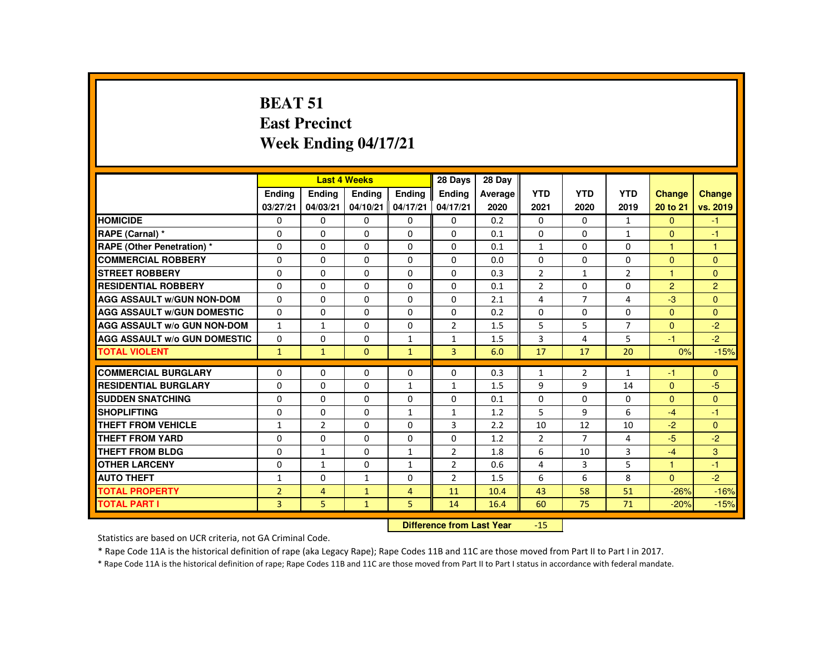# **BEAT 51 East PrecinctWeek Ending 04/17/21**

|                                     |                |                                  | <b>Last 4 Weeks</b> |                | 28 Days        | 28 Day  |                |                |                |                      |                |
|-------------------------------------|----------------|----------------------------------|---------------------|----------------|----------------|---------|----------------|----------------|----------------|----------------------|----------------|
|                                     | Ending         | Ending                           | Ending              | Ending         | <b>Ending</b>  | Average | <b>YTD</b>     | <b>YTD</b>     | <b>YTD</b>     | <b>Change</b>        | <b>Change</b>  |
|                                     | 03/27/21       | 04/03/21                         | 04/10/21            | 04/17/21       | 04/17/21       | 2020    | 2021           | 2020           | 2019           | 20 to 21             | vs. 2019       |
| <b>HOMICIDE</b>                     | $\Omega$       | $\mathbf{0}$                     | $\mathbf{0}$        | $\Omega$       | $\mathbf{0}$   | 0.2     | $\mathbf{0}$   | $\mathbf{0}$   | $\mathbf{1}$   | $\Omega$             | $-1$           |
| RAPE (Carnal) *                     | 0              | $\Omega$                         | $\Omega$            | $\Omega$       | $\Omega$       | 0.1     | $\Omega$       | 0              | $\mathbf{1}$   | $\mathbf{0}$         | -1             |
| <b>RAPE (Other Penetration) *</b>   | $\Omega$       | $\Omega$                         | $\Omega$            | $\Omega$       | $\Omega$       | 0.1     | $\mathbf{1}$   | $\Omega$       | $\Omega$       | $\mathbf{1}$         | $\mathbf{1}$   |
| <b>COMMERCIAL ROBBERY</b>           | $\Omega$       | $\Omega$                         | $\Omega$            | $\Omega$       | $\Omega$       | 0.0     | $\Omega$       | $\Omega$       | $\Omega$       | $\Omega$             | $\mathbf{0}$   |
| <b>STREET ROBBERY</b>               | $\Omega$       | $\Omega$                         | $\Omega$            | $\Omega$       | $\Omega$       | 0.3     | $\overline{2}$ | $\mathbf{1}$   | $\overline{2}$ | $\blacktriangleleft$ | $\Omega$       |
| <b>RESIDENTIAL ROBBERY</b>          | $\Omega$       | 0                                | $\Omega$            | 0              | 0              | 0.1     | $\overline{2}$ | 0              | 0              | $\overline{2}$       | $\overline{2}$ |
| <b>AGG ASSAULT W/GUN NON-DOM</b>    | $\Omega$       | $\Omega$                         | $\Omega$            | 0              | $\Omega$       | 2.1     | 4              | $\overline{7}$ | 4              | $-3$                 | $\mathbf{0}$   |
| <b>AGG ASSAULT W/GUN DOMESTIC</b>   | $\Omega$       | $\Omega$                         | $\Omega$            | $\Omega$       | $\Omega$       | 0.2     | $\Omega$       | $\Omega$       | $\Omega$       | $\Omega$             | $\Omega$       |
| <b>AGG ASSAULT W/o GUN NON-DOM</b>  | $\mathbf{1}$   | $\mathbf{1}$                     | 0                   | 0              | 2              | 1.5     | 5              | 5              | $\overline{7}$ | $\mathbf{0}$         | $-2$           |
| <b>AGG ASSAULT W/o GUN DOMESTIC</b> | $\Omega$       | 0                                | $\Omega$            | $\mathbf{1}$   | $\mathbf{1}$   | 1.5     | 3              | 4              | 5              | $-1$                 | $-2$           |
| <b>TOTAL VIOLENT</b>                | $\mathbf{1}$   | $\mathbf{1}$                     | $\mathbf{0}$        | $\mathbf{1}$   | $\overline{3}$ | 6.0     | 17             | 17             | 20             | 0%                   | $-15%$         |
| <b>COMMERCIAL BURGLARY</b>          | 0              | 0                                | $\Omega$            | 0              | 0              | 0.3     | $\mathbf{1}$   | 2              | $\mathbf{1}$   | -1                   | $\mathbf{0}$   |
| <b>RESIDENTIAL BURGLARY</b>         | $\Omega$       | $\Omega$                         | $\Omega$            | $\mathbf{1}$   | $\mathbf{1}$   | 1.5     | 9              | 9              | 14             | $\Omega$             | $-5$           |
| <b>SUDDEN SNATCHING</b>             | 0              | 0                                | 0                   | 0              | 0              | 0.1     | 0              | 0              | 0              | $\mathbf{0}$         | $\Omega$       |
| <b>SHOPLIFTING</b>                  | 0              | $\mathbf{0}$                     | $\Omega$            | $\mathbf{1}$   | $\mathbf{1}$   | 1.2     | 5              | 9              | 6              | $-4$                 | $-1$           |
| <b>THEFT FROM VEHICLE</b>           | $\mathbf{1}$   | $\overline{2}$                   | $\Omega$            | $\Omega$       | 3              | 2.2     | 10             | 12             | 10             | $-2$                 | $\Omega$       |
| <b>THEFT FROM YARD</b>              | $\Omega$       | $\Omega$                         | $\Omega$            | $\Omega$       | $\Omega$       | 1.2     | $\overline{2}$ | $\overline{7}$ | 4              | -5                   | $-2$           |
| <b>THEFT FROM BLDG</b>              | $\Omega$       | $\mathbf{1}$                     | $\Omega$            | $\mathbf{1}$   | 2              | 1.8     | 6              | 10             | 3              | $-4$                 | 3              |
| <b>OTHER LARCENY</b>                | $\Omega$       | $\mathbf{1}$                     | $\Omega$            | $\mathbf{1}$   | 2              | 0.6     | 4              | 3              | 5              | $\overline{1}$       | $-1$           |
| <b>AUTO THEFT</b>                   | $\mathbf{1}$   | $\Omega$                         | $\mathbf{1}$        | $\Omega$       | 2              | 1.5     | 6              | 6              | 8              | $\Omega$             | $-2$           |
| <b>TOTAL PROPERTY</b>               | $\overline{2}$ | $\overline{4}$                   | $\mathbf{1}$        | $\overline{4}$ | 11             | 10.4    | 43             | 58             | 51             | $-26%$               | $-16%$         |
| <b>TOTAL PART I</b>                 | 3              | 5                                | $\mathbf{1}$        | 5              | 14             | 16.4    | 60             | 75             | 71             | $-20%$               | $-15%$         |
|                                     |                | <b>Difference from Last Year</b> |                     | $-15$          |                |         |                |                |                |                      |                |

Statistics are based on UCR criteria, not GA Criminal Code.

\* Rape Code 11A is the historical definition of rape (aka Legacy Rape); Rape Codes 11B and 11C are those moved from Part II to Part I in 2017.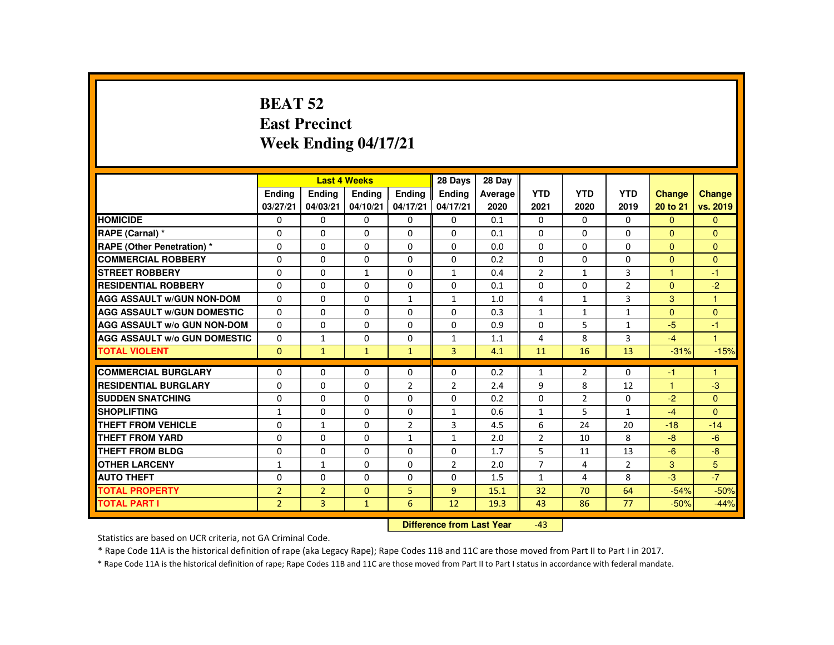#### **BEAT 52 East PrecinctWeek Ending 04/17/21**

|                                     |                |                           | <b>Last 4 Weeks</b> |                | 28 Days        | 28 Day  |                |                |                |                      |                |
|-------------------------------------|----------------|---------------------------|---------------------|----------------|----------------|---------|----------------|----------------|----------------|----------------------|----------------|
|                                     | <b>Endina</b>  | Ending                    | Ending              | <b>Endina</b>  | <b>Endina</b>  | Average | <b>YTD</b>     | <b>YTD</b>     | <b>YTD</b>     | <b>Change</b>        | Change         |
|                                     | 03/27/21       | 04/03/21                  | 04/10/21            | 04/17/21       | 04/17/21       | 2020    | 2021           | 2020           | 2019           | 20 to 21             | vs. 2019       |
| <b>HOMICIDE</b>                     | $\Omega$       | 0                         | $\Omega$            | $\Omega$       | 0              | 0.1     | $\Omega$       | $\Omega$       | $\Omega$       | $\Omega$             | $\Omega$       |
| RAPE (Carnal) *                     | 0              | $\Omega$                  | $\Omega$            | $\Omega$       | $\Omega$       | 0.1     | $\Omega$       | 0              | $\Omega$       | $\mathbf{0}$         | $\Omega$       |
| <b>RAPE (Other Penetration) *</b>   | $\Omega$       | $\Omega$                  | $\Omega$            | $\Omega$       | $\Omega$       | 0.0     | $\Omega$       | $\Omega$       | $\Omega$       | $\Omega$             | $\Omega$       |
| <b>COMMERCIAL ROBBERY</b>           | $\Omega$       | $\Omega$                  | $\Omega$            | $\Omega$       | $\Omega$       | 0.2     | $\Omega$       | $\Omega$       | $\Omega$       | $\Omega$             | $\Omega$       |
| <b>STREET ROBBERY</b>               | $\Omega$       | $\Omega$                  | $\mathbf{1}$        | $\Omega$       | $\mathbf{1}$   | 0.4     | $\overline{2}$ | $\mathbf{1}$   | 3              | $\blacktriangleleft$ | $-1$           |
| <b>RESIDENTIAL ROBBERY</b>          | $\Omega$       | $\Omega$                  | $\Omega$            | 0              | $\Omega$       | 0.1     | $\Omega$       | 0              | $\overline{2}$ | $\Omega$             | $-2$           |
| <b>AGG ASSAULT W/GUN NON-DOM</b>    | $\Omega$       | $\Omega$                  | $\Omega$            | $\mathbf{1}$   | $\mathbf{1}$   | 1.0     | 4              | $\mathbf{1}$   | 3              | 3                    | $\mathbf{1}$   |
| <b>AGG ASSAULT W/GUN DOMESTIC</b>   | $\Omega$       | $\Omega$                  | $\Omega$            | $\Omega$       | $\Omega$       | 0.3     | $\mathbf{1}$   | $\mathbf{1}$   | $\mathbf{1}$   | $\Omega$             | $\Omega$       |
| <b>AGG ASSAULT W/o GUN NON-DOM</b>  | 0              | 0                         | 0                   | 0              | 0              | 0.9     | 0              | 5              | $\mathbf{1}$   | $-5$                 | $-1$           |
| <b>AGG ASSAULT W/o GUN DOMESTIC</b> | $\Omega$       | $\mathbf{1}$              | $\Omega$            | $\Omega$       | $\mathbf{1}$   | 1.1     | 4              | 8              | 3              | $-4$                 | $\overline{1}$ |
| <b>TOTAL VIOLENT</b>                | $\Omega$       | $\mathbf{1}$              | $\mathbf{1}$        | $\mathbf{1}$   | $\overline{3}$ | 4.1     | 11             | 16             | 13             | $-31%$               | $-15%$         |
| <b>COMMERCIAL BURGLARY</b>          | 0              | 0                         | 0                   | 0              | 0              | 0.2     | 1              | 2              | 0              | -1                   | $\mathbf 1$    |
| <b>RESIDENTIAL BURGLARY</b>         | $\Omega$       | $\Omega$                  | $\Omega$            | $\overline{2}$ | 2              | 2.4     | 9              | 8              | 12             | $\blacktriangleleft$ | $-3$           |
| <b>SUDDEN SNATCHING</b>             | $\Omega$       | $\Omega$                  | $\Omega$            | $\Omega$       | $\Omega$       | 0.2     | $\Omega$       | $\overline{2}$ | $\Omega$       | $-2$                 | $\Omega$       |
| <b>SHOPLIFTING</b>                  | $\mathbf{1}$   | 0                         | 0                   | 0              | $\mathbf{1}$   | 0.6     | $\mathbf{1}$   | 5              | $\mathbf{1}$   | $-4$                 | $\Omega$       |
| THEFT FROM VEHICLE                  | $\Omega$       | $\mathbf{1}$              | $\Omega$            | $\overline{2}$ | 3              | 4.5     | 6              | 24             | 20             | $-18$                | $-14$          |
| <b>THEFT FROM YARD</b>              | $\Omega$       | $\Omega$                  | $\Omega$            | $\mathbf{1}$   | $\mathbf{1}$   | 2.0     | $\overline{2}$ | 10             | 8              | $-8$                 | $-6$           |
| <b>THEFT FROM BLDG</b>              | $\Omega$       | $\Omega$                  | $\Omega$            | $\Omega$       | $\Omega$       | 1.7     | 5              | 11             | 13             | $-6$                 | $-8$           |
| <b>OTHER LARCENY</b>                | $\mathbf{1}$   | $\mathbf{1}$              | 0                   | 0              | $\overline{2}$ | 2.0     | $\overline{7}$ | 4              | $\overline{2}$ | 3                    | 5              |
| <b>AUTO THEFT</b>                   | $\Omega$       | $\Omega$                  | $\Omega$            | $\Omega$       | $\Omega$       | 1.5     | $\mathbf{1}$   | 4              | 8              | $-3$                 | $-7$           |
| <b>TOTAL PROPERTY</b>               | $\overline{2}$ | $\overline{2}$            | $\Omega$            | 5              | $\overline{9}$ | 15.1    | 32             | 70             | 64             | $-54%$               | $-50%$         |
| <b>TOTAL PART I</b>                 | $\overline{2}$ | 3                         | $\mathbf{1}$        | 6              | 12             | 19.3    | 43             | 86             | 77             | $-50%$               | $-44%$         |
|                                     |                | Difference from Last Year |                     | $-43$          |                |         |                |                |                |                      |                |

Statistics are based on UCR criteria, not GA Criminal Code.

\* Rape Code 11A is the historical definition of rape (aka Legacy Rape); Rape Codes 11B and 11C are those moved from Part II to Part I in 2017.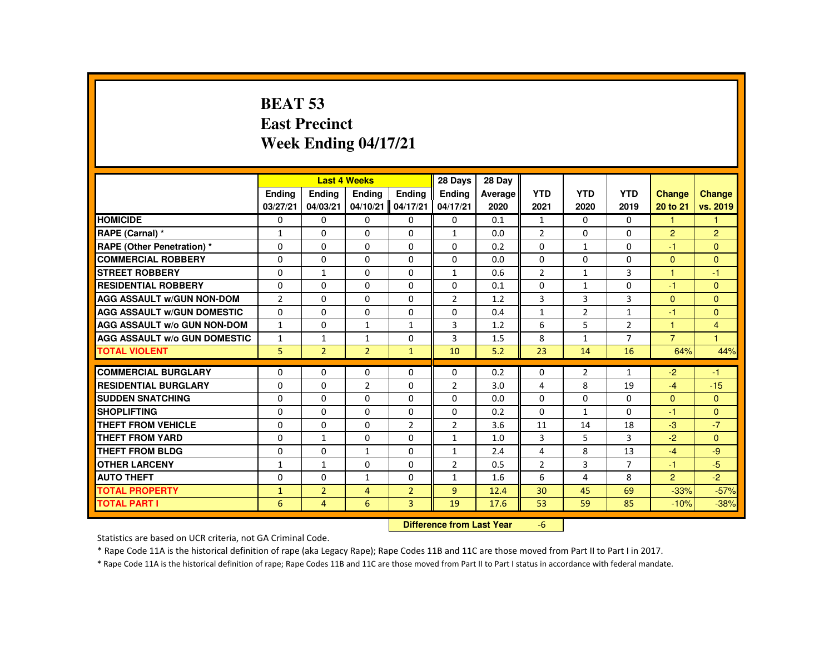# **BEAT 53 East PrecinctWeek Ending 04/17/21**

|                                     |                           |                | <b>Last 4 Weeks</b> |                | 28 Days        | 28 Day  |                |                |                |                |                |
|-------------------------------------|---------------------------|----------------|---------------------|----------------|----------------|---------|----------------|----------------|----------------|----------------|----------------|
|                                     | <b>Ending</b>             | <b>Ending</b>  | <b>Ending</b>       | Ending         | <b>Endina</b>  | Average | <b>YTD</b>     | <b>YTD</b>     | <b>YTD</b>     | <b>Change</b>  | <b>Change</b>  |
|                                     | 03/27/21                  | 04/03/21       | 04/10/21            | 04/17/21       | 04/17/21       | 2020    | 2021           | 2020           | 2019           | 20 to 21       | vs. 2019       |
| <b>HOMICIDE</b>                     | $\Omega$                  | $\Omega$       | $\Omega$            | $\Omega$       | 0              | 0.1     | $\mathbf{1}$   | $\Omega$       | $\Omega$       | $\mathbf{1}$   | $\mathbf{1}$   |
| RAPE (Carnal) *                     | 1                         | $\Omega$       | $\mathbf{0}$        | $\Omega$       | $\mathbf{1}$   | 0.0     | $\overline{2}$ | $\Omega$       | $\Omega$       | $\overline{2}$ | $\overline{2}$ |
| RAPE (Other Penetration) *          | $\Omega$                  | $\Omega$       | $\Omega$            | $\Omega$       | 0              | 0.2     | 0              | $\mathbf{1}$   | $\Omega$       | $-1$           | $\overline{0}$ |
| <b>COMMERCIAL ROBBERY</b>           | $\Omega$                  | $\Omega$       | $\Omega$            | $\Omega$       | $\Omega$       | 0.0     | $\Omega$       | $\Omega$       | $\Omega$       | $\Omega$       | $\Omega$       |
| <b>STREET ROBBERY</b>               | $\Omega$                  | $\mathbf{1}$   | $\Omega$            | $\Omega$       | $\mathbf{1}$   | 0.6     | $\overline{2}$ | $\mathbf{1}$   | 3              | $\mathbf{1}$   | $-1$           |
| <b>RESIDENTIAL ROBBERY</b>          | 0                         | $\Omega$       | $\Omega$            | $\mathbf{0}$   | 0              | 0.1     | 0              | 1              | 0              | -1             | $\mathbf{0}$   |
| <b>AGG ASSAULT W/GUN NON-DOM</b>    | $\overline{2}$            | $\Omega$       | $\Omega$            | $\Omega$       | $\overline{2}$ | 1.2     | 3              | $\overline{3}$ | $\overline{3}$ | $\Omega$       | $\Omega$       |
| <b>AGG ASSAULT W/GUN DOMESTIC</b>   | $\Omega$                  | $\Omega$       | $\Omega$            | $\Omega$       | $\Omega$       | 0.4     | $\mathbf{1}$   | $\overline{2}$ | $\mathbf{1}$   | -1             | $\mathbf{0}$   |
| <b>AGG ASSAULT W/o GUN NON-DOM</b>  | $\mathbf{1}$              | $\Omega$       | $\mathbf{1}$        | $\mathbf{1}$   | 3              | 1.2     | 6              | 5              | $\overline{2}$ | $\mathbf{1}$   | $\overline{4}$ |
| <b>AGG ASSAULT W/o GUN DOMESTIC</b> | $\mathbf{1}$              | $\mathbf{1}$   | $\mathbf{1}$        | $\Omega$       | 3              | 1.5     | 8              | $\mathbf{1}$   | $\overline{7}$ | $\overline{7}$ | $\mathbf{1}$   |
| <b>TOTAL VIOLENT</b>                | 5.                        | 2 <sup>1</sup> | $\overline{2}$      | $\mathbf{1}$   | 10             | 5.2     | 23             | 14             | 16             | 64%            | 44%            |
| <b>COMMERCIAL BURGLARY</b>          | $\Omega$                  | $\Omega$       | $\Omega$            | $\Omega$       | $\Omega$       | 0.2     | $\Omega$       | $\overline{2}$ | $\mathbf{1}$   | $-2$           | $-1$           |
| <b>RESIDENTIAL BURGLARY</b>         | $\Omega$                  | $\Omega$       | 2                   | $\Omega$       | $\overline{2}$ | 3.0     | 4              | 8              | 19             | $-4$           | $-15$          |
| <b>SUDDEN SNATCHING</b>             | $\mathbf{0}$              | $\Omega$       | $\Omega$            | $\mathbf{0}$   | $\Omega$       | 0.0     | $\Omega$       | $\Omega$       | 0              | $\Omega$       | $\mathbf{0}$   |
| <b>SHOPLIFTING</b>                  | $\Omega$                  | $\Omega$       | $\Omega$            | $\Omega$       | $\Omega$       | 0.2     | $\Omega$       | $\mathbf{1}$   | $\Omega$       | -1             | $\Omega$       |
| <b>THEFT FROM VEHICLE</b>           | $\Omega$                  | $\Omega$       | $\Omega$            | $\overline{2}$ | $\overline{2}$ | 3.6     | 11             | 14             | 18             | $-3$           | $-7$           |
| <b>THEFT FROM YARD</b>              | $\Omega$                  | $\mathbf{1}$   | $\Omega$            | $\Omega$       | $\mathbf{1}$   | 1.0     | 3              | 5              | 3              | $-2$           | $\Omega$       |
| <b>THEFT FROM BLDG</b>              | $\Omega$                  | $\Omega$       | $\mathbf{1}$        | $\Omega$       | $\mathbf{1}$   | 2.4     | 4              | 8              | 13             | $-4$           | $-9$           |
| <b>OTHER LARCENY</b>                | 1                         | $\mathbf{1}$   | $\Omega$            | $\Omega$       | $\overline{2}$ | 0.5     | $\overline{2}$ | $\overline{3}$ | $\overline{7}$ | -1             | $-5$           |
| <b>AUTO THEFT</b>                   | $\Omega$                  | $\Omega$       | $\mathbf{1}$        | $\Omega$       | $\mathbf{1}$   | 1.6     | 6              | 4              | 8              | $\overline{2}$ | $-2$           |
| <b>TOTAL PROPERTY</b>               | $\mathbf{1}$              | 2 <sup>1</sup> | $\overline{4}$      | $\overline{2}$ | $\overline{9}$ | 12.4    | 30             | 45             | 69             | $-33%$         | $-57%$         |
| <b>TOTAL PART I</b>                 | 6                         | $\overline{4}$ | 6                   | $\mathbf{3}$   | 19             | 17.6    | 53             | 59             | 85             | $-10%$         | $-38%$         |
|                                     | Difference from Leat Vaca |                |                     |                |                |         |                |                |                |                |                |

 **Difference from Last Year**-6

Statistics are based on UCR criteria, not GA Criminal Code.

\* Rape Code 11A is the historical definition of rape (aka Legacy Rape); Rape Codes 11B and 11C are those moved from Part II to Part I in 2017.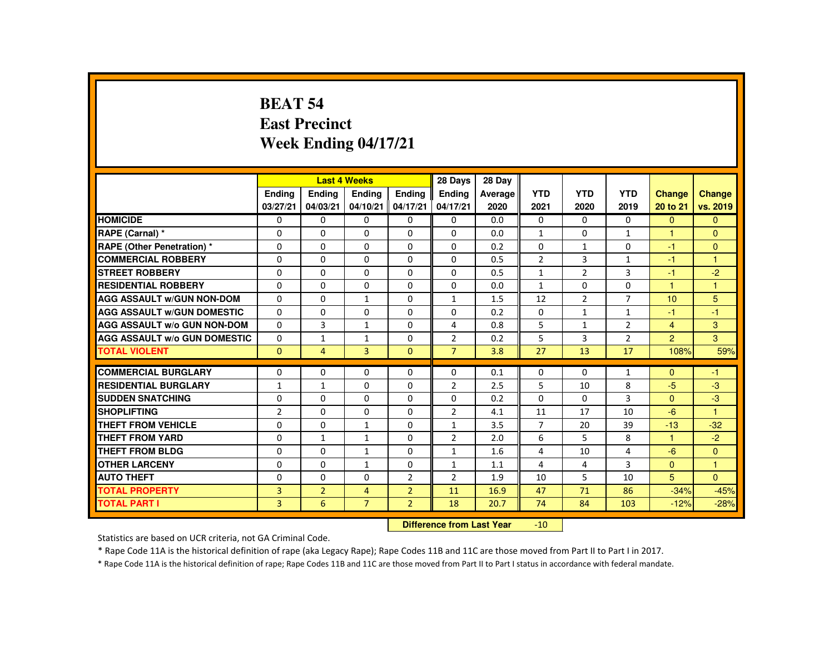#### **BEAT 54 East PrecinctWeek Ending 04/17/21**

|                                     |                           |                | <b>Last 4 Weeks</b> |                | 28 Days        | 28 Day  |                 |                |                |                |                |
|-------------------------------------|---------------------------|----------------|---------------------|----------------|----------------|---------|-----------------|----------------|----------------|----------------|----------------|
|                                     | <b>Endina</b>             | Ending         | Ending              | <b>Endina</b>  | <b>Endina</b>  | Average | <b>YTD</b>      | <b>YTD</b>     | <b>YTD</b>     | <b>Change</b>  | Change         |
|                                     | 03/27/21                  | 04/03/21       | 04/10/21            | 04/17/21       | 04/17/21       | 2020    | 2021            | 2020           | 2019           | 20 to 21       | vs. 2019       |
| <b>HOMICIDE</b>                     | $\Omega$                  | 0              | $\Omega$            | $\Omega$       | 0              | 0.0     | $\Omega$        | $\Omega$       | $\Omega$       | $\Omega$       | $\Omega$       |
| RAPE (Carnal) *                     | 0                         | $\Omega$       | $\Omega$            | $\Omega$       | $\Omega$       | 0.0     | $\mathbf{1}$    | $\Omega$       | $\mathbf{1}$   |                | $\mathbf{0}$   |
| <b>RAPE (Other Penetration) *</b>   | $\Omega$                  | $\Omega$       | $\Omega$            | $\Omega$       | $\Omega$       | 0.2     | $\Omega$        | $\mathbf{1}$   | $\Omega$       | $-1$           | $\Omega$       |
| <b>COMMERCIAL ROBBERY</b>           | 0                         | 0              | $\Omega$            | 0              | 0              | 0.5     | $\overline{2}$  | 3              | $\mathbf{1}$   | $-1$           | $\overline{1}$ |
| <b>STREET ROBBERY</b>               | $\Omega$                  | $\Omega$       | $\Omega$            | $\Omega$       | $\Omega$       | 0.5     | $\mathbf{1}$    | $\overline{2}$ | 3              | $-1$           | $-2$           |
| <b>RESIDENTIAL ROBBERY</b>          | 0                         | 0              | 0                   | 0              | 0              | 0.0     | $\mathbf{1}$    | 0              | 0              | $\mathbf{1}$   | 1              |
| <b>AGG ASSAULT W/GUN NON-DOM</b>    | $\Omega$                  | $\Omega$       | $\mathbf{1}$        | $\Omega$       | $\mathbf{1}$   | 1.5     | 12              | $\overline{2}$ | $\overline{7}$ | 10             | 5              |
| <b>AGG ASSAULT W/GUN DOMESTIC</b>   | $\Omega$                  | $\Omega$       | $\Omega$            | $\Omega$       | $\Omega$       | 0.2     | $\Omega$        | $\mathbf{1}$   | $\mathbf{1}$   | $-1$           | $-1$           |
| <b>AGG ASSAULT W/o GUN NON-DOM</b>  | $\Omega$                  | 3              | $\mathbf{1}$        | $\Omega$       | 4              | 0.8     | 5               | $\mathbf{1}$   | $\overline{2}$ | $\overline{4}$ | 3              |
| <b>AGG ASSAULT W/o GUN DOMESTIC</b> | $\Omega$                  | $\mathbf{1}$   | $\mathbf{1}$        | $\Omega$       | $\overline{2}$ | 0.2     | 5               | $\overline{3}$ | $\overline{2}$ | $\overline{2}$ | 3              |
| <b>TOTAL VIOLENT</b>                | $\Omega$                  | $\overline{4}$ | $\overline{3}$      | $\Omega$       | $\overline{7}$ | 3.8     | 27              | 13             | 17             | 108%           | 59%            |
| <b>COMMERCIAL BURGLARY</b>          | $\Omega$                  | $\Omega$       | $\Omega$            | $\Omega$       | $\Omega$       | 0.1     | 0               | $\Omega$       | $\mathbf{1}$   | $\Omega$       | $-1$           |
| <b>RESIDENTIAL BURGLARY</b>         | $\mathbf{1}$              | $\mathbf{1}$   | $\Omega$            | $\Omega$       | $\overline{2}$ | 2.5     | 5               | 10             | 8              | $-5$           | $-3$           |
| <b>SUDDEN SNATCHING</b>             | $\Omega$                  | $\Omega$       | $\Omega$            | 0              | $\Omega$       | 0.2     | $\Omega$        | $\Omega$       | 3              | $\mathbf{0}$   | $-3$           |
| <b>SHOPLIFTING</b>                  | $\overline{2}$            | $\Omega$       | $\Omega$            | $\Omega$       | $\overline{2}$ | 4.1     | 11              | 17             | 10             | $-6$           | $\overline{1}$ |
| <b>THEFT FROM VEHICLE</b>           | $\Omega$                  | $\Omega$       | $\mathbf{1}$        | $\Omega$       | $\mathbf{1}$   | 3.5     | $\overline{7}$  | 20             | 39             | $-13$          | $-32$          |
| <b>THEFT FROM YARD</b>              | $\Omega$                  | $\mathbf{1}$   | $\mathbf{1}$        | $\Omega$       | $\overline{2}$ | 2.0     | 6               | 5              | 8              | $\mathbf{1}$   | $-2$           |
| <b>THEFT FROM BLDG</b>              | 0                         | $\Omega$       | $\mathbf{1}$        | $\Omega$       | 1              | 1.6     | 4               | 10             | 4              | $-6$           | $\overline{0}$ |
| <b>OTHER LARCENY</b>                | $\Omega$                  | $\Omega$       | 1                   | $\Omega$       | 1              | 1.1     | 4               | 4              | 3              | $\Omega$       | $\mathbf{1}$   |
| <b>AUTO THEFT</b>                   | $\Omega$                  | $\Omega$       | $\Omega$            | $\overline{2}$ | $\overline{2}$ | 1.9     | 10              | 5              | 10             | 5              | $\Omega$       |
| <b>TOTAL PROPERTY</b>               | $\overline{3}$            | $\overline{2}$ | $\overline{4}$      | $\overline{2}$ | 11             | 16.9    | 47              | 71             | 86             | $-34%$         | $-45%$         |
| <b>TOTAL PART I</b>                 | 3                         | 6              | $\overline{7}$      | $\overline{2}$ | 18             | 20.7    | 74              | 84             | 103            | $-12%$         | $-28%$         |
|                                     | Difference from Loot Vear |                |                     |                |                |         | 10 <sub>1</sub> |                |                |                |                |

 **Difference from Last Year**-10

Statistics are based on UCR criteria, not GA Criminal Code.

\* Rape Code 11A is the historical definition of rape (aka Legacy Rape); Rape Codes 11B and 11C are those moved from Part II to Part I in 2017.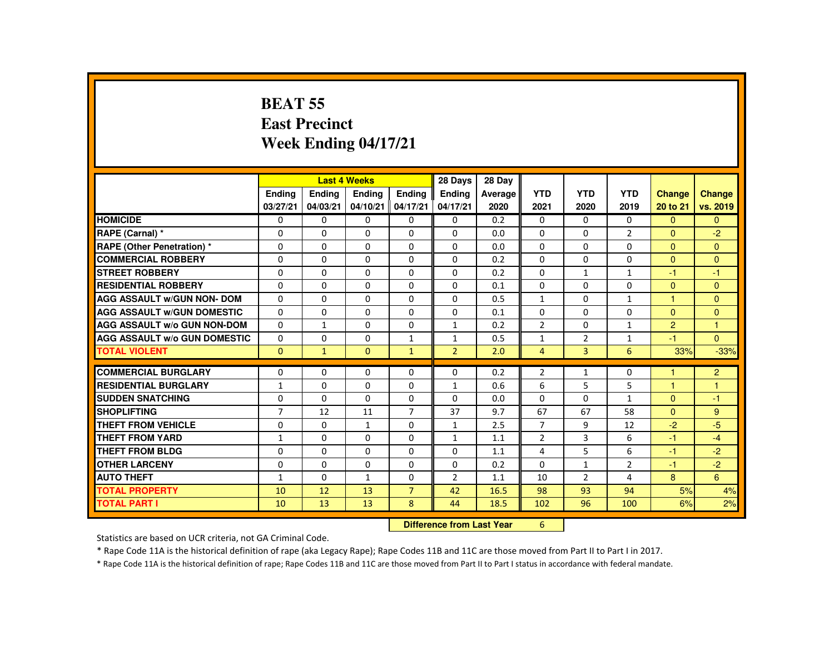### **BEAT 55 East PrecinctWeek Ending 04/17/21**

|                                     |                |               | <b>Last 4 Weeks</b> |                | 28 Days        | 28 Day  |                |                |                |                |                |
|-------------------------------------|----------------|---------------|---------------------|----------------|----------------|---------|----------------|----------------|----------------|----------------|----------------|
|                                     | <b>Endina</b>  | <b>Endina</b> | <b>Endina</b>       | <b>Endina</b>  | <b>Endina</b>  | Average | <b>YTD</b>     | <b>YTD</b>     | <b>YTD</b>     | <b>Change</b>  | <b>Change</b>  |
|                                     | 03/27/21       | 04/03/21      | 04/10/21            | 04/17/21       | 04/17/21       | 2020    | 2021           | 2020           | 2019           | 20 to 21       | vs. 2019       |
| <b>HOMICIDE</b>                     | $\Omega$       | $\Omega$      | $\Omega$            | $\mathbf{0}$   | 0              | 0.2     | 0              | $\Omega$       | $\Omega$       | $\mathbf{0}$   | $\Omega$       |
| RAPE (Carnal) *                     | 0              | $\Omega$      | $\Omega$            | $\Omega$       | $\Omega$       | 0.0     | $\Omega$       | $\Omega$       | $\overline{2}$ | $\Omega$       | $-2$           |
| <b>RAPE (Other Penetration) *</b>   | $\Omega$       | $\Omega$      | $\Omega$            | $\Omega$       | $\Omega$       | 0.0     | $\Omega$       | $\Omega$       | $\mathbf 0$    | $\Omega$       | $\Omega$       |
| <b>COMMERCIAL ROBBERY</b>           | $\Omega$       | $\Omega$      | $\Omega$            | $\Omega$       | 0              | 0.2     | $\Omega$       | $\mathbf{0}$   | 0              | $\Omega$       | $\mathbf{0}$   |
| <b>STREET ROBBERY</b>               | $\Omega$       | $\Omega$      | $\Omega$            | $\Omega$       | $\Omega$       | 0.2     | $\Omega$       | $\mathbf{1}$   | $\mathbf{1}$   | $-1$           | $-1$           |
| <b>RESIDENTIAL ROBBERY</b>          | $\Omega$       | $\Omega$      | $\Omega$            | $\Omega$       | $\Omega$       | 0.1     | $\Omega$       | $\Omega$       | $\Omega$       | $\Omega$       | $\Omega$       |
| <b>AGG ASSAULT W/GUN NON- DOM</b>   | $\Omega$       | $\Omega$      | $\Omega$            | $\Omega$       | $\Omega$       | 0.5     | $\mathbf{1}$   | $\Omega$       | $\mathbf{1}$   | $\mathbf{1}$   | $\Omega$       |
| <b>AGG ASSAULT W/GUN DOMESTIC</b>   | $\Omega$       | $\Omega$      | $\Omega$            | $\Omega$       | $\Omega$       | 0.1     | $\Omega$       | $\Omega$       | $\Omega$       | $\Omega$       | $\Omega$       |
| <b>AGG ASSAULT w/o GUN NON-DOM</b>  | $\Omega$       | $\mathbf{1}$  | $\mathbf{0}$        | $\Omega$       | $\mathbf{1}$   | 0.2     | $\overline{2}$ | $\Omega$       | $\mathbf{1}$   | $\overline{2}$ | $\mathbf{1}$   |
| <b>AGG ASSAULT W/o GUN DOMESTIC</b> | $\Omega$       | $\Omega$      | $\Omega$            | $\mathbf{1}$   | $\mathbf{1}$   | 0.5     | $\mathbf{1}$   | $\overline{2}$ | $\mathbf{1}$   | $-1$           | $\Omega$       |
| <b>TOTAL VIOLENT</b>                | $\mathbf{0}$   | $\mathbf{1}$  | $\mathbf{0}$        | $\mathbf{1}$   | $\overline{2}$ | 2.0     | $\overline{4}$ | 3              | 6              | 33%            | $-33%$         |
| <b>COMMERCIAL BURGLARY</b>          | $\Omega$       | $\Omega$      | $\Omega$            | $\Omega$       | $\Omega$       | 0.2     | $\overline{2}$ | $\mathbf{1}$   | 0              | $\mathbf{1}$   | $\overline{2}$ |
| <b>RESIDENTIAL BURGLARY</b>         | $\mathbf{1}$   | $\Omega$      | $\Omega$            | $\Omega$       | $\mathbf{1}$   | 0.6     | 6              | 5              | 5              | $\mathbf{1}$   | $\mathbf{1}$   |
| <b>SUDDEN SNATCHING</b>             | 0              | $\Omega$      | $\Omega$            | 0              | $\Omega$       | 0.0     | $\Omega$       | 0              | $\mathbf{1}$   | $\mathbf{0}$   | $-1$           |
| <b>SHOPLIFTING</b>                  | $\overline{7}$ | 12            | 11                  | $\overline{7}$ | 37             | 9.7     | 67             | 67             | 58             | $\Omega$       | 9              |
| <b>THEFT FROM VEHICLE</b>           | $\Omega$       | $\Omega$      | $\mathbf{1}$        | $\Omega$       | $\mathbf{1}$   | 2.5     | $\overline{7}$ | 9              | 12             | $-2$           | $-5$           |
| <b>THEFT FROM YARD</b>              | $\mathbf{1}$   | $\Omega$      | $\Omega$            | $\Omega$       | $\mathbf{1}$   | 1.1     | $\overline{2}$ | 3              | 6              | $-1$           | $-4$           |
| THEFT FROM BLDG                     | $\Omega$       | $\Omega$      | $\Omega$            | $\Omega$       | $\Omega$       | 1.1     | 4              | 5              | 6              | $-1$           | $-2$           |
| <b>OTHER LARCENY</b>                | 0              | $\Omega$      | $\mathbf{0}$        | 0              | 0              | 0.2     | $\Omega$       | $\mathbf{1}$   | $\overline{2}$ | $-1$           | $-2$           |
| <b>AUTO THEFT</b>                   | 1              | $\Omega$      | $\mathbf{1}$        | $\Omega$       | $\overline{2}$ | 1.1     | 10             | $\overline{2}$ | 4              | 8              | 6              |
| <b>TOTAL PROPERTY</b>               | 10             | 12            | 13                  | $\overline{7}$ | 42             | 16.5    | 98             | 93             | 94             | 5%             | 4%             |
| <b>TOTAL PART I</b>                 | 10             | 13            | 13                  | 8              | 44             | 18.5    | 102            | 96             | 100            | 6%             | 2%             |
|                                     |                |               |                     |                |                |         |                |                |                |                |                |

 **Difference from Last Year**<sup>6</sup>

Statistics are based on UCR criteria, not GA Criminal Code.

\* Rape Code 11A is the historical definition of rape (aka Legacy Rape); Rape Codes 11B and 11C are those moved from Part II to Part I in 2017.